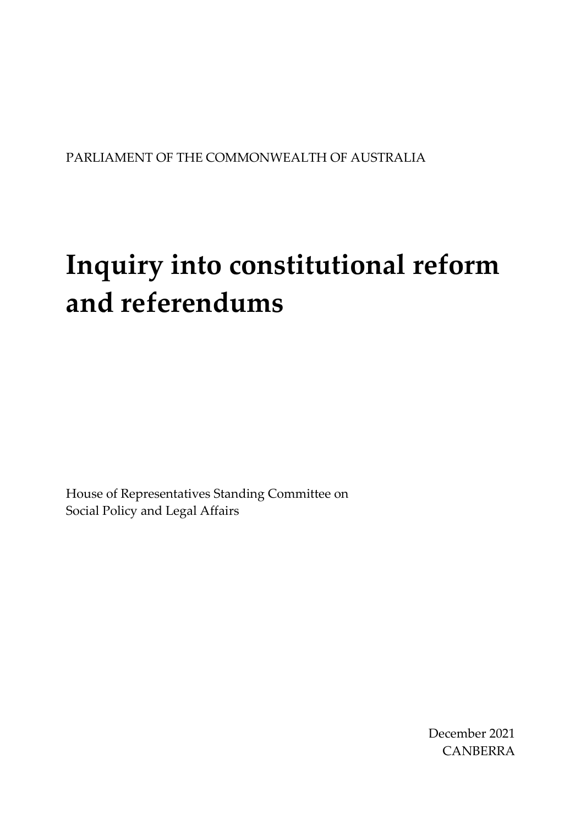#### PARLIAMENT OF THE COMMONWEALTH OF AUSTRALIA

# **Inquiry into constitutional reform and referendums**

House of Representatives Standing Committee on Social Policy and Legal Affairs

> December 2021 CANBERRA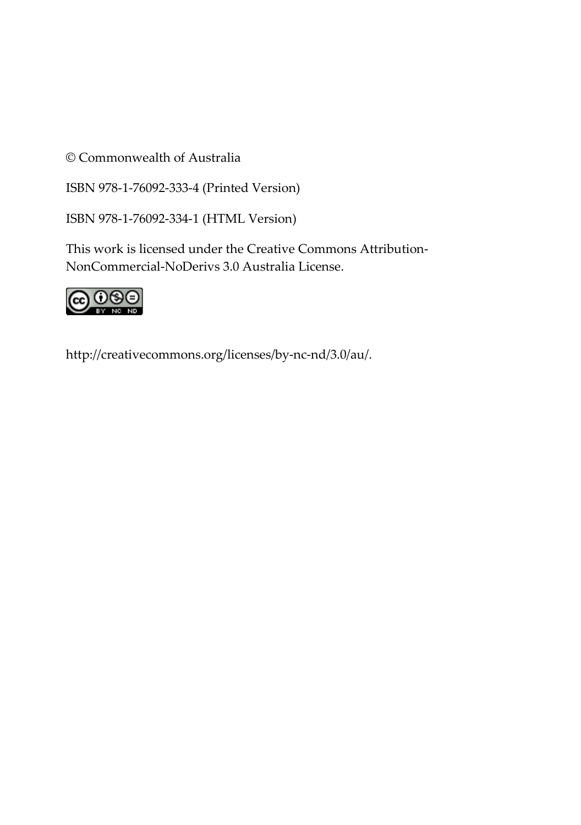© Commonwealth of Australia

ISBN 978-1-76092-333-4 (Printed Version)

ISBN 978-1-76092-334-1 (HTML Version)

This work is licensed under the Creative Commons Attribution-NonCommercial-NoDerivs 3.0 Australia License.



[http://creativecommons.org/licenses/by-nc-nd/3.0/au/.](http://creativecommons.org/licenses/by-nc-nd/3.0/au/)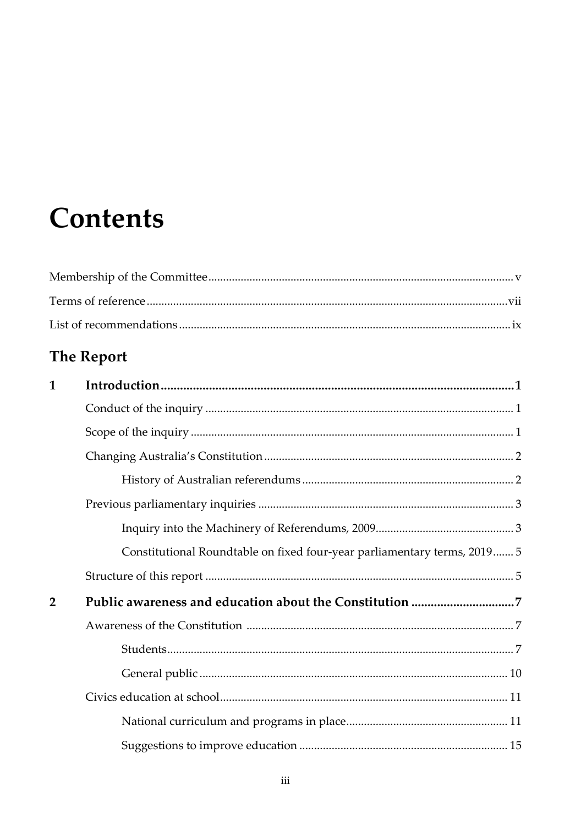## **Contents**

### The Report

| 1              |                                                                          |
|----------------|--------------------------------------------------------------------------|
|                |                                                                          |
|                |                                                                          |
|                |                                                                          |
|                |                                                                          |
|                |                                                                          |
|                |                                                                          |
|                | Constitutional Roundtable on fixed four-year parliamentary terms, 2019 5 |
|                |                                                                          |
| $\overline{2}$ |                                                                          |
|                |                                                                          |
|                |                                                                          |
|                |                                                                          |
|                |                                                                          |
|                |                                                                          |
|                |                                                                          |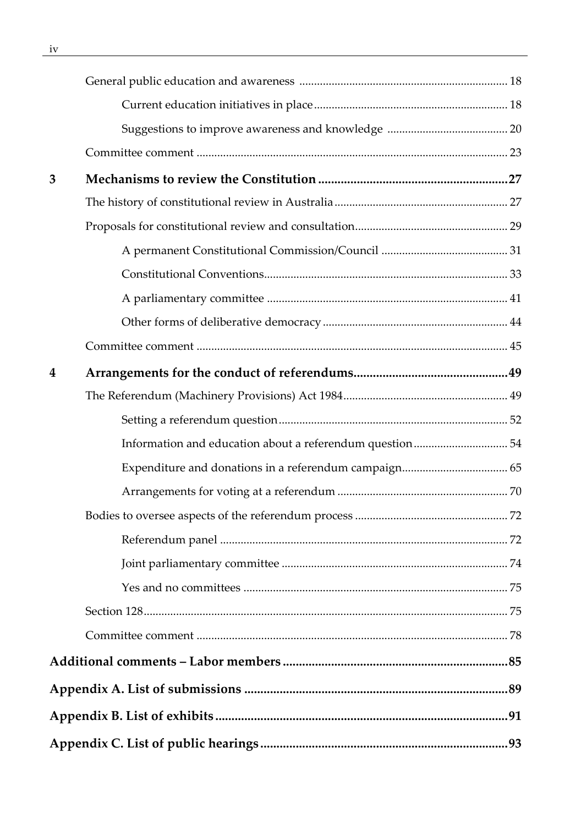| 3 |  |
|---|--|
|   |  |
|   |  |
|   |  |
|   |  |
|   |  |
|   |  |
|   |  |
| 4 |  |
|   |  |
|   |  |
|   |  |
|   |  |
|   |  |
|   |  |
|   |  |
|   |  |
|   |  |
|   |  |
|   |  |
|   |  |
|   |  |
|   |  |
|   |  |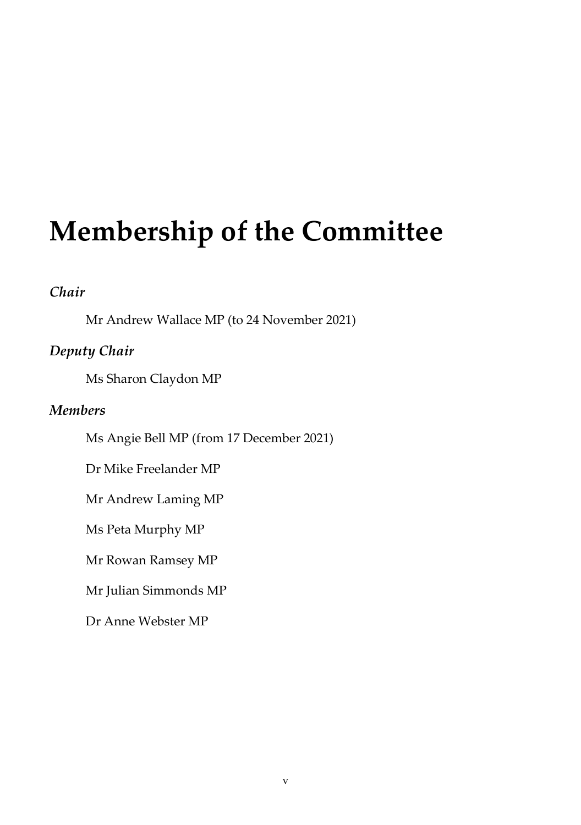## <span id="page-4-0"></span>**Membership of the Committee**

#### *Chair*

Mr Andrew Wallace MP (to 24 November 2021)

#### *Deputy Chair*

Ms Sharon Claydon MP

#### *Members*

Ms Angie Bell MP (from 17 December 2021)

Dr Mike Freelander MP

Mr Andrew Laming MP

Ms Peta Murphy MP

Mr Rowan Ramsey MP

Mr Julian Simmonds MP

Dr Anne Webster MP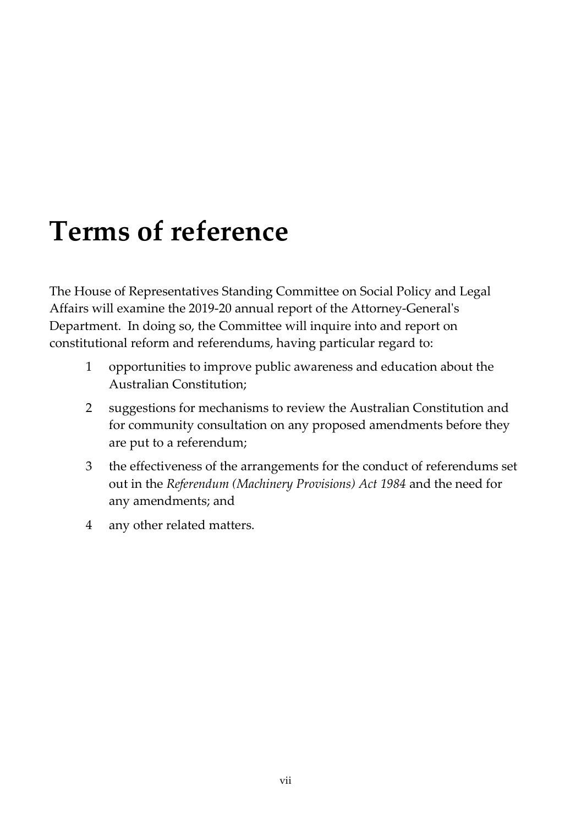## <span id="page-6-0"></span>**Terms of reference**

The House of Representatives Standing Committee on Social Policy and Legal Affairs will examine the 2019-20 annual report of the Attorney-General's Department. In doing so, the Committee will inquire into and report on constitutional reform and referendums, having particular regard to:

- 1 opportunities to improve public awareness and education about the Australian Constitution;
- 2 suggestions for mechanisms to review the Australian Constitution and for community consultation on any proposed amendments before they are put to a referendum;
- 3 the effectiveness of the arrangements for the conduct of referendums set out in the *Referendum (Machinery Provisions) Act 1984* and the need for any amendments; and
- 4 any other related matters.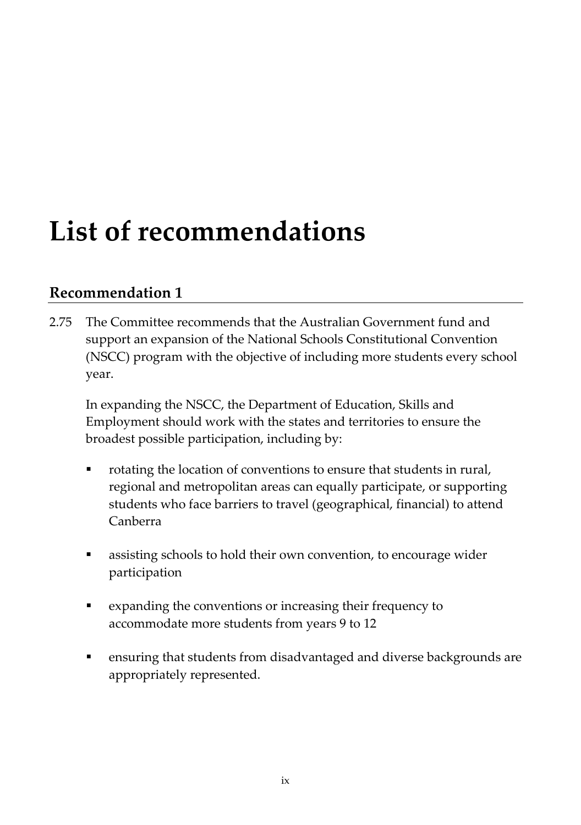## <span id="page-8-0"></span>**List of recommendations**

### **[Recommendation 1](#page-36-1)**

2.75 The Committee recommends that the Australian Government fund and support an expansion of the National Schools Constitutional Convention (NSCC) program with the objective of including more students every school year.

In expanding the NSCC, the Department of Education, Skills and Employment should work with the states and territories to ensure the broadest possible participation, including by:

- rotating the location of conventions to ensure that students in rural, regional and metropolitan areas can equally participate, or supporting students who face barriers to travel (geographical, financial) to attend Canberra
- assisting schools to hold their own convention, to encourage wider participation
- expanding the conventions or increasing their frequency to accommodate more students from years 9 to 12
- ensuring that students from disadvantaged and diverse backgrounds are appropriately represented.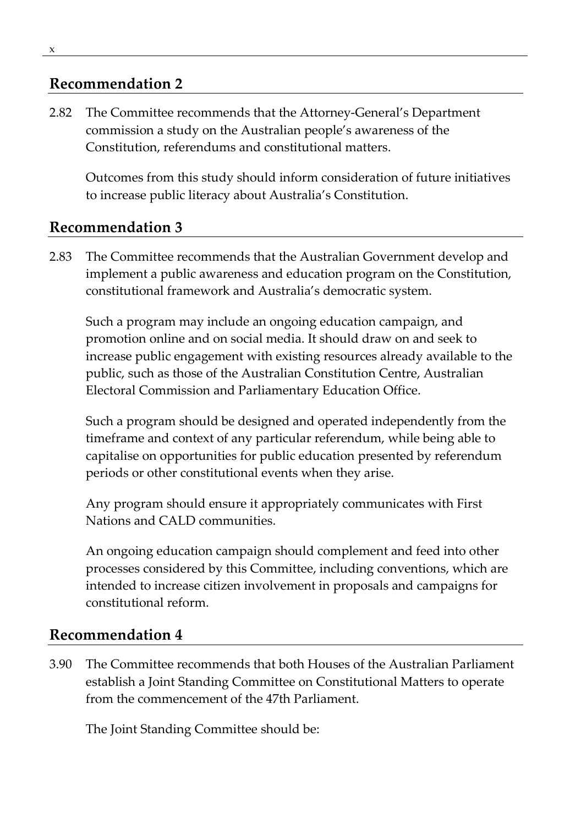### **[Recommendation 2](#page-38-0)**

2.82 The Committee recommends that the Attorney-General's Department commission a study on the Australian people's awareness of the Constitution, referendums and constitutional matters.

Outcomes from this study should inform consideration of future initiatives to increase public literacy about Australia's Constitution.

### **[Recommendation 3](#page-38-1)**

2.83 The Committee recommends that the Australian Government develop and implement a public awareness and education program on the Constitution, constitutional framework and Australia's democratic system.

Such a program may include an ongoing education campaign, and promotion online and on social media. It should draw on and seek to increase public engagement with existing resources already available to the public, such as those of the Australian Constitution Centre, Australian Electoral Commission and Parliamentary Education Office.

Such a program should be designed and operated independently from the timeframe and context of any particular referendum, while being able to capitalise on opportunities for public education presented by referendum periods or other constitutional events when they arise.

Any program should ensure it appropriately communicates with First Nations and CALD communities.

An ongoing education campaign should complement and feed into other processes considered by this Committee, including conventions, which are intended to increase citizen involvement in proposals and campaigns for constitutional reform.

### **[Recommendation 4](#page-61-0)**

3.90 The Committee recommends that both Houses of the Australian Parliament establish a Joint Standing Committee on Constitutional Matters to operate from the commencement of the 47th Parliament.

The Joint Standing Committee should be: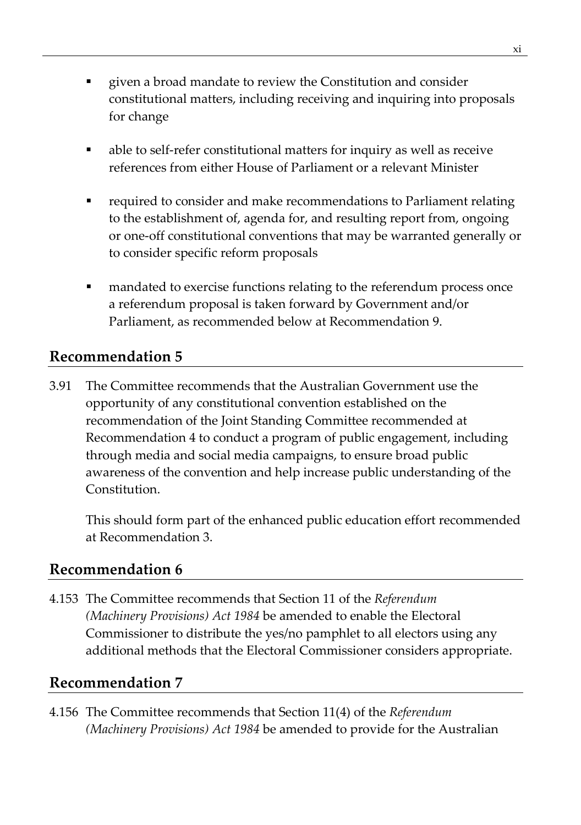- **EXECO** is given a broad mandate to review the Constitution and consider constitutional matters, including receiving and inquiring into proposals for change
- able to self-refer constitutional matters for inquiry as well as receive references from either House of Parliament or a relevant Minister
- required to consider and make recommendations to Parliament relating to the establishment of, agenda for, and resulting report from, ongoing or one-off constitutional conventions that may be warranted generally or to consider specific reform proposals
- mandated to exercise functions relating to the referendum process once a referendum proposal is taken forward by Government and/or Parliament, as recommended below at Recommendation 9.

### **[Recommendation 5](#page-61-1)**

3.91 The Committee recommends that the Australian Government use the opportunity of any constitutional convention established on the recommendation of the Joint Standing Committee recommended at Recommendation 4 to conduct a program of public engagement, including through media and social media campaigns, to ensure broad public awareness of the convention and help increase public understanding of the Constitution.

This should form part of the enhanced public education effort recommended at Recommendation 3.

#### **[Recommendation 6](#page-92-0)**

4.153 The Committee recommends that Section 11 of the *Referendum (Machinery Provisions) Act 1984* be amended to enable the Electoral Commissioner to distribute the yes/no pamphlet to all electors using any additional methods that the Electoral Commissioner considers appropriate.

#### **[Recommendation 7](#page-93-0)**

4.156 The Committee recommends that Section 11(4) of the *Referendum (Machinery Provisions) Act 1984* be amended to provide for the Australian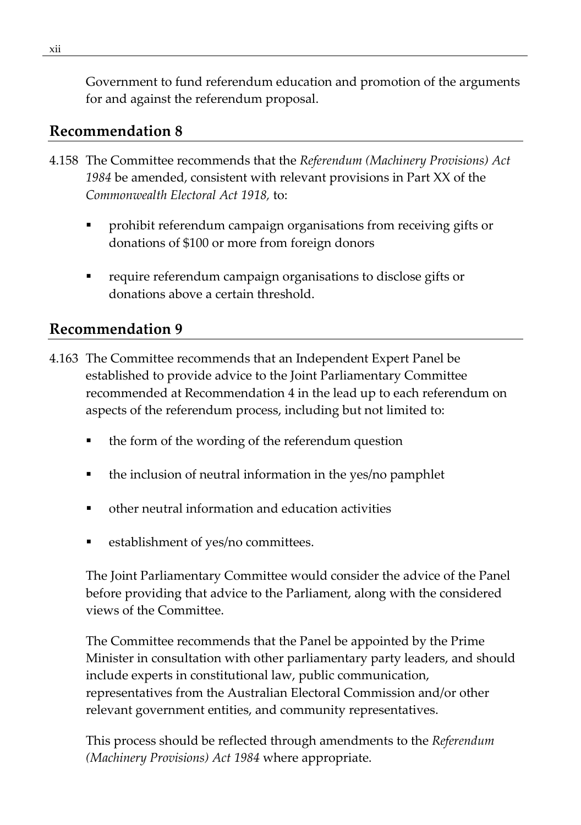Government to fund referendum education and promotion of the arguments for and against the referendum proposal.

### **[Recommendation 8](#page-93-1)**

- 4.158 The Committee recommends that the *Referendum (Machinery Provisions) Act 1984* be amended, consistent with relevant provisions in Part XX of the *Commonwealth Electoral Act 1918,* to:
	- prohibit referendum campaign organisations from receiving gifts or donations of \$100 or more from foreign donors
	- require referendum campaign organisations to disclose gifts or donations above a certain threshold.

### **[Recommendation 9](#page-94-0)**

- 4.163 The Committee recommends that an Independent Expert Panel be established to provide advice to the Joint Parliamentary Committee recommended at Recommendation 4 in the lead up to each referendum on aspects of the referendum process, including but not limited to:
	- the form of the wording of the referendum question
	- the inclusion of neutral information in the yes/no pamphlet
	- other neutral information and education activities
	- establishment of yes/no committees.

The Joint Parliamentary Committee would consider the advice of the Panel before providing that advice to the Parliament, along with the considered views of the Committee.

The Committee recommends that the Panel be appointed by the Prime Minister in consultation with other parliamentary party leaders, and should include experts in constitutional law, public communication, representatives from the Australian Electoral Commission and/or other relevant government entities, and community representatives.

This process should be reflected through amendments to the *Referendum (Machinery Provisions) Act 1984* where appropriate.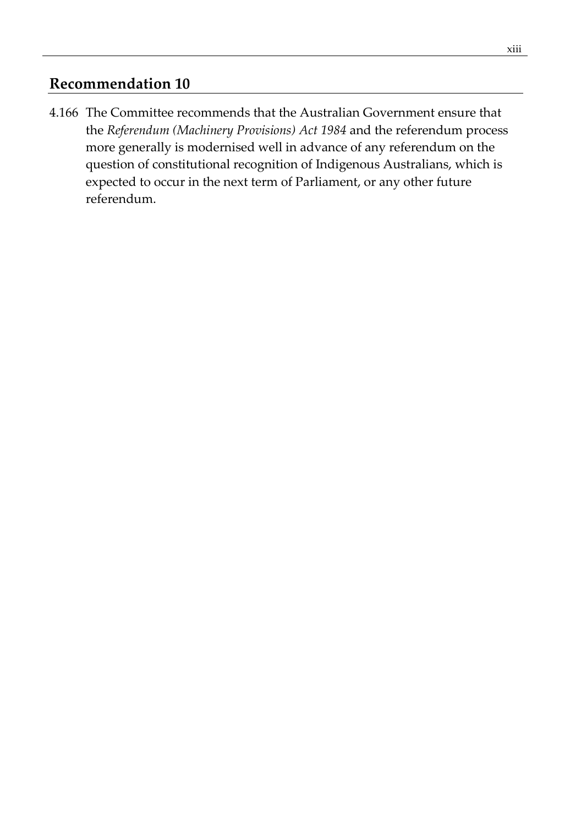#### **[Recommendation 10](#page-95-0)**

4.166 The Committee recommends that the Australian Government ensure that the *Referendum (Machinery Provisions) Act 1984* and the referendum process more generally is modernised well in advance of any referendum on the question of constitutional recognition of Indigenous Australians, which is expected to occur in the next term of Parliament, or any other future referendum.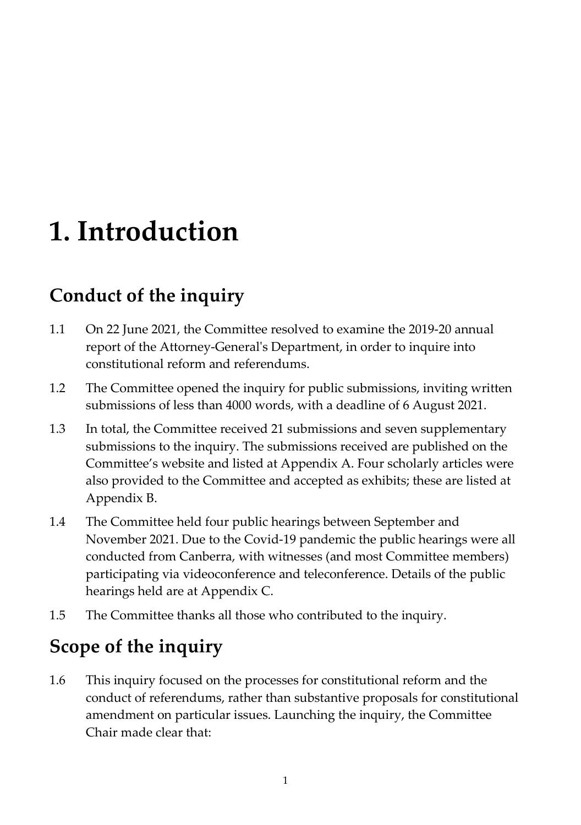## <span id="page-14-0"></span>**1. Introduction**

### <span id="page-14-1"></span>**Conduct of the inquiry**

- 1.1 On 22 June 2021, the Committee resolved to examine the 2019-20 annual report of the Attorney-General's Department, in order to inquire into constitutional reform and referendums.
- 1.2 The Committee opened the inquiry for public submissions, inviting written submissions of less than 4000 words, with a deadline of 6 August 2021.
- 1.3 In total, the Committee received 21 submissions and seven supplementary submissions to the inquiry. The submissions received are published on the Committee's website and listed at Appendix A. Four scholarly articles were also provided to the Committee and accepted as exhibits; these are listed at Appendix B.
- 1.4 The Committee held four public hearings between September and November 2021. Due to the Covid-19 pandemic the public hearings were all conducted from Canberra, with witnesses (and most Committee members) participating via videoconference and teleconference. Details of the public hearings held are at Appendix C.
- 1.5 The Committee thanks all those who contributed to the inquiry.

### <span id="page-14-2"></span>**Scope of the inquiry**

1.6 This inquiry focused on the processes for constitutional reform and the conduct of referendums, rather than substantive proposals for constitutional amendment on particular issues. Launching the inquiry, the Committee Chair made clear that: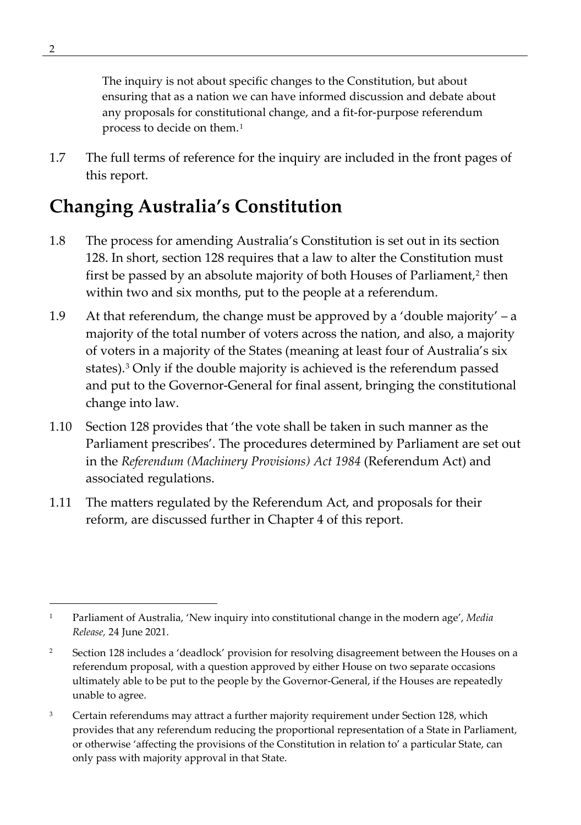The inquiry is not about specific changes to the Constitution, but about ensuring that as a nation we can have informed discussion and debate about any proposals for constitutional change, and a fit-for-purpose referendum process to decide on them.[1](#page-15-2)

1.7 The full terms of reference for the inquiry are included in the front pages of this report.

### <span id="page-15-0"></span>**Changing Australia's Constitution**

- 1.8 The process for amending Australia's Constitution is set out in its section 128. In short, section 128 requires that a law to alter the Constitution must first be passed by an absolute majority of both Houses of Parliament,<sup>[2](#page-15-3)</sup> then within two and six months, put to the people at a referendum.
- 1.9 At that referendum, the change must be approved by a 'double majority' a majority of the total number of voters across the nation, and also, a majority of voters in a majority of the States (meaning at least four of Australia's six states).[3](#page-15-4) Only if the double majority is achieved is the referendum passed and put to the Governor-General for final assent, bringing the constitutional change into law.
- 1.10 Section 128 provides that 'the vote shall be taken in such manner as the Parliament prescribes'. The procedures determined by Parliament are set out in the *Referendum (Machinery Provisions) Act 1984* (Referendum Act) and associated regulations.
- <span id="page-15-1"></span>1.11 The matters regulated by the Referendum Act, and proposals for their reform, are discussed further in Chapter 4 of this report.

<span id="page-15-2"></span><sup>1</sup> Parliament of Australia, 'New inquiry into constitutional change in the modern age', *Media Release,* 24 June 2021.

<span id="page-15-3"></span><sup>&</sup>lt;sup>2</sup> Section 128 includes a 'deadlock' provision for resolving disagreement between the Houses on a referendum proposal, with a question approved by either House on two separate occasions ultimately able to be put to the people by the Governor-General, if the Houses are repeatedly unable to agree.

<span id="page-15-4"></span><sup>&</sup>lt;sup>3</sup> Certain referendums may attract a further majority requirement under Section 128, which provides that any referendum reducing the proportional representation of a State in Parliament, or otherwise 'affecting the provisions of the Constitution in relation to' a particular State, can only pass with majority approval in that State.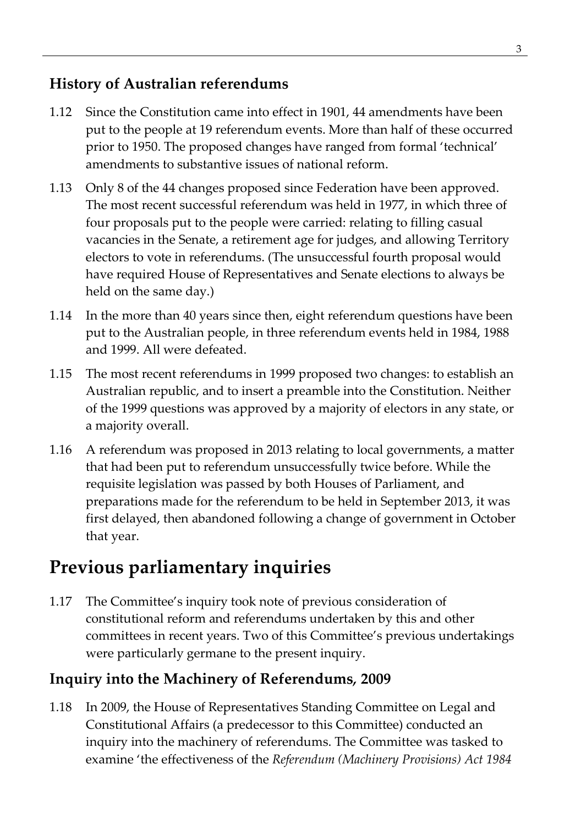### **History of Australian referendums**

- 1.12 Since the Constitution came into effect in 1901, 44 amendments have been put to the people at 19 referendum events. More than half of these occurred prior to 1950. The proposed changes have ranged from formal 'technical' amendments to substantive issues of national reform.
- 1.13 Only 8 of the 44 changes proposed since Federation have been approved. The most recent successful referendum was held in 1977, in which three of four proposals put to the people were carried: relating to filling casual vacancies in the Senate, a retirement age for judges, and allowing Territory electors to vote in referendums. (The unsuccessful fourth proposal would have required House of Representatives and Senate elections to always be held on the same day.)
- 1.14 In the more than 40 years since then, eight referendum questions have been put to the Australian people, in three referendum events held in 1984, 1988 and 1999. All were defeated.
- 1.15 The most recent referendums in 1999 proposed two changes: to establish an Australian republic, and to insert a preamble into the Constitution. Neither of the 1999 questions was approved by a majority of electors in any state, or a majority overall.
- 1.16 A referendum was proposed in 2013 relating to local governments, a matter that had been put to referendum unsuccessfully twice before. While the requisite legislation was passed by both Houses of Parliament, and preparations made for the referendum to be held in September 2013, it was first delayed, then abandoned following a change of government in October that year.

### <span id="page-16-0"></span>**Previous parliamentary inquiries**

1.17 The Committee's inquiry took note of previous consideration of constitutional reform and referendums undertaken by this and other committees in recent years. Two of this Committee's previous undertakings were particularly germane to the present inquiry.

### <span id="page-16-1"></span>**Inquiry into the Machinery of Referendums***,* **2009**

1.18 In 2009, the House of Representatives Standing Committee on Legal and Constitutional Affairs (a predecessor to this Committee) conducted an inquiry into the machinery of referendums. The Committee was tasked to examine 'the effectiveness of the *Referendum (Machinery Provisions) Act 1984*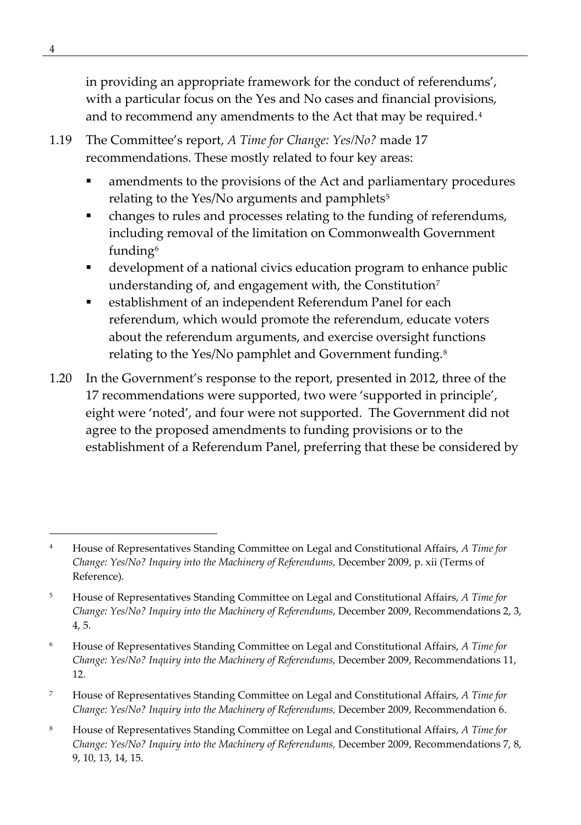in providing an appropriate framework for the conduct of referendums', with a particular focus on the Yes and No cases and financial provisions, and to recommend any amendments to the Act that may be required.<sup>[4](#page-17-0)</sup>

- 1.19 The Committee's report, *A Time for Change: Yes/No?* made 17 recommendations. These mostly related to four key areas:
	- amendments to the provisions of the Act and parliamentary procedures relating to the Yes/No arguments and pamphlets<sup>[5](#page-17-1)</sup>
	- changes to rules and processes relating to the funding of referendums, including removal of the limitation on Commonwealth Government funding[6](#page-17-2)
	- development of a national civics education program to enhance public understanding of, and engagement with, the Constitution<sup>[7](#page-17-3)</sup>
	- establishment of an independent Referendum Panel for each referendum, which would promote the referendum, educate voters about the referendum arguments, and exercise oversight functions relating to the Yes/No pamphlet and Government funding.<sup>[8](#page-17-4)</sup>
- 1.20 In the Government's response to the report, presented in 2012, three of the 17 recommendations were supported, two were 'supported in principle', eight were 'noted', and four were not supported. The Government did not agree to the proposed amendments to funding provisions or to the establishment of a Referendum Panel, preferring that these be considered by

- <span id="page-17-3"></span><sup>7</sup> House of Representatives Standing Committee on Legal and Constitutional Affairs, *A Time for Change: Yes/No? Inquiry into the Machinery of Referendums, December 2009, Recommendation 6.*
- <span id="page-17-4"></span><sup>8</sup> House of Representatives Standing Committee on Legal and Constitutional Affairs, *A Time for Change: Yes/No? Inquiry into the Machinery of Referendums,* December 2009, Recommendations 7, 8, 9, 10, 13, 14, 15.

<span id="page-17-0"></span><sup>4</sup> House of Representatives Standing Committee on Legal and Constitutional Affairs, *A Time for Change: Yes/No? Inquiry into the Machinery of Referendums,* December 2009, p. xii (Terms of Reference).

<span id="page-17-1"></span><sup>5</sup> House of Representatives Standing Committee on Legal and Constitutional Affairs, *A Time for Change: Yes/No? Inquiry into the Machinery of Referendums,* December 2009, Recommendations 2, 3, 4, 5.

<span id="page-17-2"></span><sup>6</sup> House of Representatives Standing Committee on Legal and Constitutional Affairs, *A Time for Change: Yes/No? Inquiry into the Machinery of Referendums,* December 2009, Recommendations 11, 12.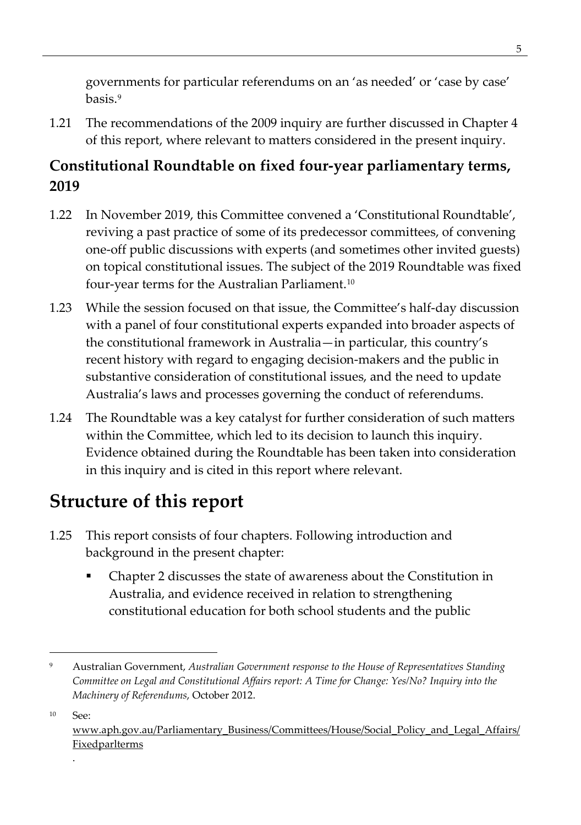governments for particular referendums on an 'as needed' or 'case by case' basis.[9](#page-18-2)

1.21 The recommendations of the 2009 inquiry are further discussed in Chapter 4 of this report, where relevant to matters considered in the present inquiry.

### <span id="page-18-0"></span>**Constitutional Roundtable on fixed four-year parliamentary terms, 2019**

- 1.22 In November 2019, this Committee convened a 'Constitutional Roundtable', reviving a past practice of some of its predecessor committees, of convening one-off public discussions with experts (and sometimes other invited guests) on topical constitutional issues. The subject of the 2019 Roundtable was fixed four-year terms for the Australian Parliament.[10](#page-18-3)
- 1.23 While the session focused on that issue, the Committee's half-day discussion with a panel of four constitutional experts expanded into broader aspects of the constitutional framework in Australia—in particular, this country's recent history with regard to engaging decision-makers and the public in substantive consideration of constitutional issues, and the need to update Australia's laws and processes governing the conduct of referendums.
- 1.24 The Roundtable was a key catalyst for further consideration of such matters within the Committee, which led to its decision to launch this inquiry. Evidence obtained during the Roundtable has been taken into consideration in this inquiry and is cited in this report where relevant.

### <span id="page-18-1"></span>**Structure of this report**

- 1.25 This report consists of four chapters. Following introduction and background in the present chapter:
	- Chapter 2 discusses the state of awareness about the Constitution in Australia, and evidence received in relation to strengthening constitutional education for both school students and the public

.

<span id="page-18-2"></span><sup>9</sup> Australian Government, *Australian Government response to the House of Representatives Standing Committee on Legal and Constitutional Affairs report: A Time for Change: Yes/No? Inquiry into the Machinery of Referendums*, October 2012.

<span id="page-18-3"></span><sup>10</sup> See:

[www.aph.gov.au/Parliamentary\\_Business/Committees/House/Social\\_Policy\\_and\\_Legal\\_Affairs/](http://www.aph.gov.au/Parliamentary_Business/Committees/House/Social_Policy_and_Legal_Affairs/Fixedparlterms) **[Fixedparlterms](http://www.aph.gov.au/Parliamentary_Business/Committees/House/Social_Policy_and_Legal_Affairs/Fixedparlterms)**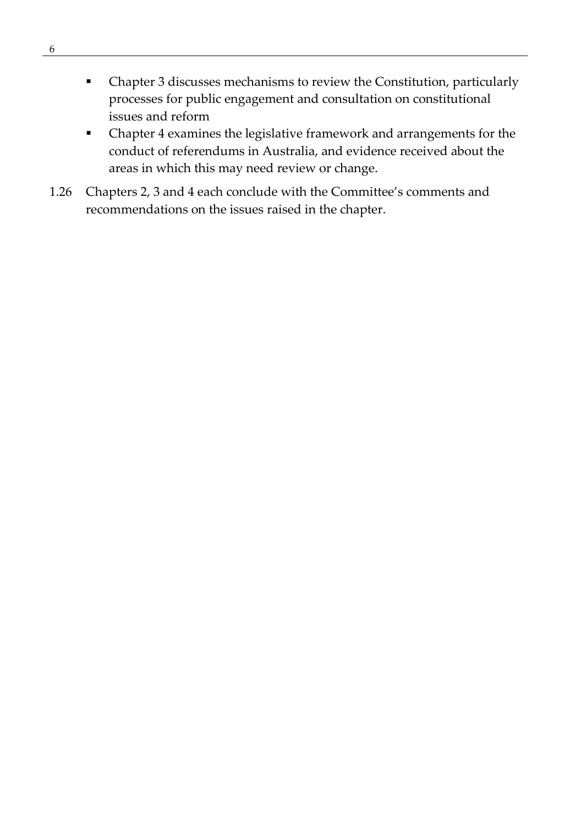- Chapter 3 discusses mechanisms to review the Constitution, particularly processes for public engagement and consultation on constitutional issues and reform
- Chapter 4 examines the legislative framework and arrangements for the conduct of referendums in Australia, and evidence received about the areas in which this may need review or change.
- 1.26 Chapters 2, 3 and 4 each conclude with the Committee's comments and recommendations on the issues raised in the chapter.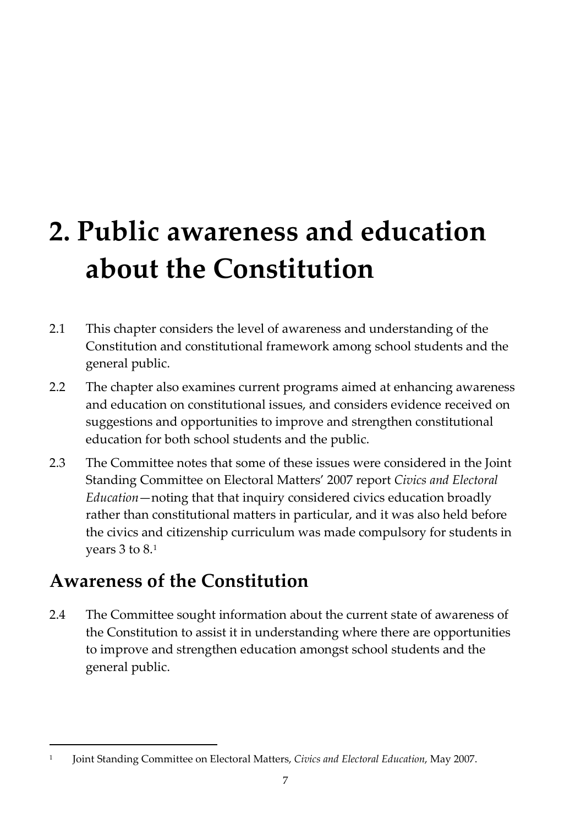# <span id="page-20-0"></span>**2. Public awareness and education about the Constitution**

- 2.1 This chapter considers the level of awareness and understanding of the Constitution and constitutional framework among school students and the general public.
- 2.2 The chapter also examines current programs aimed at enhancing awareness and education on constitutional issues, and considers evidence received on suggestions and opportunities to improve and strengthen constitutional education for both school students and the public.
- 2.3 The Committee notes that some of these issues were considered in the Joint Standing Committee on Electoral Matters' 2007 report *Civics and Electoral Education*—noting that that inquiry considered civics education broadly rather than constitutional matters in particular, and it was also held before the civics and citizenship curriculum was made compulsory for students in years 3 to 8.[1](#page-20-3)

### <span id="page-20-1"></span>**Awareness of the Constitution**

2.4 The Committee sought information about the current state of awareness of the Constitution to assist it in understanding where there are opportunities to improve and strengthen education amongst school students and the general public.

<span id="page-20-3"></span><span id="page-20-2"></span><sup>1</sup> Joint Standing Committee on Electoral Matters, *Civics and Electoral Education*, May 2007.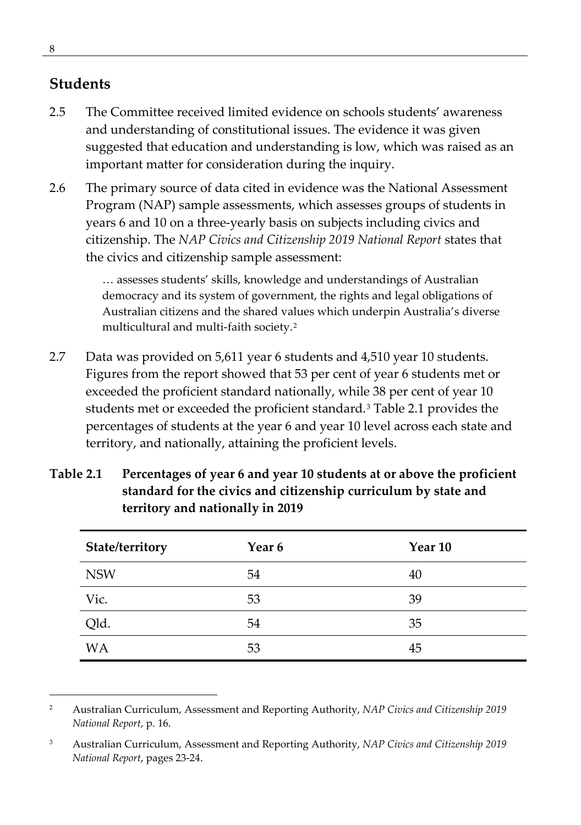### **Students**

- 2.5 The Committee received limited evidence on schools students' awareness and understanding of constitutional issues. The evidence it was given suggested that education and understanding is low, which was raised as an important matter for consideration during the inquiry.
- 2.6 The primary source of data cited in evidence was the National Assessment Program (NAP) sample assessments, which assesses groups of students in years 6 and 10 on a three-yearly basis on subjects including civics and citizenship. The *NAP Civics and Citizenship 2019 National Report* states that the civics and citizenship sample assessment:

… assesses students' skills, knowledge and understandings of Australian democracy and its system of government, the rights and legal obligations of Australian citizens and the shared values which underpin Australia's diverse multicultural and multi-faith society.[2](#page-21-0)

2.7 Data was provided on 5,611 year 6 students and 4,510 year 10 students. Figures from the report showed that 53 per cent of year 6 students met or exceeded the proficient standard nationally, while 38 per cent of year 10 students met or exceeded the proficient standard.[3](#page-21-1) Table 2.1 provides the percentages of students at the year 6 and year 10 level across each state and territory, and nationally, attaining the proficient levels.

| State/territory | Year <sub>6</sub> | Year 10 |
|-----------------|-------------------|---------|
| <b>NSW</b>      | 54                | 40      |
| Vic.            | 53                | 39      |
| Qld.            | 54                | 35      |
| <b>WA</b>       | 53                | 45      |

**Table 2.1 Percentages of year 6 and year 10 students at or above the proficient standard for the civics and citizenship curriculum by state and territory and nationally in 2019**

<span id="page-21-0"></span><sup>2</sup> Australian Curriculum, Assessment and Reporting Authority, *NAP Civics and Citizenship 2019 National Report*, p. 16.

<span id="page-21-1"></span><sup>3</sup> Australian Curriculum, Assessment and Reporting Authority, *NAP Civics and Citizenship 2019 National Report*, pages 23-24.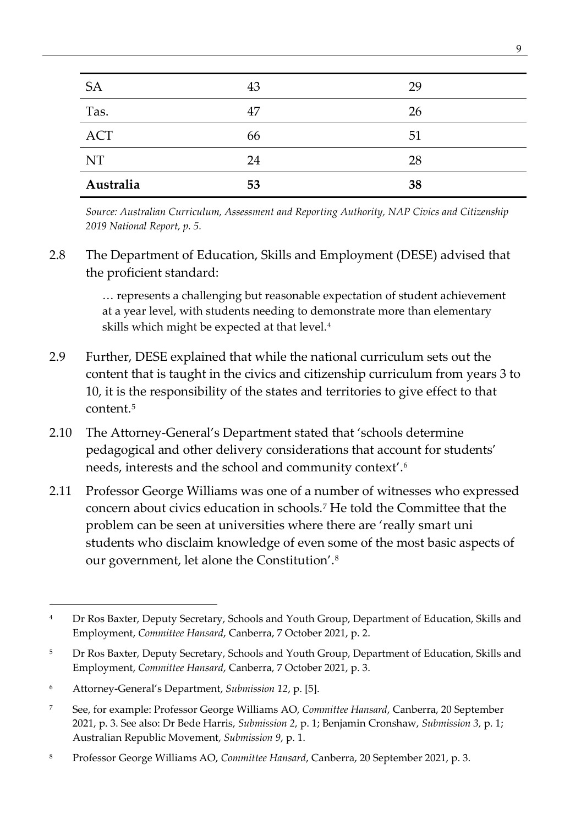| <b>SA</b>  | 43 | 29 |
|------------|----|----|
| Tas.       | 47 | 26 |
| <b>ACT</b> | 66 | 51 |
| NT         | 24 | 28 |
| Australia  | 53 | 38 |

*Source: Australian Curriculum, Assessment and Reporting Authority, NAP Civics and Citizenship 2019 National Report, p. 5.* 

2.8 The Department of Education, Skills and Employment (DESE) advised that the proficient standard:

> … represents a challenging but reasonable expectation of student achievement at a year level, with students needing to demonstrate more than elementary skills which might be expected at that level.[4](#page-22-0)

- 2.9 Further, DESE explained that while the national curriculum sets out the content that is taught in the civics and citizenship curriculum from years 3 to 10, it is the responsibility of the states and territories to give effect to that content.[5](#page-22-1)
- 2.10 The Attorney-General's Department stated that 'schools determine pedagogical and other delivery considerations that account for students' needs, interests and the school and community context'.[6](#page-22-2)
- 2.11 Professor George Williams was one of a number of witnesses who expressed concern about civics education in schools.[7](#page-22-3) He told the Committee that the problem can be seen at universities where there are 'really smart uni students who disclaim knowledge of even some of the most basic aspects of our government, let alone the Constitution'.[8](#page-22-4)

<span id="page-22-0"></span><sup>&</sup>lt;sup>4</sup> Dr Ros Baxter, Deputy Secretary, Schools and Youth Group, Department of Education, Skills and Employment, *Committee Hansard*, Canberra, 7 October 2021, p. 2.

<span id="page-22-1"></span><sup>&</sup>lt;sup>5</sup> Dr Ros Baxter, Deputy Secretary, Schools and Youth Group, Department of Education, Skills and Employment, *Committee Hansard*, Canberra, 7 October 2021, p. 3.

<span id="page-22-2"></span><sup>6</sup> Attorney-General's Department, *Submission 12*, p. [5].

<span id="page-22-3"></span><sup>7</sup> See, for example: Professor George Williams AO, *Committee Hansard*, Canberra, 20 September 2021, p. 3. See also: Dr Bede Harris, *Submission 2*, p. 1; Benjamin Cronshaw, *Submission 3,* p. 1; Australian Republic Movement, *Submission 9*, p. 1.

<span id="page-22-4"></span><sup>8</sup> Professor George Williams AO, *Committee Hansard*, Canberra, 20 September 2021, p. 3.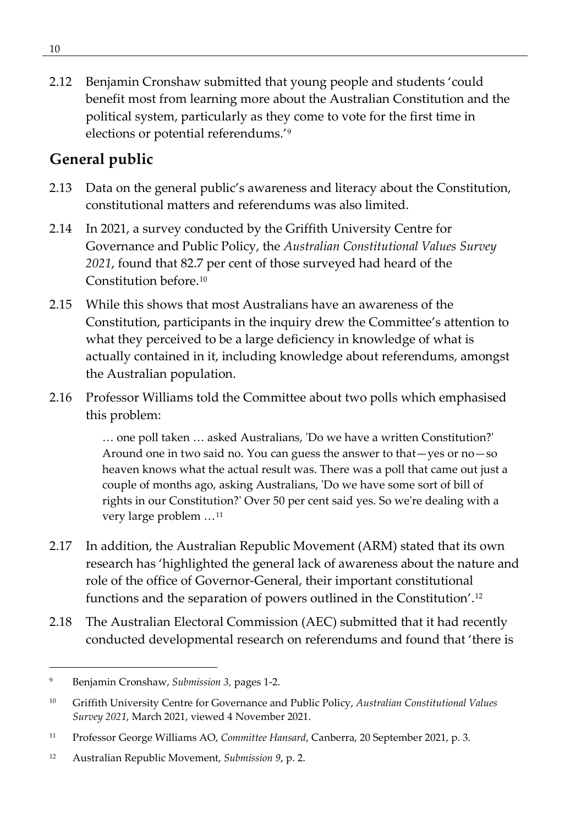2.12 Benjamin Cronshaw submitted that young people and students 'could benefit most from learning more about the Australian Constitution and the political system, particularly as they come to vote for the first time in elections or potential referendums.'[9](#page-23-1)

### <span id="page-23-0"></span>**General public**

- 2.13 Data on the general public's awareness and literacy about the Constitution, constitutional matters and referendums was also limited.
- 2.14 In 2021, a survey conducted by the Griffith University Centre for Governance and Public Policy, the *Australian Constitutional Values Survey 2021*, found that 82.7 per cent of those surveyed had heard of the Constitution before.[10](#page-23-2)
- 2.15 While this shows that most Australians have an awareness of the Constitution, participants in the inquiry drew the Committee's attention to what they perceived to be a large deficiency in knowledge of what is actually contained in it, including knowledge about referendums, amongst the Australian population.
- 2.16 Professor Williams told the Committee about two polls which emphasised this problem:

… one poll taken … asked Australians, 'Do we have a written Constitution?' Around one in two said no. You can guess the answer to that—yes or no—so heaven knows what the actual result was. There was a poll that came out just a couple of months ago, asking Australians, 'Do we have some sort of bill of rights in our Constitution?' Over 50 per cent said yes. So we're dealing with a very large problem …[11](#page-23-3)

- 2.17 In addition, the Australian Republic Movement (ARM) stated that its own research has 'highlighted the general lack of awareness about the nature and role of the office of Governor-General, their important constitutional functions and the separation of powers outlined in the Constitution'.[12](#page-23-4)
- 2.18 The Australian Electoral Commission (AEC) submitted that it had recently conducted developmental research on referendums and found that 'there is

<span id="page-23-1"></span><sup>9</sup> Benjamin Cronshaw, *Submission 3,* pages 1-2.

<span id="page-23-2"></span><sup>10</sup> Griffith University Centre for Governance and Public Policy, *Australian Constitutional Values Survey 2021*, March 2021, viewed 4 November 2021.

<span id="page-23-3"></span><sup>11</sup> Professor George Williams AO, *Committee Hansard*, Canberra, 20 September 2021, p. 3.

<span id="page-23-4"></span><sup>12</sup> Australian Republic Movement, *Submission 9*, p. 2.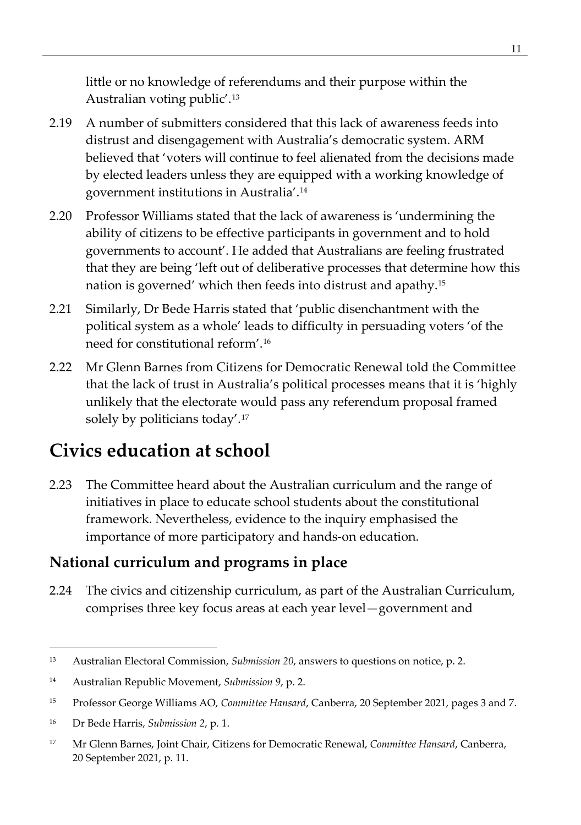little or no knowledge of referendums and their purpose within the Australian voting public'.[13](#page-24-2)

- 2.19 A number of submitters considered that this lack of awareness feeds into distrust and disengagement with Australia's democratic system. ARM believed that 'voters will continue to feel alienated from the decisions made by elected leaders unless they are equipped with a working knowledge of government institutions in Australia'.[14](#page-24-3)
- 2.20 Professor Williams stated that the lack of awareness is 'undermining the ability of citizens to be effective participants in government and to hold governments to account'. He added that Australians are feeling frustrated that they are being 'left out of deliberative processes that determine how this nation is governed' which then feeds into distrust and apathy.[15](#page-24-4)
- 2.21 Similarly, Dr Bede Harris stated that 'public disenchantment with the political system as a whole' leads to difficulty in persuading voters 'of the need for constitutional reform'.[16](#page-24-5)
- 2.22 Mr Glenn Barnes from Citizens for Democratic Renewal told the Committee that the lack of trust in Australia's political processes means that it is 'highly unlikely that the electorate would pass any referendum proposal framed solely by politicians today'.[17](#page-24-6)

### <span id="page-24-0"></span>**Civics education at school**

2.23 The Committee heard about the Australian curriculum and the range of initiatives in place to educate school students about the constitutional framework. Nevertheless, evidence to the inquiry emphasised the importance of more participatory and hands-on education.

### <span id="page-24-1"></span>**National curriculum and programs in place**

2.24 The civics and citizenship curriculum, as part of the Australian Curriculum, comprises three key focus areas at each year level—government and

<span id="page-24-2"></span><sup>13</sup> Australian Electoral Commission, *Submission 20*, answers to questions on notice, p. 2.

<span id="page-24-3"></span><sup>14</sup> Australian Republic Movement, *Submission 9*, p. 2.

<span id="page-24-4"></span><sup>15</sup> Professor George Williams AO, *Committee Hansard*, Canberra, 20 September 2021, pages 3 and 7.

<span id="page-24-5"></span><sup>16</sup> Dr Bede Harris, *Submission 2*, p. 1.

<span id="page-24-6"></span><sup>17</sup> Mr Glenn Barnes, Joint Chair, Citizens for Democratic Renewal, *Committee Hansard*, Canberra, 20 September 2021, p. 11.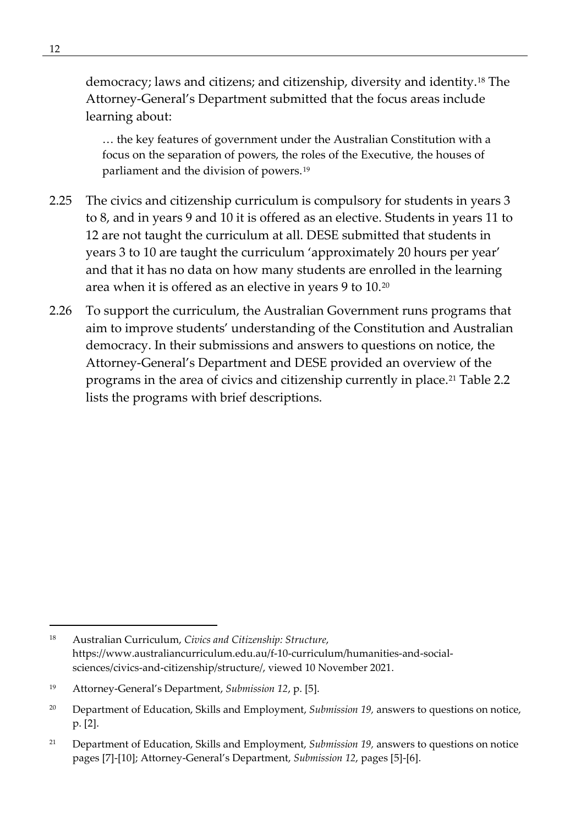democracy; laws and citizens; and citizenship, diversity and identity.[18](#page-25-0) The Attorney-General's Department submitted that the focus areas include learning about:

… the key features of government under the Australian Constitution with a focus on the separation of powers, the roles of the Executive, the houses of parliament and the division of powers.[19](#page-25-1)

- 2.25 The civics and citizenship curriculum is compulsory for students in years 3 to 8, and in years 9 and 10 it is offered as an elective. Students in years 11 to 12 are not taught the curriculum at all. DESE submitted that students in years 3 to 10 are taught the curriculum 'approximately 20 hours per year' and that it has no data on how many students are enrolled in the learning area when it is offered as an elective in years 9 to 10.[20](#page-25-2)
- 2.26 To support the curriculum, the Australian Government runs programs that aim to improve students' understanding of the Constitution and Australian democracy. In their submissions and answers to questions on notice, the Attorney-General's Department and DESE provided an overview of the programs in the area of civics and citizenship currently in place.<sup>[21](#page-25-3)</sup> Table 2.2 lists the programs with brief descriptions.

<span id="page-25-0"></span><sup>18</sup> Australian Curriculum, *Civics and Citizenship: Structure*, https://www.australiancurriculum.edu.au/f-10-curriculum/humanities-and-socialsciences/civics-and-citizenship/structure/, viewed 10 November 2021.

<span id="page-25-1"></span><sup>19</sup> Attorney-General's Department, *Submission 12*, p. [5].

<span id="page-25-2"></span><sup>&</sup>lt;sup>20</sup> Department of Education, Skills and Employment, *Submission 19*, answers to questions on notice, p. [2].

<span id="page-25-3"></span><sup>21</sup> Department of Education, Skills and Employment, *Submission 19,* answers to questions on notice pages [7]-[10]; Attorney-General's Department, *Submission 12*, pages [5]-[6].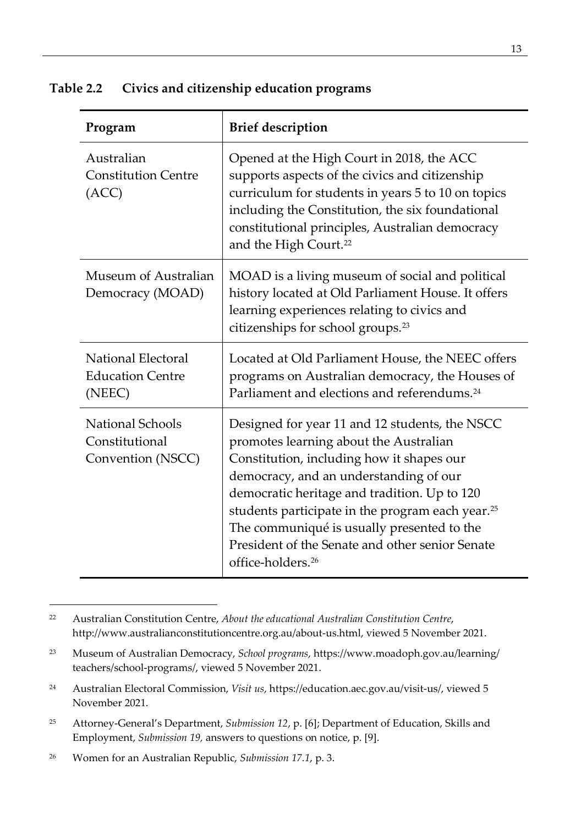|  | Table 2.2 | Civics and citizenship education programs |
|--|-----------|-------------------------------------------|
|--|-----------|-------------------------------------------|

| Program                                                        | <b>Brief description</b>                                                                                                                                                                                                                                                                                                                                                                                                          |
|----------------------------------------------------------------|-----------------------------------------------------------------------------------------------------------------------------------------------------------------------------------------------------------------------------------------------------------------------------------------------------------------------------------------------------------------------------------------------------------------------------------|
| Australian<br><b>Constitution Centre</b><br>(ACC)              | Opened at the High Court in 2018, the ACC<br>supports aspects of the civics and citizenship<br>curriculum for students in years 5 to 10 on topics<br>including the Constitution, the six foundational<br>constitutional principles, Australian democracy<br>and the High Court. <sup>22</sup>                                                                                                                                     |
| Museum of Australian<br>Democracy (MOAD)                       | MOAD is a living museum of social and political<br>history located at Old Parliament House. It offers<br>learning experiences relating to civics and<br>citizenships for school groups. <sup>23</sup>                                                                                                                                                                                                                             |
| <b>National Electoral</b><br><b>Education Centre</b><br>(NEEC) | Located at Old Parliament House, the NEEC offers<br>programs on Australian democracy, the Houses of<br>Parliament and elections and referendums. <sup>24</sup>                                                                                                                                                                                                                                                                    |
| National Schools<br>Constitutional<br>Convention (NSCC)        | Designed for year 11 and 12 students, the NSCC<br>promotes learning about the Australian<br>Constitution, including how it shapes our<br>democracy, and an understanding of our<br>democratic heritage and tradition. Up to 120<br>students participate in the program each year. <sup>25</sup><br>The communiqué is usually presented to the<br>President of the Senate and other senior Senate<br>office-holders. <sup>26</sup> |

<span id="page-26-0"></span><sup>22</sup> Australian Constitution Centre, *About the educational Australian Constitution Centre*, http://www.australianconstitutioncentre.org.au/about-us.html, viewed 5 November 2021.

<span id="page-26-1"></span><sup>23</sup> Museum of Australian Democracy, *School programs*, https://www.moadoph.gov.au/learning/ teachers/school-programs/, viewed 5 November 2021.

<span id="page-26-2"></span><sup>24</sup> Australian Electoral Commission, *Visit us*, https://education.aec.gov.au/visit-us/, viewed 5 November 2021.

<span id="page-26-3"></span><sup>25</sup> Attorney-General's Department, *Submission 12*, p. [6]; Department of Education, Skills and Employment, *Submission 19,* answers to questions on notice, p. [9].

<span id="page-26-4"></span><sup>26</sup> Women for an Australian Republic, *Submission 17.1*, p. 3.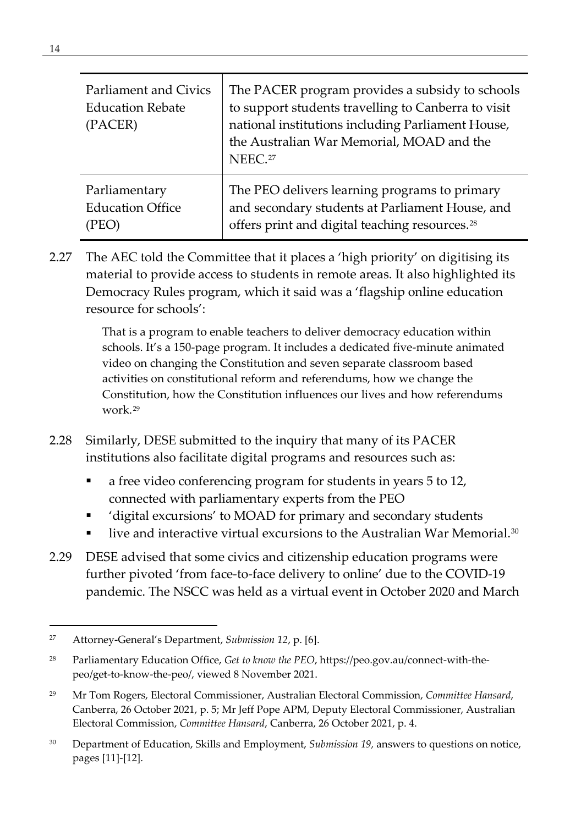| Parliament and Civics<br><b>Education Rebate</b><br>(PACER) | The PACER program provides a subsidy to schools<br>to support students travelling to Canberra to visit<br>national institutions including Parliament House,<br>the Australian War Memorial, MOAD and the<br>NEEC. <sup>27</sup> |
|-------------------------------------------------------------|---------------------------------------------------------------------------------------------------------------------------------------------------------------------------------------------------------------------------------|
| Parliamentary                                               | The PEO delivers learning programs to primary                                                                                                                                                                                   |
| <b>Education Office</b>                                     | and secondary students at Parliament House, and                                                                                                                                                                                 |
| (PEO)                                                       | offers print and digital teaching resources. <sup>28</sup>                                                                                                                                                                      |

2.27 The AEC told the Committee that it places a 'high priority' on digitising its material to provide access to students in remote areas. It also highlighted its Democracy Rules program, which it said was a 'flagship online education resource for schools':

> That is a program to enable teachers to deliver democracy education within schools. It's a 150-page program. It includes a dedicated five-minute animated video on changing the Constitution and seven separate classroom based activities on constitutional reform and referendums, how we change the Constitution, how the Constitution influences our lives and how referendums work.[29](#page-27-2)

- 2.28 Similarly, DESE submitted to the inquiry that many of its PACER institutions also facilitate digital programs and resources such as:
	- a free video conferencing program for students in years 5 to 12, connected with parliamentary experts from the PEO
	- 'digital excursions' to MOAD for primary and secondary students
	- live and interactive virtual excursions to the Australian War Memorial.<sup>[30](#page-27-3)</sup>
- 2.29 DESE advised that some civics and citizenship education programs were further pivoted 'from face-to-face delivery to online' due to the COVID-19 pandemic. The NSCC was held as a virtual event in October 2020 and March

<span id="page-27-0"></span><sup>27</sup> Attorney-General's Department, *Submission 12*, p. [6].

<span id="page-27-1"></span><sup>28</sup> Parliamentary Education Office, *Get to know the PEO*, https://peo.gov.au/connect-with-thepeo/get-to-know-the-peo/, viewed 8 November 2021.

<span id="page-27-2"></span><sup>29</sup> Mr Tom Rogers, Electoral Commissioner, Australian Electoral Commission, *Committee Hansard*, Canberra, 26 October 2021, p. 5; Mr Jeff Pope APM, Deputy Electoral Commissioner, Australian Electoral Commission, *Committee Hansard*, Canberra, 26 October 2021, p. 4.

<span id="page-27-3"></span><sup>30</sup> Department of Education, Skills and Employment, *Submission 19,* answers to questions on notice, pages [11]-[12].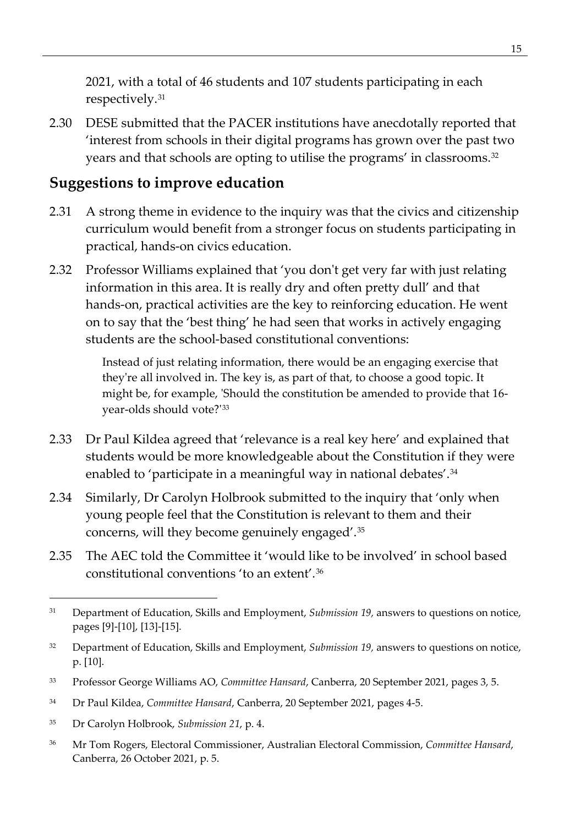2021, with a total of 46 students and 107 students participating in each respectively.[31](#page-28-1)

2.30 DESE submitted that the PACER institutions have anecdotally reported that 'interest from schools in their digital programs has grown over the past two years and that schools are opting to utilise the programs' in classrooms.[32](#page-28-2)

### <span id="page-28-0"></span>**Suggestions to improve education**

- 2.31 A strong theme in evidence to the inquiry was that the civics and citizenship curriculum would benefit from a stronger focus on students participating in practical, hands-on civics education.
- 2.32 Professor Williams explained that 'you don't get very far with just relating information in this area. It is really dry and often pretty dull' and that hands-on, practical activities are the key to reinforcing education. He went on to say that the 'best thing' he had seen that works in actively engaging students are the school-based constitutional conventions:

Instead of just relating information, there would be an engaging exercise that they're all involved in. The key is, as part of that, to choose a good topic. It might be, for example, 'Should the constitution be amended to provide that 16 year-olds should vote?'[33](#page-28-3)

- 2.33 Dr Paul Kildea agreed that 'relevance is a real key here' and explained that students would be more knowledgeable about the Constitution if they were enabled to 'participate in a meaningful way in national debates'.<sup>[34](#page-28-4)</sup>
- 2.34 Similarly, Dr Carolyn Holbrook submitted to the inquiry that 'only when young people feel that the Constitution is relevant to them and their concerns, will they become genuinely engaged'.[35](#page-28-5)
- 2.35 The AEC told the Committee it 'would like to be involved' in school based constitutional conventions 'to an extent'.[36](#page-28-6)

- <span id="page-28-4"></span><sup>34</sup> Dr Paul Kildea, *Committee Hansard*, Canberra, 20 September 2021, pages 4-5.
- <span id="page-28-5"></span><sup>35</sup> Dr Carolyn Holbrook, *Submission 21*, p. 4.
- <span id="page-28-6"></span><sup>36</sup> Mr Tom Rogers, Electoral Commissioner, Australian Electoral Commission, *Committee Hansard*, Canberra, 26 October 2021, p. 5.

<span id="page-28-1"></span><sup>31</sup> Department of Education, Skills and Employment, *Submission 19,* answers to questions on notice, pages [9]-[10], [13]-[15].

<span id="page-28-2"></span><sup>32</sup> Department of Education, Skills and Employment, *Submission 19,* answers to questions on notice, p. [10].

<span id="page-28-3"></span><sup>33</sup> Professor George Williams AO, *Committee Hansard*, Canberra, 20 September 2021, pages 3, 5.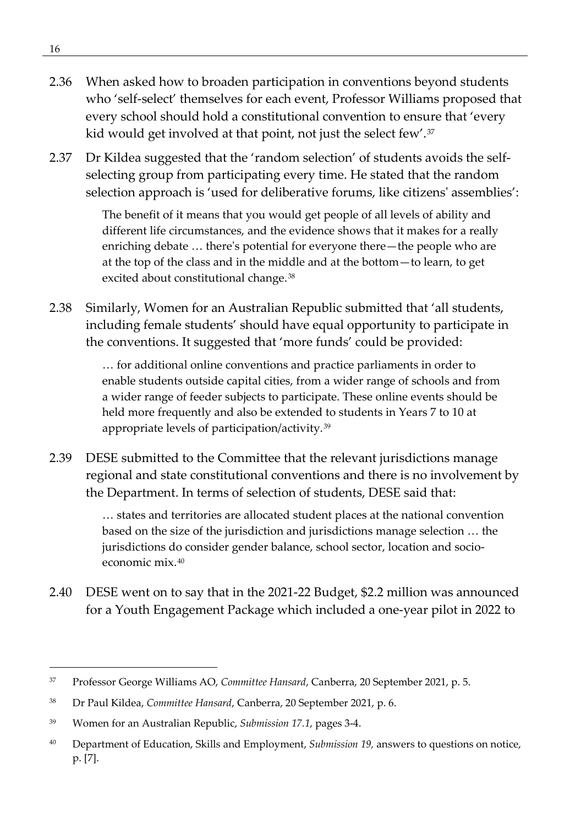- 2.36 When asked how to broaden participation in conventions beyond students who 'self-select' themselves for each event, Professor Williams proposed that every school should hold a constitutional convention to ensure that 'every kid would get involved at that point, not just the select few'.[37](#page-29-0)
- 2.37 Dr Kildea suggested that the 'random selection' of students avoids the selfselecting group from participating every time. He stated that the random selection approach is 'used for deliberative forums, like citizens' assemblies':

The benefit of it means that you would get people of all levels of ability and different life circumstances, and the evidence shows that it makes for a really enriching debate … there's potential for everyone there—the people who are at the top of the class and in the middle and at the bottom—to learn, to get excited about constitutional change.[38](#page-29-1)

2.38 Similarly, Women for an Australian Republic submitted that 'all students, including female students' should have equal opportunity to participate in the conventions. It suggested that 'more funds' could be provided:

> … for additional online conventions and practice parliaments in order to enable students outside capital cities, from a wider range of schools and from a wider range of feeder subjects to participate. These online events should be held more frequently and also be extended to students in Years 7 to 10 at appropriate levels of participation/activity.[39](#page-29-2)

2.39 DESE submitted to the Committee that the relevant jurisdictions manage regional and state constitutional conventions and there is no involvement by the Department. In terms of selection of students, DESE said that:

> … states and territories are allocated student places at the national convention based on the size of the jurisdiction and jurisdictions manage selection … the jurisdictions do consider gender balance, school sector, location and socioeconomic mix.[40](#page-29-3)

2.40 DESE went on to say that in the 2021-22 Budget, \$2.2 million was announced for a Youth Engagement Package which included a one-year pilot in 2022 to

<span id="page-29-0"></span><sup>37</sup> Professor George Williams AO, *Committee Hansard*, Canberra, 20 September 2021, p. 5.

<span id="page-29-1"></span><sup>38</sup> Dr Paul Kildea, *Committee Hansard*, Canberra, 20 September 2021, p. 6.

<span id="page-29-2"></span><sup>39</sup> Women for an Australian Republic, *Submission 17.1*, pages 3-4.

<span id="page-29-3"></span><sup>40</sup> Department of Education, Skills and Employment, *Submission 19,* answers to questions on notice, p. [7].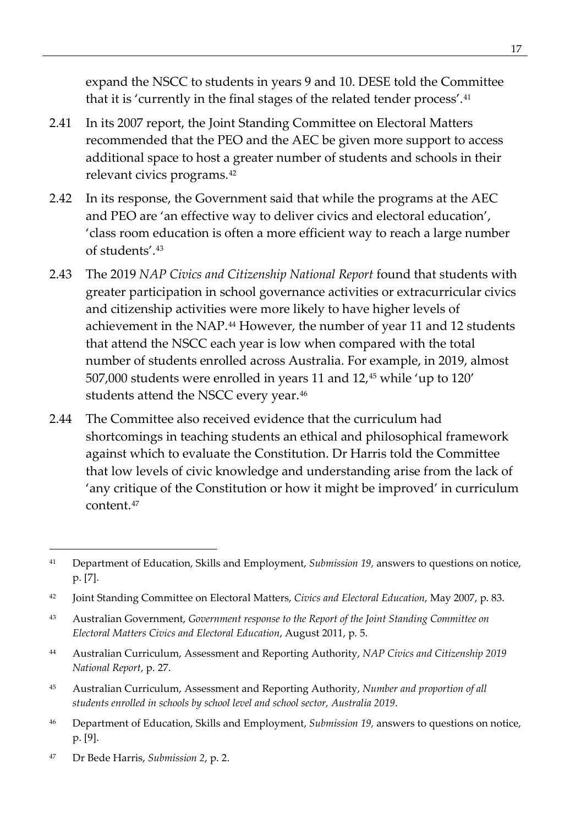expand the NSCC to students in years 9 and 10. DESE told the Committee that it is 'currently in the final stages of the related tender process'.<sup>[41](#page-30-0)</sup>

- 2.41 In its 2007 report, the Joint Standing Committee on Electoral Matters recommended that the PEO and the AEC be given more support to access additional space to host a greater number of students and schools in their relevant civics programs.[42](#page-30-1)
- 2.42 In its response, the Government said that while the programs at the AEC and PEO are 'an effective way to deliver civics and electoral education', 'class room education is often a more efficient way to reach a large number of students'.[43](#page-30-2)
- 2.43 The 2019 *NAP Civics and Citizenship National Report* found that students with greater participation in school governance activities or extracurricular civics and citizenship activities were more likely to have higher levels of achievement in the NAP.<sup>[44](#page-30-3)</sup> However, the number of year 11 and 12 students that attend the NSCC each year is low when compared with the total number of students enrolled across Australia. For example, in 2019, almost 507,000 students were enrolled in years 11 and 12,<sup>[45](#page-30-4)</sup> while 'up to 120' students attend the NSCC every year.<sup>[46](#page-30-5)</sup>
- 2.44 The Committee also received evidence that the curriculum had shortcomings in teaching students an ethical and philosophical framework against which to evaluate the Constitution. Dr Harris told the Committee that low levels of civic knowledge and understanding arise from the lack of 'any critique of the Constitution or how it might be improved' in curriculum content.[47](#page-30-6)

- <span id="page-30-3"></span><sup>44</sup> Australian Curriculum, Assessment and Reporting Authority, *NAP Civics and Citizenship 2019 National Report*, p. 27.
- <span id="page-30-4"></span><sup>45</sup> Australian Curriculum, Assessment and Reporting Authority, *Number and proportion of all students enrolled in schools by school level and school sector, Australia 2019*.
- <span id="page-30-5"></span><sup>46</sup> Department of Education, Skills and Employment, *Submission 19,* answers to questions on notice, p. [9].
- <span id="page-30-6"></span><sup>47</sup> Dr Bede Harris, *Submission 2*, p. 2.

<span id="page-30-0"></span><sup>41</sup> Department of Education, Skills and Employment, *Submission 19,* answers to questions on notice, p. [7].

<span id="page-30-1"></span><sup>42</sup> Joint Standing Committee on Electoral Matters, *Civics and Electoral Education*, May 2007, p. 83.

<span id="page-30-2"></span><sup>43</sup> Australian Government, *Government response to the Report of the Joint Standing Committee on Electoral Matters Civics and Electoral Education*, August 2011, p. 5.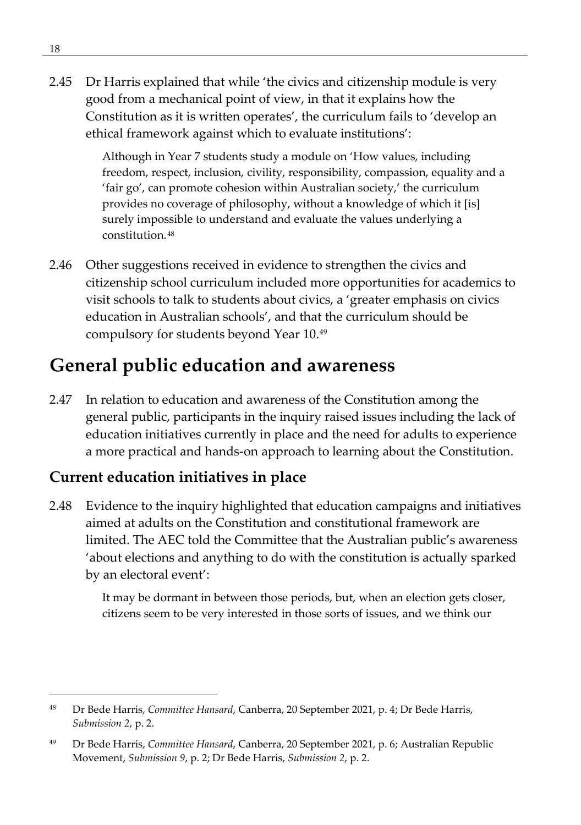2.45 Dr Harris explained that while 'the civics and citizenship module is very good from a mechanical point of view, in that it explains how the Constitution as it is written operates', the curriculum fails to 'develop an ethical framework against which to evaluate institutions':

> Although in Year 7 students study a module on 'How values, including freedom, respect, inclusion, civility, responsibility, compassion, equality and a 'fair go', can promote cohesion within Australian society,' the curriculum provides no coverage of philosophy, without a knowledge of which it [is] surely impossible to understand and evaluate the values underlying a constitution.[48](#page-31-2)

2.46 Other suggestions received in evidence to strengthen the civics and citizenship school curriculum included more opportunities for academics to visit schools to talk to students about civics, a 'greater emphasis on civics education in Australian schools', and that the curriculum should be compulsory for students beyond Year 10[.49](#page-31-3)

### <span id="page-31-0"></span>**General public education and awareness**

2.47 In relation to education and awareness of the Constitution among the general public, participants in the inquiry raised issues including the lack of education initiatives currently in place and the need for adults to experience a more practical and hands-on approach to learning about the Constitution.

### <span id="page-31-1"></span>**Current education initiatives in place**

2.48 Evidence to the inquiry highlighted that education campaigns and initiatives aimed at adults on the Constitution and constitutional framework are limited. The AEC told the Committee that the Australian public's awareness 'about elections and anything to do with the constitution is actually sparked by an electoral event':

> It may be dormant in between those periods, but, when an election gets closer, citizens seem to be very interested in those sorts of issues, and we think our

<span id="page-31-2"></span><sup>48</sup> Dr Bede Harris, *Committee Hansard*, Canberra, 20 September 2021, p. 4; Dr Bede Harris, *Submission 2*, p. 2.

<span id="page-31-3"></span><sup>49</sup> Dr Bede Harris, *Committee Hansard*, Canberra, 20 September 2021, p. 6; Australian Republic Movement, *Submission 9*, p. 2; Dr Bede Harris, *Submission 2*, p. 2.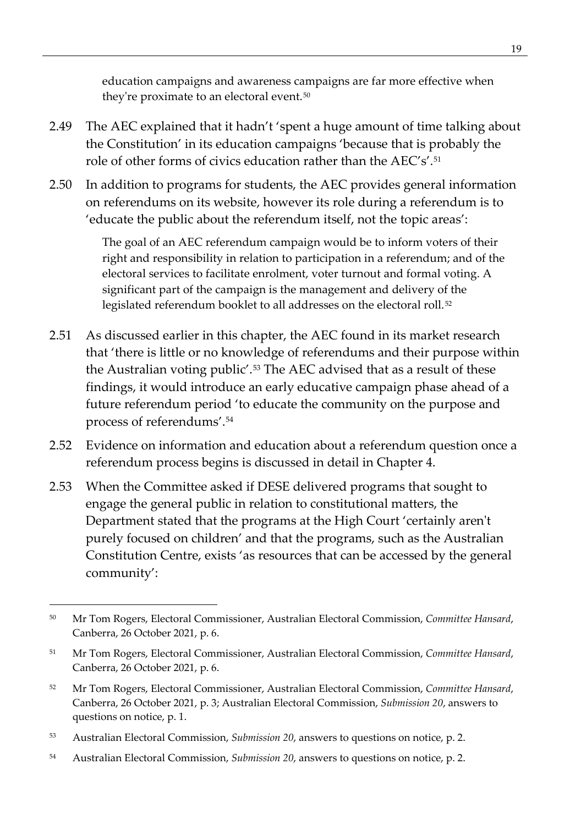education campaigns and awareness campaigns are far more effective when they're proximate to an electoral event.<sup>[50](#page-32-0)</sup>

- 2.49 The AEC explained that it hadn't 'spent a huge amount of time talking about the Constitution' in its education campaigns 'because that is probably the role of other forms of civics education rather than the AEC's'[.51](#page-32-1)
- 2.50 In addition to programs for students, the AEC provides general information on referendums on its website, however its role during a referendum is to 'educate the public about the referendum itself, not the topic areas':

The goal of an AEC referendum campaign would be to inform voters of their right and responsibility in relation to participation in a referendum; and of the electoral services to facilitate enrolment, voter turnout and formal voting. A significant part of the campaign is the management and delivery of the legislated referendum booklet to all addresses on the electoral roll.<sup>[52](#page-32-2)</sup>

- 2.51 As discussed earlier in this chapter, the AEC found in its market research that 'there is little or no knowledge of referendums and their purpose within the Australian voting public'.[53](#page-32-3) The AEC advised that as a result of these findings, it would introduce an early educative campaign phase ahead of a future referendum period 'to educate the community on the purpose and process of referendums'.[54](#page-32-4)
- 2.52 Evidence on information and education about a referendum question once a referendum process begins is discussed in detail in Chapter 4.
- 2.53 When the Committee asked if DESE delivered programs that sought to engage the general public in relation to constitutional matters, the Department stated that the programs at the High Court 'certainly aren't purely focused on children' and that the programs, such as the Australian Constitution Centre, exists 'as resources that can be accessed by the general community':

- <span id="page-32-2"></span><sup>52</sup> Mr Tom Rogers, Electoral Commissioner, Australian Electoral Commission, *Committee Hansard*, Canberra, 26 October 2021, p. 3; Australian Electoral Commission, *Submission 20*, answers to questions on notice, p. 1.
- <span id="page-32-3"></span><sup>53</sup> Australian Electoral Commission, *Submission 20*, answers to questions on notice, p. 2.
- <span id="page-32-4"></span><sup>54</sup> Australian Electoral Commission, *Submission 20*, answers to questions on notice, p. 2.

<span id="page-32-0"></span><sup>50</sup> Mr Tom Rogers, Electoral Commissioner, Australian Electoral Commission, *Committee Hansard*, Canberra, 26 October 2021, p. 6.

<span id="page-32-1"></span><sup>51</sup> Mr Tom Rogers, Electoral Commissioner, Australian Electoral Commission, *Committee Hansard*, Canberra, 26 October 2021, p. 6.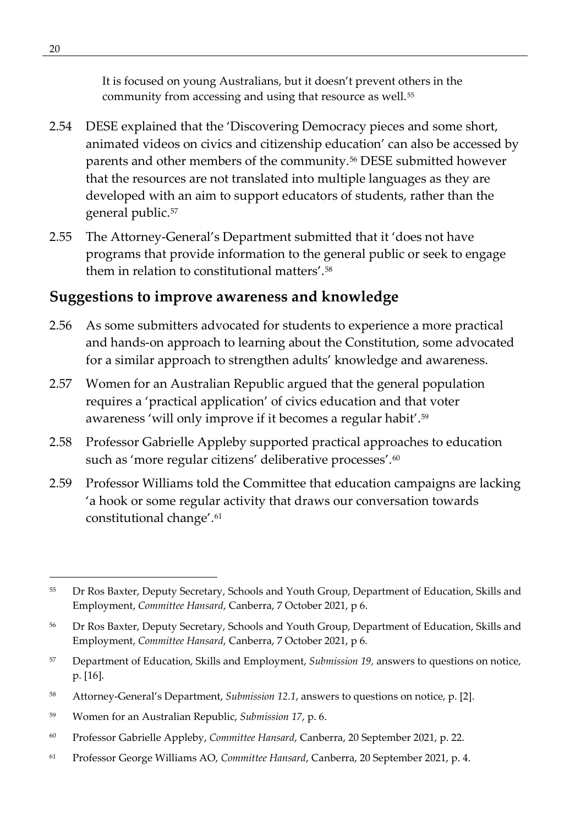It is focused on young Australians, but it doesn't prevent others in the community from accessing and using that resource as well.<sup>[55](#page-33-1)</sup>

- 2.54 DESE explained that the 'Discovering Democracy pieces and some short, animated videos on civics and citizenship education' can also be accessed by parents and other members of the community.[56](#page-33-2) DESE submitted however that the resources are not translated into multiple languages as they are developed with an aim to support educators of students, rather than the general public[.57](#page-33-3)
- 2.55 The Attorney-General's Department submitted that it 'does not have programs that provide information to the general public or seek to engage them in relation to constitutional matters'.<sup>[58](#page-33-4)</sup>

### <span id="page-33-0"></span>**Suggestions to improve awareness and knowledge**

- 2.56 As some submitters advocated for students to experience a more practical and hands-on approach to learning about the Constitution, some advocated for a similar approach to strengthen adults' knowledge and awareness.
- 2.57 Women for an Australian Republic argued that the general population requires a 'practical application' of civics education and that voter awareness 'will only improve if it becomes a regular habit'.[59](#page-33-5)
- 2.58 Professor Gabrielle Appleby supported practical approaches to education such as 'more regular citizens' deliberative processes'.<sup>[60](#page-33-6)</sup>
- 2.59 Professor Williams told the Committee that education campaigns are lacking 'a hook or some regular activity that draws our conversation towards constitutional change'.[61](#page-33-7)

<span id="page-33-3"></span><sup>57</sup> Department of Education, Skills and Employment, *Submission 19,* answers to questions on notice, p. [16].

- <span id="page-33-6"></span><sup>60</sup> Professor Gabrielle Appleby, *Committee Hansard*, Canberra, 20 September 2021, p. 22.
- <span id="page-33-7"></span><sup>61</sup> Professor George Williams AO, *Committee Hansard*, Canberra, 20 September 2021, p. 4.

<span id="page-33-1"></span><sup>&</sup>lt;sup>55</sup> Dr Ros Baxter, Deputy Secretary, Schools and Youth Group, Department of Education, Skills and Employment, *Committee Hansard*, Canberra, 7 October 2021, p 6.

<span id="page-33-2"></span><sup>&</sup>lt;sup>56</sup> Dr Ros Baxter, Deputy Secretary, Schools and Youth Group, Department of Education, Skills and Employment, *Committee Hansard*, Canberra, 7 October 2021, p 6.

<span id="page-33-4"></span><sup>58</sup> Attorney-General's Department, *Submission 12.1*, answers to questions on notice, p. [2].

<span id="page-33-5"></span><sup>59</sup> Women for an Australian Republic, *Submission 17*, p. 6.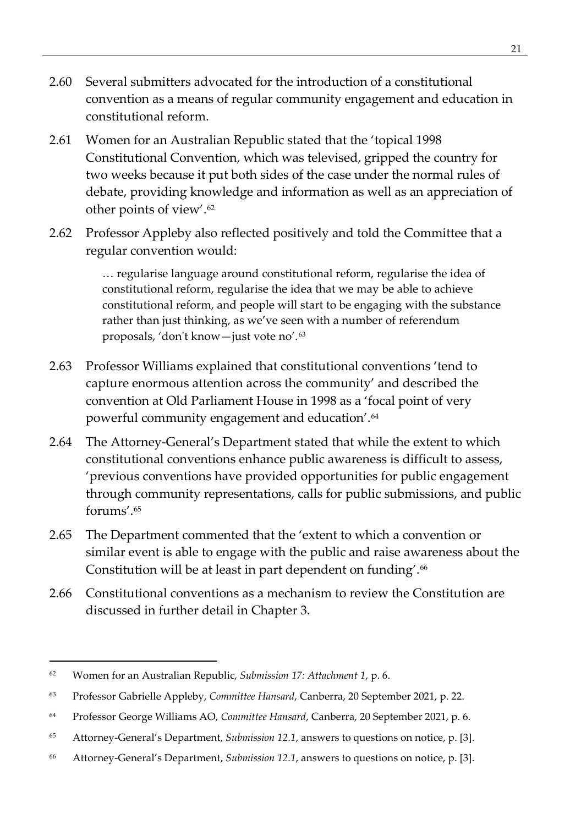- 2.60 Several submitters advocated for the introduction of a constitutional convention as a means of regular community engagement and education in constitutional reform.
- 2.61 Women for an Australian Republic stated that the 'topical 1998 Constitutional Convention, which was televised, gripped the country for two weeks because it put both sides of the case under the normal rules of debate, providing knowledge and information as well as an appreciation of other points of view'.[62](#page-34-0)
- 2.62 Professor Appleby also reflected positively and told the Committee that a regular convention would:

… regularise language around constitutional reform, regularise the idea of constitutional reform, regularise the idea that we may be able to achieve constitutional reform, and people will start to be engaging with the substance rather than just thinking, as we've seen with a number of referendum proposals, 'don't know—just vote no'.[63](#page-34-1)

- 2.63 Professor Williams explained that constitutional conventions 'tend to capture enormous attention across the community' and described the convention at Old Parliament House in 1998 as a 'focal point of very powerful community engagement and education'.[64](#page-34-2)
- 2.64 The Attorney-General's Department stated that while the extent to which constitutional conventions enhance public awareness is difficult to assess, 'previous conventions have provided opportunities for public engagement through community representations, calls for public submissions, and public forums'.[65](#page-34-3)
- 2.65 The Department commented that the 'extent to which a convention or similar event is able to engage with the public and raise awareness about the Constitution will be at least in part dependent on funding'.<sup>[66](#page-34-4)</sup>
- 2.66 Constitutional conventions as a mechanism to review the Constitution are discussed in further detail in Chapter 3.

<span id="page-34-0"></span><sup>62</sup> Women for an Australian Republic, *Submission 17: Attachment 1*, p. 6.

<span id="page-34-1"></span><sup>63</sup> Professor Gabrielle Appleby, *Committee Hansard*, Canberra, 20 September 2021, p. 22.

<span id="page-34-2"></span><sup>64</sup> Professor George Williams AO, *Committee Hansard*, Canberra, 20 September 2021, p. 6.

<span id="page-34-3"></span><sup>65</sup> Attorney-General's Department, *Submission 12.1*, answers to questions on notice, p. [3].

<span id="page-34-4"></span><sup>66</sup> Attorney-General's Department, *Submission 12.1*, answers to questions on notice, p. [3].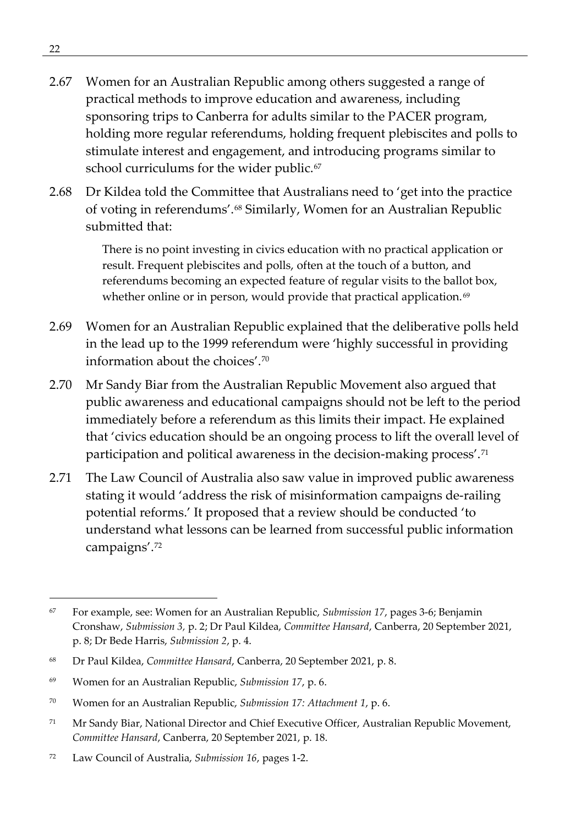- 2.67 Women for an Australian Republic among others suggested a range of practical methods to improve education and awareness, including sponsoring trips to Canberra for adults similar to the PACER program, holding more regular referendums, holding frequent plebiscites and polls to stimulate interest and engagement, and introducing programs similar to school curriculums for the wider public.<sup>[67](#page-35-0)</sup>
- 2.68 Dr Kildea told the Committee that Australians need to 'get into the practice of voting in referendums'.[68](#page-35-1) Similarly, Women for an Australian Republic submitted that:

There is no point investing in civics education with no practical application or result. Frequent plebiscites and polls, often at the touch of a button, and referendums becoming an expected feature of regular visits to the ballot box, whether online or in person, would provide that practical application.<sup>[69](#page-35-2)</sup>

- 2.69 Women for an Australian Republic explained that the deliberative polls held in the lead up to the 1999 referendum were 'highly successful in providing information about the choices'.[70](#page-35-3)
- 2.70 Mr Sandy Biar from the Australian Republic Movement also argued that public awareness and educational campaigns should not be left to the period immediately before a referendum as this limits their impact. He explained that 'civics education should be an ongoing process to lift the overall level of participation and political awareness in the decision-making process'.[71](#page-35-4)
- 2.71 The Law Council of Australia also saw value in improved public awareness stating it would 'address the risk of misinformation campaigns de-railing potential reforms.' It proposed that a review should be conducted 'to understand what lessons can be learned from successful public information campaigns'.[72](#page-35-5)

<span id="page-35-0"></span><sup>67</sup> For example, see: Women for an Australian Republic, *Submission 17*, pages 3-6; Benjamin Cronshaw, *Submission 3,* p. 2; Dr Paul Kildea, *Committee Hansard*, Canberra, 20 September 2021, p. 8; Dr Bede Harris, *Submission 2*, p. 4.

<span id="page-35-1"></span><sup>68</sup> Dr Paul Kildea, *Committee Hansard*, Canberra, 20 September 2021, p. 8.

<span id="page-35-2"></span><sup>69</sup> Women for an Australian Republic, *Submission 17*, p. 6.

<span id="page-35-3"></span><sup>70</sup> Women for an Australian Republic, *Submission 17: Attachment 1*, p. 6.

<span id="page-35-4"></span><sup>71</sup> Mr Sandy Biar, National Director and Chief Executive Officer, Australian Republic Movement, *Committee Hansard*, Canberra, 20 September 2021, p. 18.

<span id="page-35-5"></span><sup>72</sup> Law Council of Australia, *Submission 16*, pages 1-2.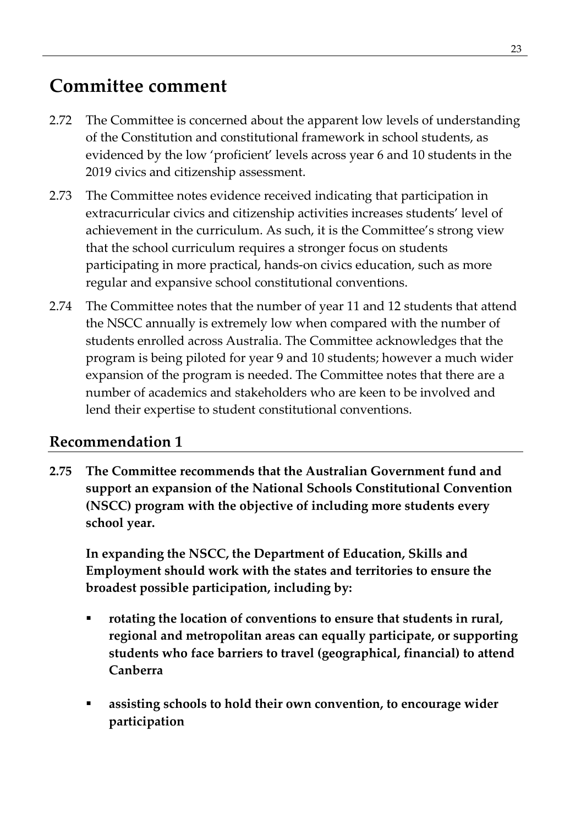## **Committee comment**

- 2.72 The Committee is concerned about the apparent low levels of understanding of the Constitution and constitutional framework in school students, as evidenced by the low 'proficient' levels across year 6 and 10 students in the 2019 civics and citizenship assessment.
- 2.73 The Committee notes evidence received indicating that participation in extracurricular civics and citizenship activities increases students' level of achievement in the curriculum. As such, it is the Committee's strong view that the school curriculum requires a stronger focus on students participating in more practical, hands-on civics education, such as more regular and expansive school constitutional conventions.
- 2.74 The Committee notes that the number of year 11 and 12 students that attend the NSCC annually is extremely low when compared with the number of students enrolled across Australia. The Committee acknowledges that the program is being piloted for year 9 and 10 students; however a much wider expansion of the program is needed. The Committee notes that there are a number of academics and stakeholders who are keen to be involved and lend their expertise to student constitutional conventions.

#### **Recommendation 1**

**2.75 The Committee recommends that the Australian Government fund and support an expansion of the National Schools Constitutional Convention (NSCC) program with the objective of including more students every school year.** 

**In expanding the NSCC, the Department of Education, Skills and Employment should work with the states and territories to ensure the broadest possible participation, including by:**

- **rotating the location of conventions to ensure that students in rural, regional and metropolitan areas can equally participate, or supporting students who face barriers to travel (geographical, financial) to attend Canberra**
- **assisting schools to hold their own convention, to encourage wider participation**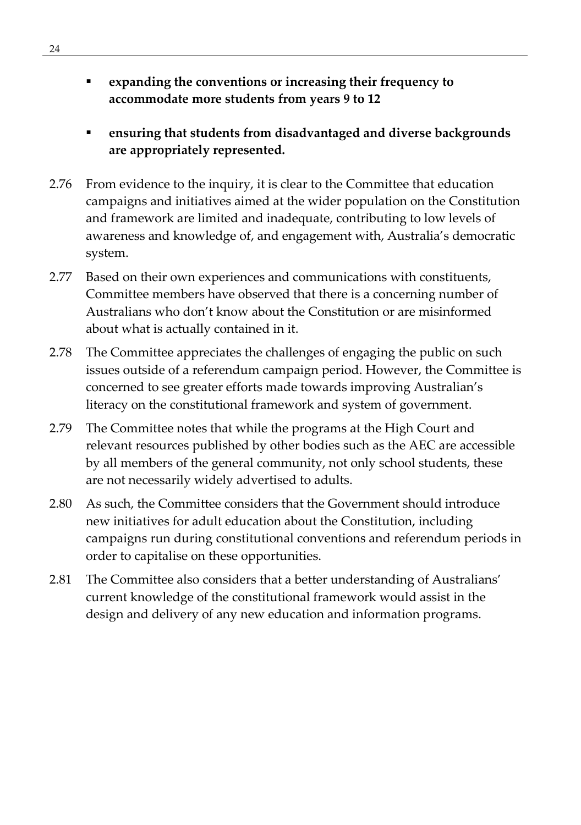- **expanding the conventions or increasing their frequency to accommodate more students from years 9 to 12**
- **ensuring that students from disadvantaged and diverse backgrounds are appropriately represented.**
- 2.76 From evidence to the inquiry, it is clear to the Committee that education campaigns and initiatives aimed at the wider population on the Constitution and framework are limited and inadequate, contributing to low levels of awareness and knowledge of, and engagement with, Australia's democratic system.
- 2.77 Based on their own experiences and communications with constituents, Committee members have observed that there is a concerning number of Australians who don't know about the Constitution or are misinformed about what is actually contained in it.
- 2.78 The Committee appreciates the challenges of engaging the public on such issues outside of a referendum campaign period. However, the Committee is concerned to see greater efforts made towards improving Australian's literacy on the constitutional framework and system of government.
- 2.79 The Committee notes that while the programs at the High Court and relevant resources published by other bodies such as the AEC are accessible by all members of the general community, not only school students, these are not necessarily widely advertised to adults.
- 2.80 As such, the Committee considers that the Government should introduce new initiatives for adult education about the Constitution, including campaigns run during constitutional conventions and referendum periods in order to capitalise on these opportunities.
- 2.81 The Committee also considers that a better understanding of Australians' current knowledge of the constitutional framework would assist in the design and delivery of any new education and information programs.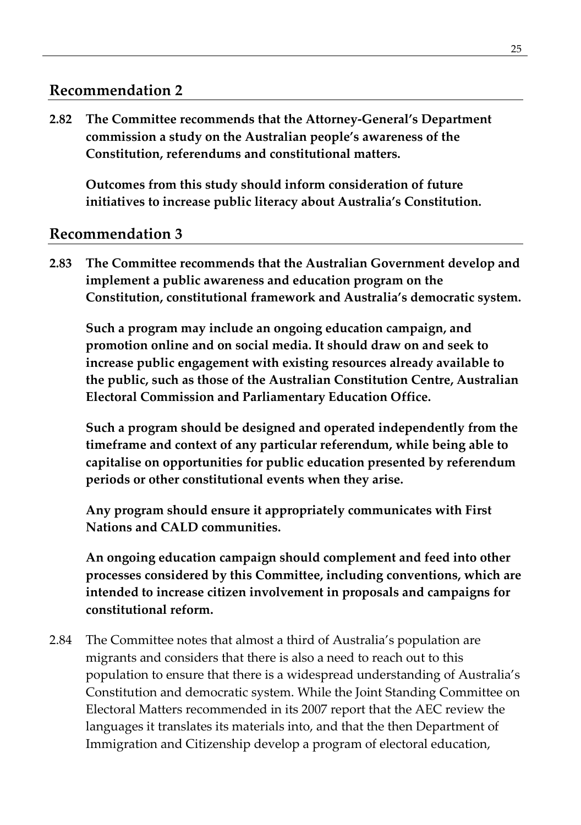#### **Recommendation 2**

**2.82 The Committee recommends that the Attorney-General's Department commission a study on the Australian people's awareness of the Constitution, referendums and constitutional matters.** 

**Outcomes from this study should inform consideration of future initiatives to increase public literacy about Australia's Constitution.**

#### **Recommendation 3**

**2.83 The Committee recommends that the Australian Government develop and implement a public awareness and education program on the Constitution, constitutional framework and Australia's democratic system.** 

**Such a program may include an ongoing education campaign, and promotion online and on social media. It should draw on and seek to increase public engagement with existing resources already available to the public, such as those of the Australian Constitution Centre, Australian Electoral Commission and Parliamentary Education Office.**

**Such a program should be designed and operated independently from the timeframe and context of any particular referendum, while being able to capitalise on opportunities for public education presented by referendum periods or other constitutional events when they arise.**

**Any program should ensure it appropriately communicates with First Nations and CALD communities.**

**An ongoing education campaign should complement and feed into other processes considered by this Committee, including conventions, which are intended to increase citizen involvement in proposals and campaigns for constitutional reform.**

2.84 The Committee notes that almost a third of Australia's population are migrants and considers that there is also a need to reach out to this population to ensure that there is a widespread understanding of Australia's Constitution and democratic system. While the Joint Standing Committee on Electoral Matters recommended in its 2007 report that the AEC review the languages it translates its materials into, and that the then Department of Immigration and Citizenship develop a program of electoral education,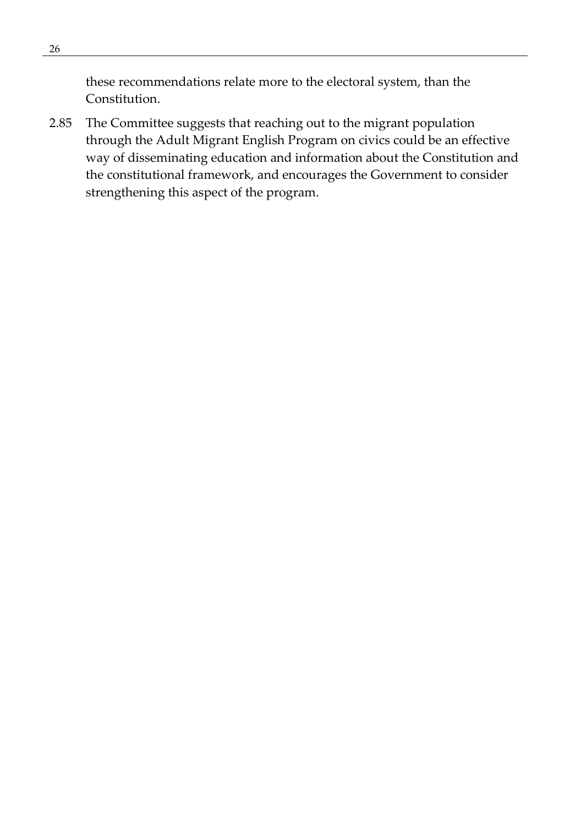these recommendations relate more to the electoral system, than the Constitution.

2.85 The Committee suggests that reaching out to the migrant population through the Adult Migrant English Program on civics could be an effective way of disseminating education and information about the Constitution and the constitutional framework, and encourages the Government to consider strengthening this aspect of the program.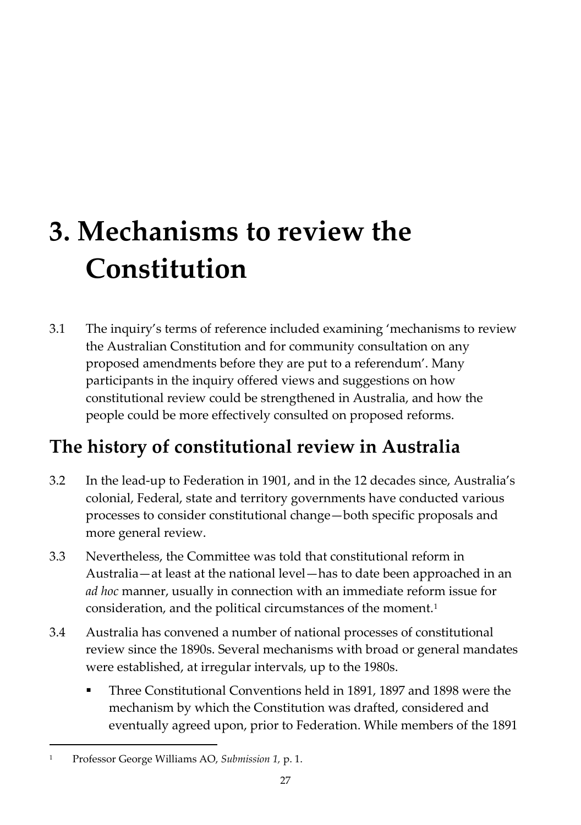# **3. Mechanisms to review the Constitution**

3.1 The inquiry's terms of reference included examining 'mechanisms to review the Australian Constitution and for community consultation on any proposed amendments before they are put to a referendum'. Many participants in the inquiry offered views and suggestions on how constitutional review could be strengthened in Australia, and how the people could be more effectively consulted on proposed reforms.

# **The history of constitutional review in Australia**

- 3.2 In the lead-up to Federation in 1901, and in the 12 decades since, Australia's colonial, Federal, state and territory governments have conducted various processes to consider constitutional change—both specific proposals and more general review.
- 3.3 Nevertheless, the Committee was told that constitutional reform in Australia—at least at the national level—has to date been approached in an *ad hoc* manner, usually in connection with an immediate reform issue for consideration, and the political circumstances of the moment.<sup>[1](#page-40-0)</sup>
- 3.4 Australia has convened a number of national processes of constitutional review since the 1890s. Several mechanisms with broad or general mandates were established, at irregular intervals, up to the 1980s.
	- Three Constitutional Conventions held in 1891, 1897 and 1898 were the mechanism by which the Constitution was drafted, considered and eventually agreed upon, prior to Federation. While members of the 1891

<span id="page-40-0"></span><sup>1</sup> Professor George Williams AO, *Submission 1,* p. 1.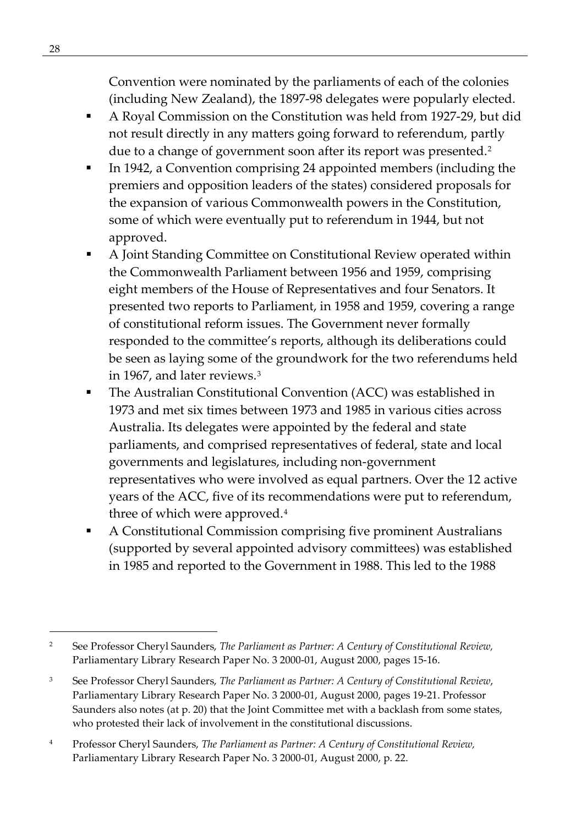Convention were nominated by the parliaments of each of the colonies (including New Zealand), the 1897-98 delegates were popularly elected.

- A Royal Commission on the Constitution was held from 1927-29, but did not result directly in any matters going forward to referendum, partly due to a change of government soon after its report was presented.<sup>[2](#page-41-0)</sup>
- In 1942, a Convention comprising 24 appointed members (including the premiers and opposition leaders of the states) considered proposals for the expansion of various Commonwealth powers in the Constitution, some of which were eventually put to referendum in 1944, but not approved.
- A Joint Standing Committee on Constitutional Review operated within the Commonwealth Parliament between 1956 and 1959, comprising eight members of the House of Representatives and four Senators. It presented two reports to Parliament, in 1958 and 1959, covering a range of constitutional reform issues. The Government never formally responded to the committee's reports, although its deliberations could be seen as laying some of the groundwork for the two referendums held in 1967, and later reviews.[3](#page-41-1)
- The Australian Constitutional Convention (ACC) was established in 1973 and met six times between 1973 and 1985 in various cities across Australia. Its delegates were appointed by the federal and state parliaments, and comprised representatives of federal, state and local governments and legislatures, including non-government representatives who were involved as equal partners. Over the 12 active years of the ACC, five of its recommendations were put to referendum, three of which were approved.<sup>[4](#page-41-2)</sup>
- A Constitutional Commission comprising five prominent Australians (supported by several appointed advisory committees) was established in 1985 and reported to the Government in 1988. This led to the 1988

<span id="page-41-0"></span><sup>2</sup> See Professor Cheryl Saunders, *The Parliament as Partner: A Century of Constitutional Review,*  Parliamentary Library Research Paper No. 3 2000-01, August 2000, pages 15-16.

<span id="page-41-1"></span><sup>3</sup> See Professor Cheryl Saunders, *The Parliament as Partner: A Century of Constitutional Review*, Parliamentary Library Research Paper No. 3 2000-01, August 2000, pages 19-21. Professor Saunders also notes (at p. 20) that the Joint Committee met with a backlash from some states, who protested their lack of involvement in the constitutional discussions.

<span id="page-41-2"></span><sup>4</sup> Professor Cheryl Saunders, *The Parliament as Partner: A Century of Constitutional Review,*  Parliamentary Library Research Paper No. 3 2000-01, August 2000, p. 22.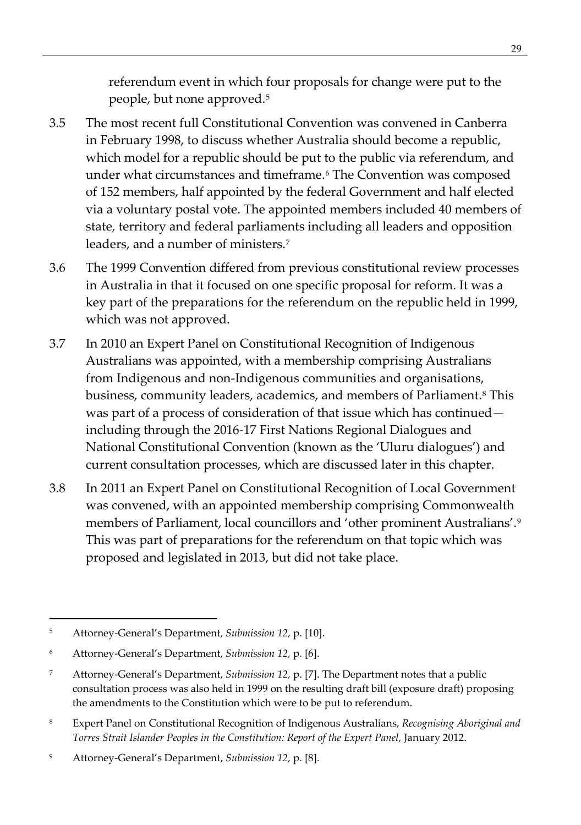referendum event in which four proposals for change were put to the people, but none approved.[5](#page-42-0)

- 3.5 The most recent full Constitutional Convention was convened in Canberra in February 1998, to discuss whether Australia should become a republic, which model for a republic should be put to the public via referendum, and under what circumstances and timeframe.<sup>6</sup> The Convention was composed of 152 members, half appointed by the federal Government and half elected via a voluntary postal vote. The appointed members included 40 members of state, territory and federal parliaments including all leaders and opposition leaders, and a number of ministers.[7](#page-42-2)
- 3.6 The 1999 Convention differed from previous constitutional review processes in Australia in that it focused on one specific proposal for reform. It was a key part of the preparations for the referendum on the republic held in 1999, which was not approved.
- 3.7 In 2010 an Expert Panel on Constitutional Recognition of Indigenous Australians was appointed, with a membership comprising Australians from Indigenous and non-Indigenous communities and organisations, business, community leaders, academics, and members of Parliament.<sup>[8](#page-42-3)</sup> This was part of a process of consideration of that issue which has continued including through the 2016-17 First Nations Regional Dialogues and National Constitutional Convention (known as the 'Uluru dialogues') and current consultation processes, which are discussed later in this chapter.
- 3.8 In 2011 an Expert Panel on Constitutional Recognition of Local Government was convened, with an appointed membership comprising Commonwealth members of Parliament, local councillors and 'other prominent Australians'.[9](#page-42-4) This was part of preparations for the referendum on that topic which was proposed and legislated in 2013, but did not take place.

<span id="page-42-3"></span><sup>8</sup> Expert Panel on Constitutional Recognition of Indigenous Australians, *Recognising Aboriginal and Torres Strait Islander Peoples in the Constitution: Report of the Expert Panel*, January 2012.

<span id="page-42-0"></span><sup>5</sup> Attorney-General's Department, *Submission 12,* p. [10].

<span id="page-42-1"></span><sup>6</sup> Attorney-General's Department, *Submission 12,* p. [6].

<span id="page-42-2"></span><sup>7</sup> Attorney-General's Department, *Submission 12,* p. [7]. The Department notes that a public consultation process was also held in 1999 on the resulting draft bill (exposure draft) proposing the amendments to the Constitution which were to be put to referendum.

<span id="page-42-4"></span><sup>9</sup> Attorney-General's Department, *Submission 12,* p. [8].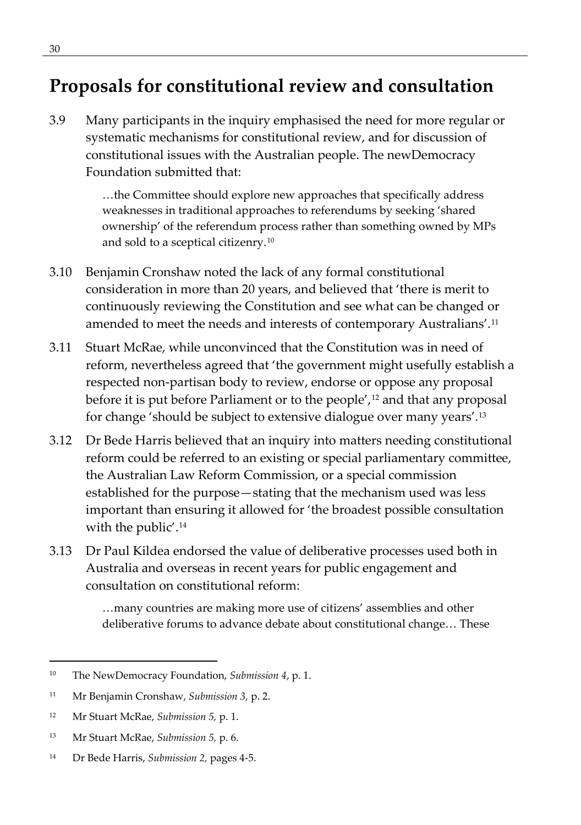## **Proposals for constitutional review and consultation**

3.9 Many participants in the inquiry emphasised the need for more regular or systematic mechanisms for constitutional review, and for discussion of constitutional issues with the Australian people. The newDemocracy Foundation submitted that:

> …the Committee should explore new approaches that specifically address weaknesses in traditional approaches to referendums by seeking 'shared ownership' of the referendum process rather than something owned by MPs and sold to a sceptical citizenry.[10](#page-43-0)

- 3.10 Benjamin Cronshaw noted the lack of any formal constitutional consideration in more than 20 years, and believed that 'there is merit to continuously reviewing the Constitution and see what can be changed or amended to meet the needs and interests of contemporary Australians'.[11](#page-43-1)
- 3.11 Stuart McRae, while unconvinced that the Constitution was in need of reform, nevertheless agreed that 'the government might usefully establish a respected non-partisan body to review, endorse or oppose any proposal before it is put before Parliament or to the people',<sup>[12](#page-43-2)</sup> and that any proposal for change 'should be subject to extensive dialogue over many years'.[13](#page-43-3)
- 3.12 Dr Bede Harris believed that an inquiry into matters needing constitutional reform could be referred to an existing or special parliamentary committee, the Australian Law Reform Commission, or a special commission established for the purpose—stating that the mechanism used was less important than ensuring it allowed for 'the broadest possible consultation with the public'.<sup>[14](#page-43-4)</sup>
- 3.13 Dr Paul Kildea endorsed the value of deliberative processes used both in Australia and overseas in recent years for public engagement and consultation on constitutional reform:

…many countries are making more use of citizens' assemblies and other deliberative forums to advance debate about constitutional change… These

- <span id="page-43-3"></span><sup>13</sup> Mr Stuart McRae, *Submission 5,* p. 6.
- <span id="page-43-4"></span><sup>14</sup> Dr Bede Harris, *Submission 2,* pages 4-5.

<span id="page-43-0"></span><sup>10</sup> The NewDemocracy Foundation, *Submission 4*, p. 1.

<span id="page-43-1"></span><sup>11</sup> Mr Benjamin Cronshaw, *Submission 3,* p. 2.

<span id="page-43-2"></span><sup>12</sup> Mr Stuart McRae, *Submission 5,* p. 1.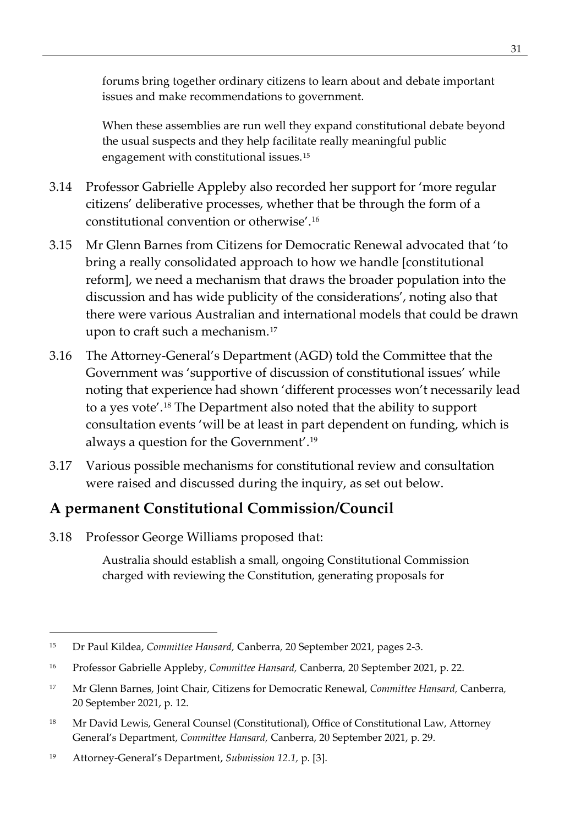forums bring together ordinary citizens to learn about and debate important issues and make recommendations to government.

When these assemblies are run well they expand constitutional debate beyond the usual suspects and they help facilitate really meaningful public engagement with constitutional issues.[15](#page-44-0)

- 3.14 Professor Gabrielle Appleby also recorded her support for 'more regular citizens' deliberative processes, whether that be through the form of a constitutional convention or otherwise'.[16](#page-44-1)
- 3.15 Mr Glenn Barnes from Citizens for Democratic Renewal advocated that 'to bring a really consolidated approach to how we handle [constitutional reform], we need a mechanism that draws the broader population into the discussion and has wide publicity of the considerations', noting also that there were various Australian and international models that could be drawn upon to craft such a mechanism.[17](#page-44-2)
- 3.16 The Attorney-General's Department (AGD) told the Committee that the Government was 'supportive of discussion of constitutional issues' while noting that experience had shown 'different processes won't necessarily lead to a yes vote'.[18](#page-44-3) The Department also noted that the ability to support consultation events 'will be at least in part dependent on funding, which is always a question for the Government'.[19](#page-44-4)
- 3.17 Various possible mechanisms for constitutional review and consultation were raised and discussed during the inquiry, as set out below.

## **A permanent Constitutional Commission/Council**

3.18 Professor George Williams proposed that:

Australia should establish a small, ongoing Constitutional Commission charged with reviewing the Constitution, generating proposals for

<span id="page-44-0"></span><sup>15</sup> Dr Paul Kildea, *Committee Hansard,* Canberra*,* 20 September 2021, pages 2-3.

<span id="page-44-1"></span><sup>16</sup> Professor Gabrielle Appleby, *Committee Hansard,* Canberra*,* 20 September 2021, p. 22.

<span id="page-44-2"></span><sup>17</sup> Mr Glenn Barnes, Joint Chair, Citizens for Democratic Renewal, *Committee Hansard,* Canberra*,*  20 September 2021, p. 12.

<span id="page-44-3"></span><sup>&</sup>lt;sup>18</sup> Mr David Lewis, General Counsel (Constitutional), Office of Constitutional Law, Attorney General's Department, *Committee Hansard,* Canberra, 20 September 2021, p. 29.

<span id="page-44-4"></span><sup>19</sup> Attorney-General's Department, *Submission 12.1,* p. [3].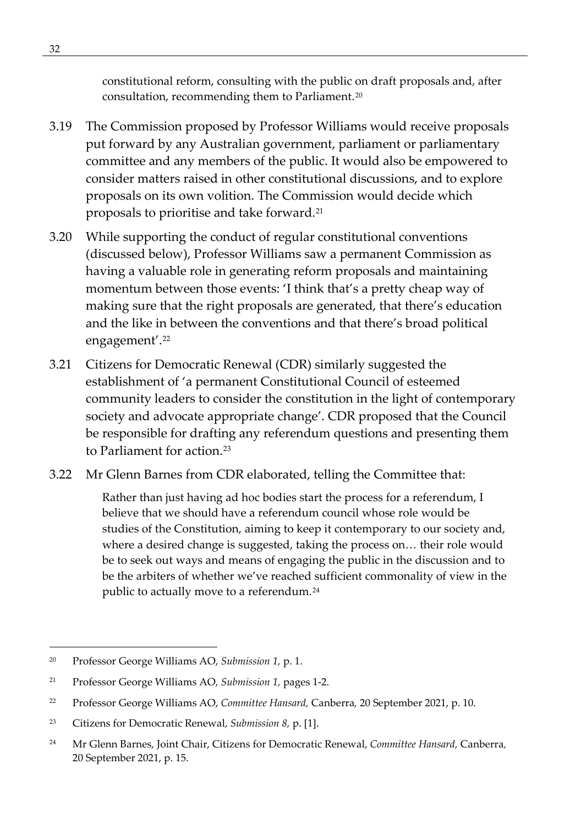constitutional reform, consulting with the public on draft proposals and, after consultation, recommending them to Parliament.[20](#page-45-0)

- 3.19 The Commission proposed by Professor Williams would receive proposals put forward by any Australian government, parliament or parliamentary committee and any members of the public. It would also be empowered to consider matters raised in other constitutional discussions, and to explore proposals on its own volition. The Commission would decide which proposals to prioritise and take forward.[21](#page-45-1)
- 3.20 While supporting the conduct of regular constitutional conventions (discussed below), Professor Williams saw a permanent Commission as having a valuable role in generating reform proposals and maintaining momentum between those events: 'I think that's a pretty cheap way of making sure that the right proposals are generated, that there's education and the like in between the conventions and that there's broad political engagement'.[22](#page-45-2)
- 3.21 Citizens for Democratic Renewal (CDR) similarly suggested the establishment of 'a permanent Constitutional Council of esteemed community leaders to consider the constitution in the light of contemporary society and advocate appropriate change'. CDR proposed that the Council be responsible for drafting any referendum questions and presenting them to Parliament for action.<sup>[23](#page-45-3)</sup>
- 3.22 Mr Glenn Barnes from CDR elaborated, telling the Committee that:

Rather than just having ad hoc bodies start the process for a referendum, I believe that we should have a referendum council whose role would be studies of the Constitution, aiming to keep it contemporary to our society and, where a desired change is suggested, taking the process on… their role would be to seek out ways and means of engaging the public in the discussion and to be the arbiters of whether we've reached sufficient commonality of view in the public to actually move to a referendum.<sup>[24](#page-45-4)</sup>

<span id="page-45-0"></span><sup>20</sup> Professor George Williams AO, *Submission 1,* p. 1.

<span id="page-45-1"></span><sup>21</sup> Professor George Williams AO, *Submission 1,* pages 1-2.

<span id="page-45-2"></span><sup>22</sup> Professor George Williams AO, *Committee Hansard,* Canberra*,* 20 September 2021, p. 10.

<span id="page-45-3"></span><sup>23</sup> Citizens for Democratic Renewal, *Submission 8,* p. [1].

<span id="page-45-4"></span><sup>24</sup> Mr Glenn Barnes, Joint Chair, Citizens for Democratic Renewal, *Committee Hansard,* Canberra*,* 20 September 2021, p. 15.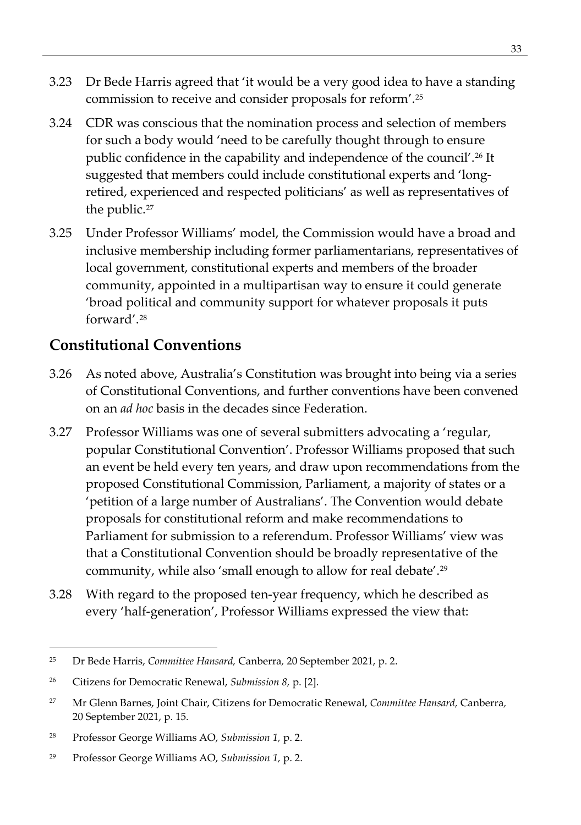- 3.23 Dr Bede Harris agreed that 'it would be a very good idea to have a standing commission to receive and consider proposals for reform'.[25](#page-46-0)
- 3.24 CDR was conscious that the nomination process and selection of members for such a body would 'need to be carefully thought through to ensure public confidence in the capability and independence of the council'.<sup>[26](#page-46-1)</sup> It suggested that members could include constitutional experts and 'longretired, experienced and respected politicians' as well as representatives of the public.<sup>[27](#page-46-2)</sup>
- 3.25 Under Professor Williams' model, the Commission would have a broad and inclusive membership including former parliamentarians, representatives of local government, constitutional experts and members of the broader community, appointed in a multipartisan way to ensure it could generate 'broad political and community support for whatever proposals it puts forward'.[28](#page-46-3)

### **Constitutional Conventions**

- 3.26 As noted above, Australia's Constitution was brought into being via a series of Constitutional Conventions, and further conventions have been convened on an *ad hoc* basis in the decades since Federation.
- 3.27 Professor Williams was one of several submitters advocating a 'regular, popular Constitutional Convention'. Professor Williams proposed that such an event be held every ten years, and draw upon recommendations from the proposed Constitutional Commission, Parliament, a majority of states or a 'petition of a large number of Australians'. The Convention would debate proposals for constitutional reform and make recommendations to Parliament for submission to a referendum. Professor Williams' view was that a Constitutional Convention should be broadly representative of the community, while also 'small enough to allow for real debate'.[29](#page-46-4)
- 3.28 With regard to the proposed ten-year frequency, which he described as every 'half-generation', Professor Williams expressed the view that:

<span id="page-46-0"></span><sup>25</sup> Dr Bede Harris, *Committee Hansard,* Canberra*,* 20 September 2021, p. 2.

<span id="page-46-1"></span><sup>26</sup> Citizens for Democratic Renewal, *Submission 8,* p. [2].

<span id="page-46-2"></span><sup>27</sup> Mr Glenn Barnes, Joint Chair, Citizens for Democratic Renewal, *Committee Hansard,* Canberra*,*  20 September 2021, p. 15.

<span id="page-46-3"></span><sup>28</sup> Professor George Williams AO, *Submission 1,* p. 2.

<span id="page-46-4"></span><sup>29</sup> Professor George Williams AO, *Submission 1,* p. 2.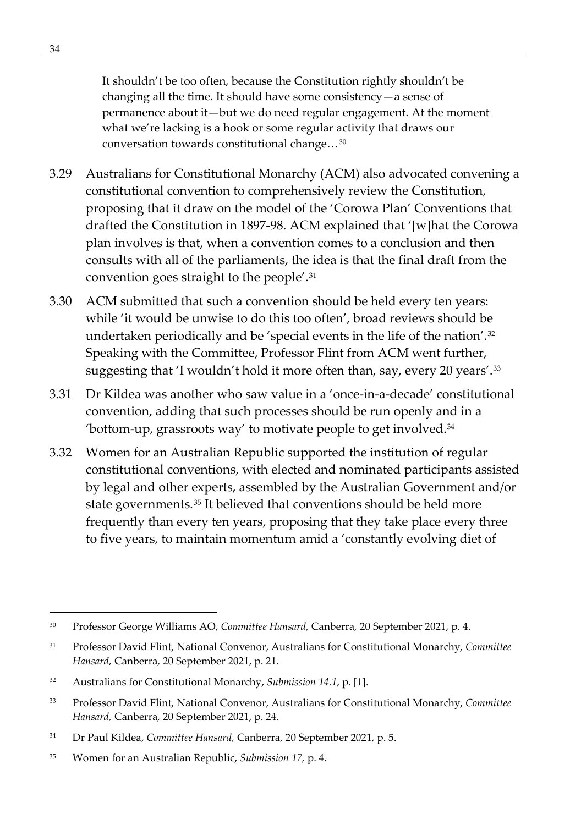It shouldn't be too often, because the Constitution rightly shouldn't be changing all the time. It should have some consistency—a sense of permanence about it—but we do need regular engagement. At the moment what we're lacking is a hook or some regular activity that draws our conversation towards constitutional change…[30](#page-47-0)

- 3.29 Australians for Constitutional Monarchy (ACM) also advocated convening a constitutional convention to comprehensively review the Constitution, proposing that it draw on the model of the 'Corowa Plan' Conventions that drafted the Constitution in 1897-98. ACM explained that '[w]hat the Corowa plan involves is that, when a convention comes to a conclusion and then consults with all of the parliaments, the idea is that the final draft from the convention goes straight to the people'.[31](#page-47-1)
- 3.30 ACM submitted that such a convention should be held every ten years: while 'it would be unwise to do this too often', broad reviews should be undertaken periodically and be 'special events in the life of the nation'.<sup>[32](#page-47-2)</sup> Speaking with the Committee, Professor Flint from ACM went further, suggesting that 'I wouldn't hold it more often than, say, every 20 years'[.33](#page-47-3)
- 3.31 Dr Kildea was another who saw value in a 'once-in-a-decade' constitutional convention, adding that such processes should be run openly and in a 'bottom-up, grassroots way' to motivate people to get involved.[34](#page-47-4)
- 3.32 Women for an Australian Republic supported the institution of regular constitutional conventions, with elected and nominated participants assisted by legal and other experts, assembled by the Australian Government and/or state governments.<sup>[35](#page-47-5)</sup> It believed that conventions should be held more frequently than every ten years, proposing that they take place every three to five years, to maintain momentum amid a 'constantly evolving diet of

<span id="page-47-0"></span><sup>30</sup> Professor George Williams AO, *Committee Hansard,* Canberra*,* 20 September 2021, p. 4.

<span id="page-47-1"></span><sup>31</sup> Professor David Flint, National Convenor, Australians for Constitutional Monarchy, *Committee Hansard,* Canberra*,* 20 September 2021, p. 21.

<span id="page-47-2"></span><sup>32</sup> Australians for Constitutional Monarchy, *Submission 14.1*, p. [1].

<span id="page-47-3"></span><sup>33</sup> Professor David Flint, National Convenor, Australians for Constitutional Monarchy, *Committee Hansard,* Canberra*,* 20 September 2021, p. 24.

<span id="page-47-4"></span><sup>34</sup> Dr Paul Kildea, *Committee Hansard,* Canberra*,* 20 September 2021, p. 5.

<span id="page-47-5"></span><sup>35</sup> Women for an Australian Republic, *Submission 17,* p. 4.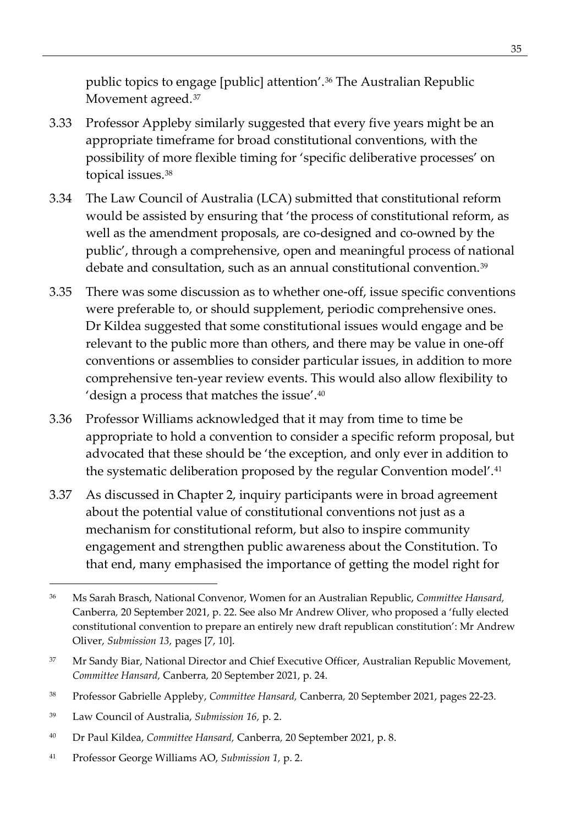public topics to engage [public] attention'.[36](#page-48-0) The Australian Republic Movement agreed.<sup>[37](#page-48-1)</sup>

- 3.33 Professor Appleby similarly suggested that every five years might be an appropriate timeframe for broad constitutional conventions, with the possibility of more flexible timing for 'specific deliberative processes' on topical issues.[38](#page-48-2)
- 3.34 The Law Council of Australia (LCA) submitted that constitutional reform would be assisted by ensuring that 'the process of constitutional reform, as well as the amendment proposals, are co-designed and co-owned by the public', through a comprehensive, open and meaningful process of national debate and consultation, such as an annual constitutional convention.<sup>39</sup>
- 3.35 There was some discussion as to whether one-off, issue specific conventions were preferable to, or should supplement, periodic comprehensive ones. Dr Kildea suggested that some constitutional issues would engage and be relevant to the public more than others, and there may be value in one-off conventions or assemblies to consider particular issues, in addition to more comprehensive ten-year review events. This would also allow flexibility to 'design a process that matches the issue'.[40](#page-48-4)
- 3.36 Professor Williams acknowledged that it may from time to time be appropriate to hold a convention to consider a specific reform proposal, but advocated that these should be 'the exception, and only ever in addition to the systematic deliberation proposed by the regular Convention model'.<sup>[41](#page-48-5)</sup>
- 3.37 As discussed in Chapter 2, inquiry participants were in broad agreement about the potential value of constitutional conventions not just as a mechanism for constitutional reform, but also to inspire community engagement and strengthen public awareness about the Constitution. To that end, many emphasised the importance of getting the model right for

<span id="page-48-5"></span><sup>41</sup> Professor George Williams AO, *Submission 1,* p. 2.

<span id="page-48-0"></span><sup>36</sup> Ms Sarah Brasch, National Convenor, Women for an Australian Republic, *Committee Hansard,*  Canberra*,* 20 September 2021, p. 22. See also Mr Andrew Oliver, who proposed a 'fully elected constitutional convention to prepare an entirely new draft republican constitution': Mr Andrew Oliver, *Submission 13,* pages [7, 10].

<span id="page-48-1"></span><sup>&</sup>lt;sup>37</sup> Mr Sandy Biar, National Director and Chief Executive Officer, Australian Republic Movement, *Committee Hansard,* Canberra*,* 20 September 2021, p. 24.

<span id="page-48-2"></span><sup>38</sup> Professor Gabrielle Appleby, *Committee Hansard,* Canberra*,* 20 September 2021, pages 22-23.

<span id="page-48-3"></span><sup>39</sup> Law Council of Australia, *Submission 16,* p. 2.

<span id="page-48-4"></span><sup>40</sup> Dr Paul Kildea, *Committee Hansard,* Canberra*,* 20 September 2021, p. 8.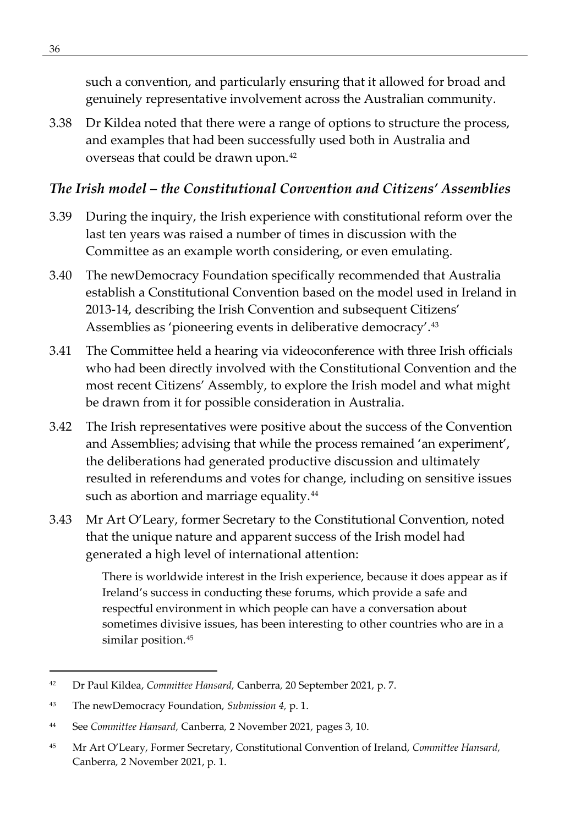such a convention, and particularly ensuring that it allowed for broad and genuinely representative involvement across the Australian community.

3.38 Dr Kildea noted that there were a range of options to structure the process, and examples that had been successfully used both in Australia and overseas that could be drawn upon.[42](#page-49-0)

#### *The Irish model – the Constitutional Convention and Citizens' Assemblies*

- 3.39 During the inquiry, the Irish experience with constitutional reform over the last ten years was raised a number of times in discussion with the Committee as an example worth considering, or even emulating.
- 3.40 The newDemocracy Foundation specifically recommended that Australia establish a Constitutional Convention based on the model used in Ireland in 2013-14, describing the Irish Convention and subsequent Citizens' Assemblies as 'pioneering events in deliberative democracy'.<sup>[43](#page-49-1)</sup>
- 3.41 The Committee held a hearing via videoconference with three Irish officials who had been directly involved with the Constitutional Convention and the most recent Citizens' Assembly, to explore the Irish model and what might be drawn from it for possible consideration in Australia.
- 3.42 The Irish representatives were positive about the success of the Convention and Assemblies; advising that while the process remained 'an experiment', the deliberations had generated productive discussion and ultimately resulted in referendums and votes for change, including on sensitive issues such as abortion and marriage equality.<sup>[44](#page-49-2)</sup>
- 3.43 Mr Art O'Leary, former Secretary to the Constitutional Convention, noted that the unique nature and apparent success of the Irish model had generated a high level of international attention:

There is worldwide interest in the Irish experience, because it does appear as if Ireland's success in conducting these forums, which provide a safe and respectful environment in which people can have a conversation about sometimes divisive issues, has been interesting to other countries who are in a similar position.<sup>[45](#page-49-3)</sup>

<span id="page-49-0"></span><sup>42</sup> Dr Paul Kildea, *Committee Hansard,* Canberra*,* 20 September 2021, p. 7.

<span id="page-49-1"></span><sup>43</sup> The newDemocracy Foundation, *Submission 4,* p. 1.

<span id="page-49-2"></span><sup>44</sup> See *Committee Hansard,* Canberra*,* 2 November 2021, pages 3, 10.

<span id="page-49-3"></span><sup>45</sup> Mr Art O'Leary, Former Secretary, Constitutional Convention of Ireland, *Committee Hansard,*  Canberra*,* 2 November 2021, p. 1.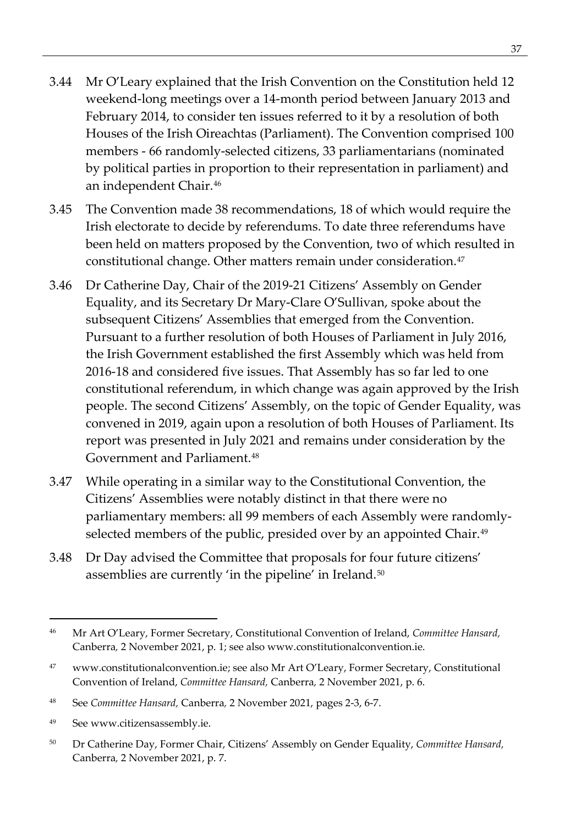- 3.44 Mr O'Leary explained that the Irish Convention on the Constitution held 12 weekend-long meetings over a 14-month period between January 2013 and February 2014, to consider ten issues referred to it by a resolution of both Houses of the Irish Oireachtas (Parliament). The Convention comprised 100 members - 66 randomly-selected citizens, 33 parliamentarians (nominated by political parties in proportion to their representation in parliament) and an independent Chair[.46](#page-50-0)
- 3.45 The Convention made 38 recommendations, 18 of which would require the Irish electorate to decide by referendums. To date three referendums have been held on matters proposed by the Convention, two of which resulted in constitutional change. Other matters remain under consideration.<sup>[47](#page-50-1)</sup>
- 3.46 Dr Catherine Day, Chair of the 2019-21 Citizens' Assembly on Gender Equality, and its Secretary Dr Mary-Clare O'Sullivan, spoke about the subsequent Citizens' Assemblies that emerged from the Convention. Pursuant to a further resolution of both Houses of Parliament in July 2016, the Irish Government established the first Assembly which was held from 2016-18 and considered five issues. That Assembly has so far led to one constitutional referendum, in which change was again approved by the Irish people. The second Citizens' Assembly, on the topic of Gender Equality, was convened in 2019, again upon a resolution of both Houses of Parliament. Its report was presented in July 2021 and remains under consideration by the Government and Parliament.[48](#page-50-2)
- 3.47 While operating in a similar way to the Constitutional Convention, the Citizens' Assemblies were notably distinct in that there were no parliamentary members: all 99 members of each Assembly were randomly-selected members of the public, presided over by an appointed Chair.<sup>[49](#page-50-3)</sup>
- 3.48 Dr Day advised the Committee that proposals for four future citizens' assemblies are currently 'in the pipeline' in Ireland.<sup>[50](#page-50-4)</sup>

<span id="page-50-0"></span><sup>46</sup> Mr Art O'Leary, Former Secretary, Constitutional Convention of Ireland, *Committee Hansard,*  Canberra*,* 2 November 2021, p. 1; see also www.constitutionalconvention.ie.

<span id="page-50-1"></span><sup>47</sup> www.constitutionalconvention.ie; see also Mr Art O'Leary, Former Secretary, Constitutional Convention of Ireland, *Committee Hansard,* Canberra*,* 2 November 2021, p. 6.

<span id="page-50-2"></span><sup>48</sup> See *Committee Hansard,* Canberra*,* 2 November 2021, pages 2-3, 6-7.

<span id="page-50-3"></span><sup>49</sup> See www.citizensassembly.ie.

<span id="page-50-4"></span><sup>50</sup> Dr Catherine Day, Former Chair, Citizens' Assembly on Gender Equality, *Committee Hansard,*  Canberra*,* 2 November 2021, p. 7.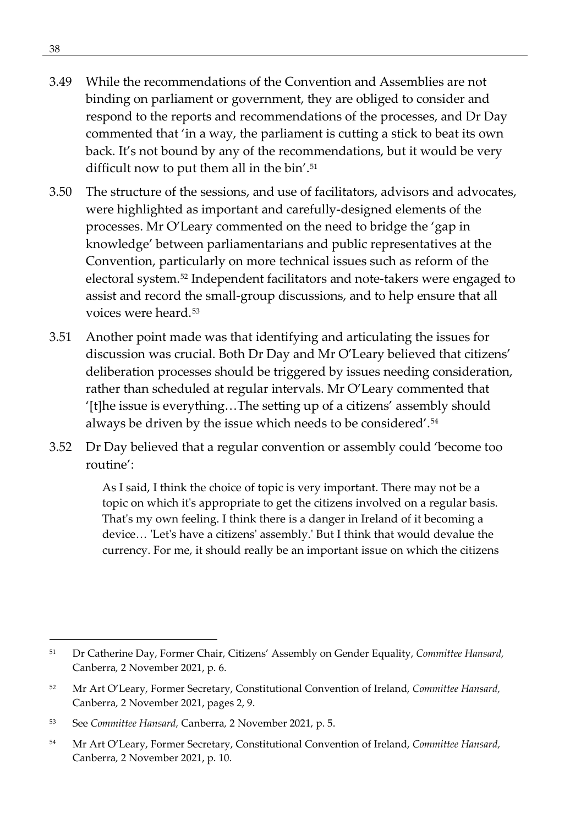- 3.49 While the recommendations of the Convention and Assemblies are not binding on parliament or government, they are obliged to consider and respond to the reports and recommendations of the processes, and Dr Day commented that 'in a way, the parliament is cutting a stick to beat its own back. It's not bound by any of the recommendations, but it would be very difficult now to put them all in the bin'.<sup>[51](#page-51-0)</sup>
- 3.50 The structure of the sessions, and use of facilitators, advisors and advocates, were highlighted as important and carefully-designed elements of the processes. Mr O'Leary commented on the need to bridge the 'gap in knowledge' between parliamentarians and public representatives at the Convention, particularly on more technical issues such as reform of the electoral system.[52](#page-51-1) Independent facilitators and note-takers were engaged to assist and record the small-group discussions, and to help ensure that all voices were heard.[53](#page-51-2)
- 3.51 Another point made was that identifying and articulating the issues for discussion was crucial. Both Dr Day and Mr O'Leary believed that citizens' deliberation processes should be triggered by issues needing consideration, rather than scheduled at regular intervals. Mr O'Leary commented that '[t]he issue is everything…The setting up of a citizens' assembly should always be driven by the issue which needs to be considered'.[54](#page-51-3)
- 3.52 Dr Day believed that a regular convention or assembly could 'become too routine':

As I said, I think the choice of topic is very important. There may not be a topic on which it's appropriate to get the citizens involved on a regular basis. That's my own feeling. I think there is a danger in Ireland of it becoming a device… 'Let's have a citizens' assembly.' But I think that would devalue the currency. For me, it should really be an important issue on which the citizens

<span id="page-51-0"></span><sup>51</sup> Dr Catherine Day, Former Chair, Citizens' Assembly on Gender Equality, *Committee Hansard,*  Canberra*,* 2 November 2021, p. 6.

<span id="page-51-1"></span><sup>52</sup> Mr Art O'Leary, Former Secretary, Constitutional Convention of Ireland, *Committee Hansard,*  Canberra*,* 2 November 2021, pages 2, 9.

<span id="page-51-2"></span><sup>53</sup> See *Committee Hansard,* Canberra*,* 2 November 2021, p. 5.

<span id="page-51-3"></span><sup>54</sup> Mr Art O'Leary, Former Secretary, Constitutional Convention of Ireland, *Committee Hansard,*  Canberra*,* 2 November 2021, p. 10.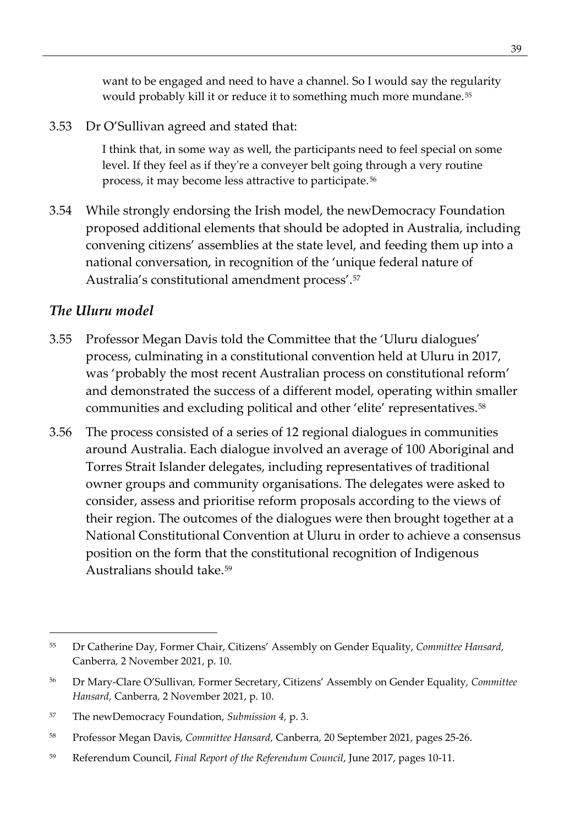want to be engaged and need to have a channel. So I would say the regularity would probably kill it or reduce it to something much more mundane.<sup>[55](#page-52-0)</sup>

3.53 Dr O'Sullivan agreed and stated that:

I think that, in some way as well, the participants need to feel special on some level. If they feel as if they're a conveyer belt going through a very routine process, it may become less attractive to participate.[56](#page-52-1)

3.54 While strongly endorsing the Irish model, the newDemocracy Foundation proposed additional elements that should be adopted in Australia, including convening citizens' assemblies at the state level, and feeding them up into a national conversation, in recognition of the 'unique federal nature of Australia's constitutional amendment process'.[57](#page-52-2)

#### *The Uluru model*

- 3.55 Professor Megan Davis told the Committee that the 'Uluru dialogues' process, culminating in a constitutional convention held at Uluru in 2017, was 'probably the most recent Australian process on constitutional reform' and demonstrated the success of a different model, operating within smaller communities and excluding political and other 'elite' representatives.[58](#page-52-3)
- 3.56 The process consisted of a series of 12 regional dialogues in communities around Australia. Each dialogue involved an average of 100 Aboriginal and Torres Strait Islander delegates, including representatives of traditional owner groups and community organisations. The delegates were asked to consider, assess and prioritise reform proposals according to the views of their region. The outcomes of the dialogues were then brought together at a National Constitutional Convention at Uluru in order to achieve a consensus position on the form that the constitutional recognition of Indigenous Australians should take.[59](#page-52-4)

<span id="page-52-0"></span><sup>55</sup> Dr Catherine Day, Former Chair, Citizens' Assembly on Gender Equality, *Committee Hansard,*  Canberra*,* 2 November 2021, p. 10.

<span id="page-52-1"></span><sup>56</sup> Dr Mary-Clare O'Sullivan*,* Former Secretary, Citizens' Assembly on Gender Equality*, Committee Hansard,* Canberra*,* 2 November 2021, p. 10.

<span id="page-52-2"></span><sup>57</sup> The newDemocracy Foundation, *Submission 4,* p. 3.

<span id="page-52-3"></span><sup>58</sup> Professor Megan Davis, *Committee Hansard,* Canberra*,* 20 September 2021, pages 25-26.

<span id="page-52-4"></span><sup>59</sup> Referendum Council, *Final Report of the Referendum Council*, June 2017, pages 10-11.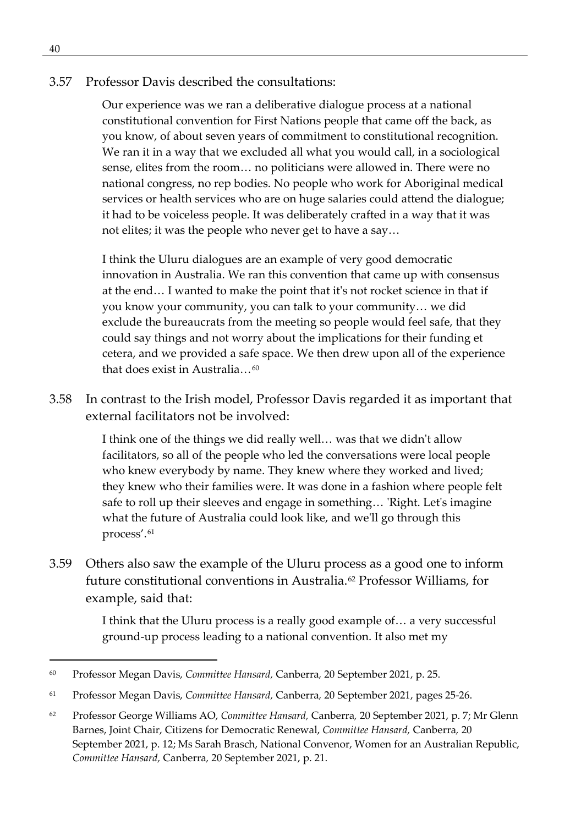#### 3.57 Professor Davis described the consultations:

Our experience was we ran a deliberative dialogue process at a national constitutional convention for First Nations people that came off the back, as you know, of about seven years of commitment to constitutional recognition. We ran it in a way that we excluded all what you would call, in a sociological sense, elites from the room… no politicians were allowed in. There were no national congress, no rep bodies. No people who work for Aboriginal medical services or health services who are on huge salaries could attend the dialogue; it had to be voiceless people. It was deliberately crafted in a way that it was not elites; it was the people who never get to have a say…

I think the Uluru dialogues are an example of very good democratic innovation in Australia. We ran this convention that came up with consensus at the end… I wanted to make the point that it's not rocket science in that if you know your community, you can talk to your community… we did exclude the bureaucrats from the meeting so people would feel safe, that they could say things and not worry about the implications for their funding et cetera, and we provided a safe space. We then drew upon all of the experience that does exist in Australia  $\frac{60}{2}$  $\frac{60}{2}$  $\frac{60}{2}$ 

3.58 In contrast to the Irish model, Professor Davis regarded it as important that external facilitators not be involved:

> I think one of the things we did really well… was that we didn't allow facilitators, so all of the people who led the conversations were local people who knew everybody by name. They knew where they worked and lived; they knew who their families were. It was done in a fashion where people felt safe to roll up their sleeves and engage in something… 'Right. Let's imagine what the future of Australia could look like, and we'll go through this process'.[61](#page-53-1)

3.59 Others also saw the example of the Uluru process as a good one to inform future constitutional conventions in Australia.[62](#page-53-2) Professor Williams, for example, said that:

> I think that the Uluru process is a really good example of… a very successful ground-up process leading to a national convention. It also met my

<span id="page-53-0"></span><sup>60</sup> Professor Megan Davis, *Committee Hansard,* Canberra*,* 20 September 2021, p. 25.

<span id="page-53-1"></span><sup>61</sup> Professor Megan Davis, *Committee Hansard,* Canberra*,* 20 September 2021, pages 25-26.

<span id="page-53-2"></span><sup>62</sup> Professor George Williams AO, *Committee Hansard,* Canberra*,* 20 September 2021, p. 7; Mr Glenn Barnes, Joint Chair, Citizens for Democratic Renewal, *Committee Hansard,* Canberra*,* 20 September 2021, p. 12; Ms Sarah Brasch, National Convenor, Women for an Australian Republic, *Committee Hansard,* Canberra*,* 20 September 2021, p. 21.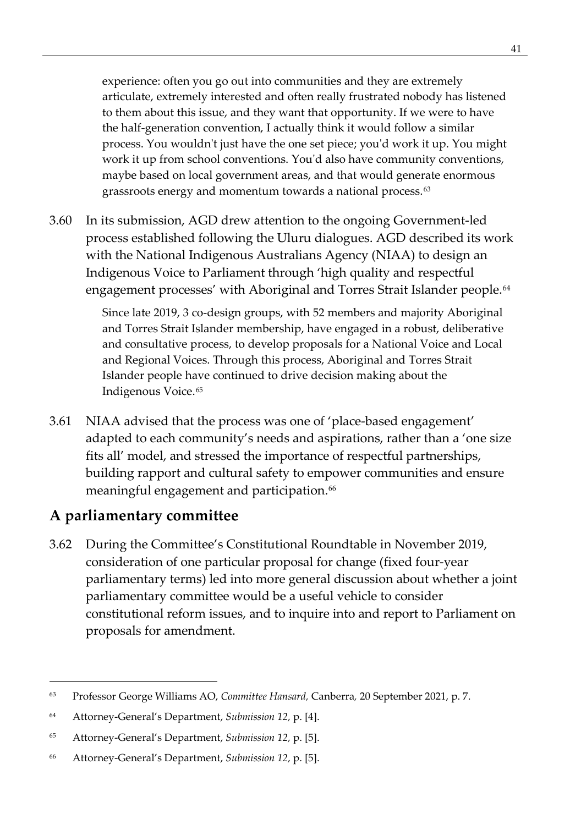experience: often you go out into communities and they are extremely articulate, extremely interested and often really frustrated nobody has listened to them about this issue, and they want that opportunity. If we were to have the half-generation convention, I actually think it would follow a similar process. You wouldn't just have the one set piece; you'd work it up. You might work it up from school conventions. You'd also have community conventions, maybe based on local government areas, and that would generate enormous grassroots energy and momentum towards a national process.<sup>[63](#page-54-0)</sup>

3.60 In its submission, AGD drew attention to the ongoing Government-led process established following the Uluru dialogues. AGD described its work with the National Indigenous Australians Agency (NIAA) to design an Indigenous Voice to Parliament through 'high quality and respectful engagement processes' with Aboriginal and Torres Strait Islander people.<sup>[64](#page-54-1)</sup>

> Since late 2019, 3 co-design groups, with 52 members and majority Aboriginal and Torres Strait Islander membership, have engaged in a robust, deliberative and consultative process, to develop proposals for a National Voice and Local and Regional Voices. Through this process, Aboriginal and Torres Strait Islander people have continued to drive decision making about the Indigenous Voice.[65](#page-54-2)

3.61 NIAA advised that the process was one of 'place-based engagement' adapted to each community's needs and aspirations, rather than a 'one size fits all' model, and stressed the importance of respectful partnerships, building rapport and cultural safety to empower communities and ensure meaningful engagement and participation.<sup>[66](#page-54-3)</sup>

## **A parliamentary committee**

3.62 During the Committee's Constitutional Roundtable in November 2019, consideration of one particular proposal for change (fixed four-year parliamentary terms) led into more general discussion about whether a joint parliamentary committee would be a useful vehicle to consider constitutional reform issues, and to inquire into and report to Parliament on proposals for amendment.

<span id="page-54-0"></span><sup>63</sup> Professor George Williams AO, *Committee Hansard,* Canberra*,* 20 September 2021, p. 7.

<span id="page-54-1"></span><sup>64</sup> Attorney-General's Department, *Submission 12,* p. [4].

<span id="page-54-2"></span><sup>65</sup> Attorney-General's Department, *Submission 12,* p. [5].

<span id="page-54-3"></span><sup>66</sup> Attorney-General's Department, *Submission 12,* p. [5].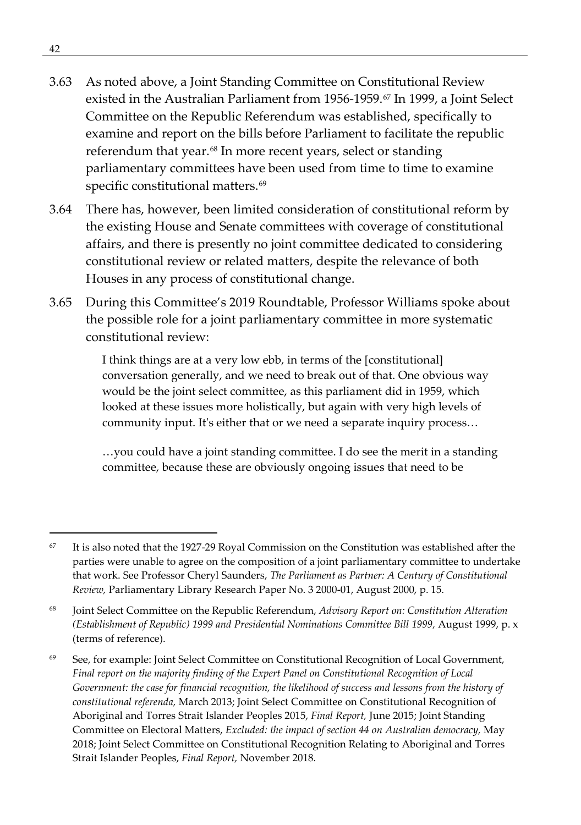- 3.63 As noted above, a Joint Standing Committee on Constitutional Review existed in the Australian Parliament from 1956-1959.[67](#page-55-0) In 1999, a Joint Select Committee on the Republic Referendum was established, specifically to examine and report on the bills before Parliament to facilitate the republic referendum that year.<sup>[68](#page-55-1)</sup> In more recent years, select or standing parliamentary committees have been used from time to time to examine specific constitutional matters.<sup>[69](#page-55-2)</sup>
- 3.64 There has, however, been limited consideration of constitutional reform by the existing House and Senate committees with coverage of constitutional affairs, and there is presently no joint committee dedicated to considering constitutional review or related matters, despite the relevance of both Houses in any process of constitutional change.
- 3.65 During this Committee's 2019 Roundtable, Professor Williams spoke about the possible role for a joint parliamentary committee in more systematic constitutional review:

I think things are at a very low ebb, in terms of the [constitutional] conversation generally, and we need to break out of that. One obvious way would be the joint select committee, as this parliament did in 1959, which looked at these issues more holistically, but again with very high levels of community input. It's either that or we need a separate inquiry process…

…you could have a joint standing committee. I do see the merit in a standing committee, because these are obviously ongoing issues that need to be

<span id="page-55-0"></span><sup>&</sup>lt;sup>67</sup> It is also noted that the 1927-29 Royal Commission on the Constitution was established after the parties were unable to agree on the composition of a joint parliamentary committee to undertake that work. See Professor Cheryl Saunders, *The Parliament as Partner: A Century of Constitutional Review,* Parliamentary Library Research Paper No. 3 2000-01, August 2000, p. 15.

<span id="page-55-1"></span><sup>68</sup> Joint Select Committee on the Republic Referendum, *Advisory Report on: Constitution Alteration (Establishment of Republic) 1999 and Presidential Nominations Committee Bill 1999, August 1999, p. x* (terms of reference).

<span id="page-55-2"></span><sup>69</sup> See, for example: Joint Select Committee on Constitutional Recognition of Local Government, *Final report on the majority finding of the Expert Panel on Constitutional Recognition of Local Government: the case for financial recognition, the likelihood of success and lessons from the history of constitutional referenda,* March 2013; Joint Select Committee on Constitutional Recognition of Aboriginal and Torres Strait Islander Peoples 2015, *Final Report,* June 2015; Joint Standing Committee on Electoral Matters, *Excluded: the impact of section 44 on Australian democracy,* May 2018; Joint Select Committee on Constitutional Recognition Relating to Aboriginal and Torres Strait Islander Peoples, *Final Report,* November 2018.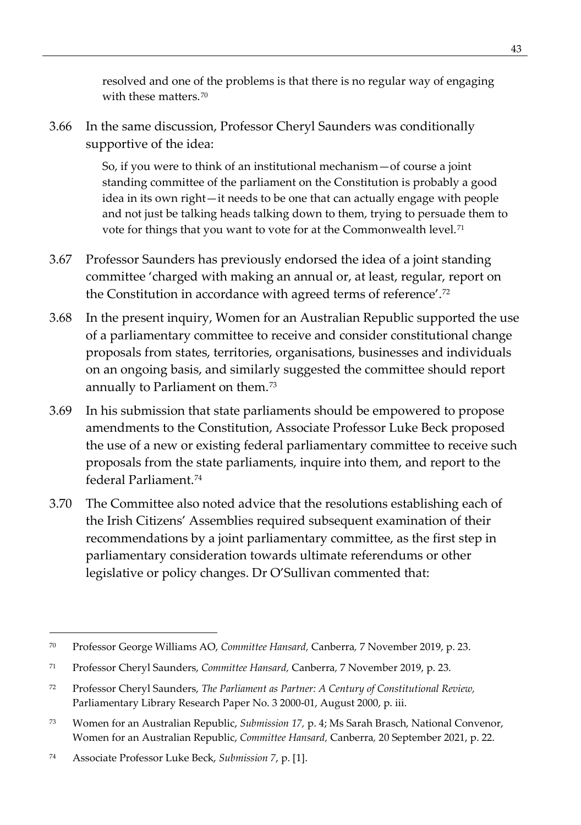resolved and one of the problems is that there is no regular way of engaging with these matters.<sup>[70](#page-56-0)</sup>

3.66 In the same discussion, Professor Cheryl Saunders was conditionally supportive of the idea:

> So, if you were to think of an institutional mechanism—of course a joint standing committee of the parliament on the Constitution is probably a good idea in its own right—it needs to be one that can actually engage with people and not just be talking heads talking down to them, trying to persuade them to vote for things that you want to vote for at the Commonwealth level.<sup>[71](#page-56-1)</sup>

- 3.67 Professor Saunders has previously endorsed the idea of a joint standing committee 'charged with making an annual or, at least, regular, report on the Constitution in accordance with agreed terms of reference'.[72](#page-56-2)
- 3.68 In the present inquiry, Women for an Australian Republic supported the use of a parliamentary committee to receive and consider constitutional change proposals from states, territories, organisations, businesses and individuals on an ongoing basis, and similarly suggested the committee should report annually to Parliament on them.[73](#page-56-3)
- 3.69 In his submission that state parliaments should be empowered to propose amendments to the Constitution, Associate Professor Luke Beck proposed the use of a new or existing federal parliamentary committee to receive such proposals from the state parliaments, inquire into them, and report to the federal Parliament.[74](#page-56-4)
- 3.70 The Committee also noted advice that the resolutions establishing each of the Irish Citizens' Assemblies required subsequent examination of their recommendations by a joint parliamentary committee, as the first step in parliamentary consideration towards ultimate referendums or other legislative or policy changes. Dr O'Sullivan commented that:

<span id="page-56-0"></span><sup>70</sup> Professor George Williams AO, *Committee Hansard,* Canberra*,* 7 November 2019, p. 23.

<span id="page-56-1"></span><sup>71</sup> Professor Cheryl Saunders, *Committee Hansard,* Canberra*,* 7 November 2019, p. 23.

<span id="page-56-2"></span><sup>72</sup> Professor Cheryl Saunders, *The Parliament as Partner: A Century of Constitutional Review,*  Parliamentary Library Research Paper No. 3 2000-01, August 2000, p. iii.

<span id="page-56-3"></span><sup>73</sup> Women for an Australian Republic, *Submission 17,* p. 4; Ms Sarah Brasch, National Convenor, Women for an Australian Republic, *Committee Hansard,* Canberra*,* 20 September 2021, p. 22.

<span id="page-56-4"></span><sup>74</sup> Associate Professor Luke Beck, *Submission 7*, p. [1].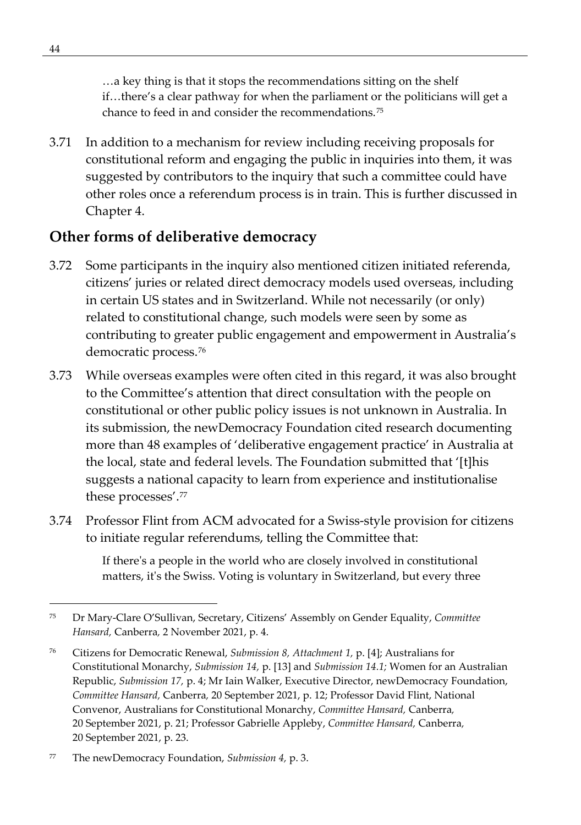…a key thing is that it stops the recommendations sitting on the shelf if…there's a clear pathway for when the parliament or the politicians will get a chance to feed in and consider the recommendations.[75](#page-57-0)

3.71 In addition to a mechanism for review including receiving proposals for constitutional reform and engaging the public in inquiries into them, it was suggested by contributors to the inquiry that such a committee could have other roles once a referendum process is in train. This is further discussed in Chapter 4.

### **Other forms of deliberative democracy**

- 3.72 Some participants in the inquiry also mentioned citizen initiated referenda, citizens' juries or related direct democracy models used overseas, including in certain US states and in Switzerland. While not necessarily (or only) related to constitutional change, such models were seen by some as contributing to greater public engagement and empowerment in Australia's democratic process.[76](#page-57-1)
- 3.73 While overseas examples were often cited in this regard, it was also brought to the Committee's attention that direct consultation with the people on constitutional or other public policy issues is not unknown in Australia. In its submission, the newDemocracy Foundation cited research documenting more than 48 examples of 'deliberative engagement practice' in Australia at the local, state and federal levels. The Foundation submitted that '[t]his suggests a national capacity to learn from experience and institutionalise these processes'.[77](#page-57-2)
- 3.74 Professor Flint from ACM advocated for a Swiss-style provision for citizens to initiate regular referendums, telling the Committee that:

If there's a people in the world who are closely involved in constitutional matters, it's the Swiss. Voting is voluntary in Switzerland, but every three

<span id="page-57-0"></span><sup>75</sup> Dr Mary-Clare O'Sullivan, Secretary, Citizens' Assembly on Gender Equality, *Committee Hansard,* Canberra*,* 2 November 2021, p. 4.

<span id="page-57-1"></span><sup>76</sup> Citizens for Democratic Renewal, *Submission 8, Attachment 1,* p. [4]; Australians for Constitutional Monarchy, *Submission 14,* p. [13] and *Submission 14.1;* Women for an Australian Republic, *Submission 17,* p. 4; Mr Iain Walker, Executive Director, newDemocracy Foundation, *Committee Hansard,* Canberra*,* 20 September 2021, p. 12; Professor David Flint, National Convenor, Australians for Constitutional Monarchy, *Committee Hansard,* Canberra*,*  20 September 2021, p. 21; Professor Gabrielle Appleby, *Committee Hansard,* Canberra*,*  20 September 2021, p. 23.

<span id="page-57-2"></span><sup>77</sup> The newDemocracy Foundation, *Submission 4,* p. 3.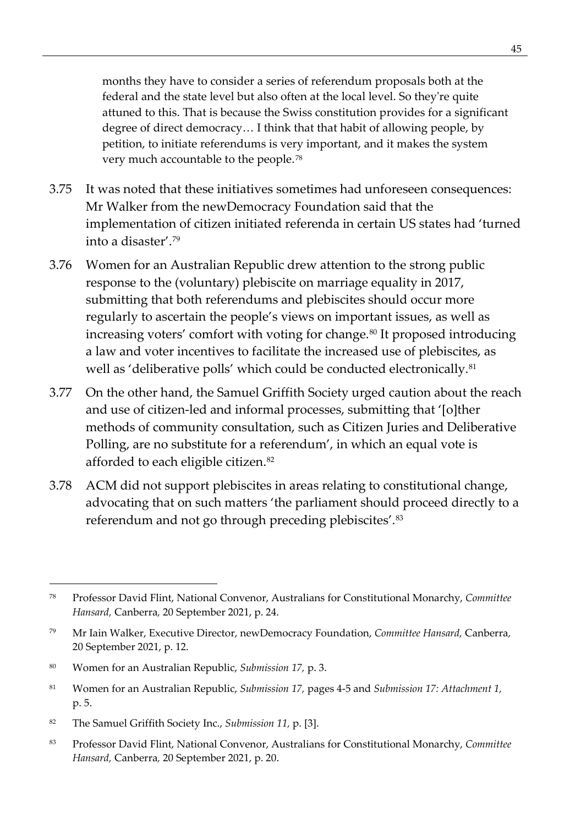months they have to consider a series of referendum proposals both at the federal and the state level but also often at the local level. So they're quite attuned to this. That is because the Swiss constitution provides for a significant degree of direct democracy… I think that that habit of allowing people, by petition, to initiate referendums is very important, and it makes the system very much accountable to the people.[78](#page-58-0)

- 3.75 It was noted that these initiatives sometimes had unforeseen consequences: Mr Walker from the newDemocracy Foundation said that the implementation of citizen initiated referenda in certain US states had 'turned into a disaster'.[79](#page-58-1)
- 3.76 Women for an Australian Republic drew attention to the strong public response to the (voluntary) plebiscite on marriage equality in 2017, submitting that both referendums and plebiscites should occur more regularly to ascertain the people's views on important issues, as well as increasing voters' comfort with voting for change.<sup>[80](#page-58-2)</sup> It proposed introducing a law and voter incentives to facilitate the increased use of plebiscites, as well as 'deliberative polls' which could be conducted electronically.<sup>[81](#page-58-3)</sup>
- 3.77 On the other hand, the Samuel Griffith Society urged caution about the reach and use of citizen-led and informal processes, submitting that '[o]ther methods of community consultation, such as Citizen Juries and Deliberative Polling, are no substitute for a referendum', in which an equal vote is afforded to each eligible citizen.[82](#page-58-4)
- 3.78 ACM did not support plebiscites in areas relating to constitutional change, advocating that on such matters 'the parliament should proceed directly to a referendum and not go through preceding plebiscites'.<sup>[83](#page-58-5)</sup>

<span id="page-58-0"></span><sup>78</sup> Professor David Flint, National Convenor, Australians for Constitutional Monarchy, *Committee Hansard,* Canberra*,* 20 September 2021, p. 24.

<span id="page-58-1"></span><sup>79</sup> Mr Iain Walker, Executive Director, newDemocracy Foundation, *Committee Hansard,* Canberra*,*  20 September 2021, p. 12.

<span id="page-58-2"></span><sup>80</sup> Women for an Australian Republic, *Submission 17,* p. 3.

<span id="page-58-3"></span><sup>81</sup> Women for an Australian Republic, *Submission 17,* pages 4-5 and *Submission 17: Attachment 1,*  p. 5.

<span id="page-58-4"></span><sup>82</sup> The Samuel Griffith Society Inc., *Submission 11,* p. [3].

<span id="page-58-5"></span><sup>83</sup> Professor David Flint, National Convenor, Australians for Constitutional Monarchy, *Committee Hansard,* Canberra*,* 20 September 2021, p. 20.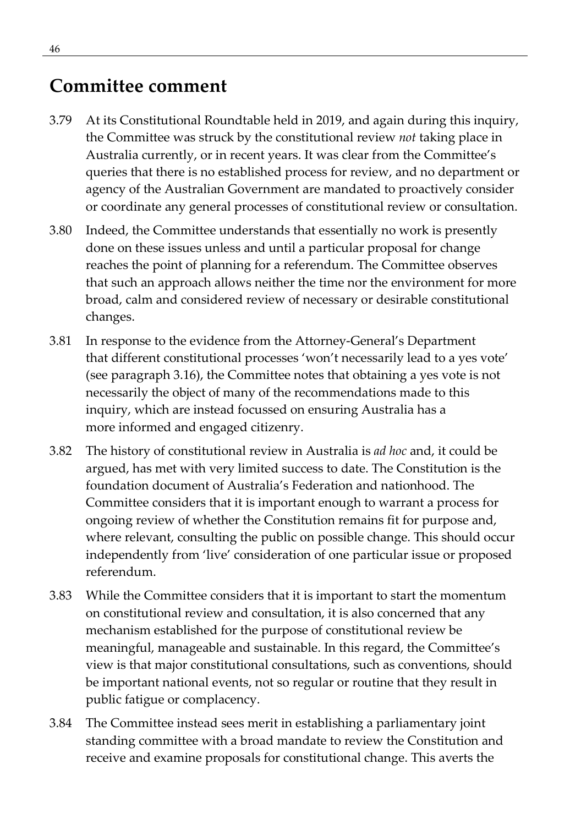## **Committee comment**

- 3.79 At its Constitutional Roundtable held in 2019, and again during this inquiry, the Committee was struck by the constitutional review *not* taking place in Australia currently, or in recent years. It was clear from the Committee's queries that there is no established process for review, and no department or agency of the Australian Government are mandated to proactively consider or coordinate any general processes of constitutional review or consultation.
- 3.80 Indeed, the Committee understands that essentially no work is presently done on these issues unless and until a particular proposal for change reaches the point of planning for a referendum. The Committee observes that such an approach allows neither the time nor the environment for more broad, calm and considered review of necessary or desirable constitutional changes.
- 3.81 In response to the evidence from the Attorney-General's Department that different constitutional processes 'won't necessarily lead to a yes vote' (see paragraph 3.16), the Committee notes that obtaining a yes vote is not necessarily the object of many of the recommendations made to this inquiry, which are instead focussed on ensuring Australia has a more informed and engaged citizenry.
- 3.82 The history of constitutional review in Australia is *ad hoc* and, it could be argued, has met with very limited success to date. The Constitution is the foundation document of Australia's Federation and nationhood. The Committee considers that it is important enough to warrant a process for ongoing review of whether the Constitution remains fit for purpose and, where relevant, consulting the public on possible change. This should occur independently from 'live' consideration of one particular issue or proposed referendum.
- 3.83 While the Committee considers that it is important to start the momentum on constitutional review and consultation, it is also concerned that any mechanism established for the purpose of constitutional review be meaningful, manageable and sustainable. In this regard, the Committee's view is that major constitutional consultations, such as conventions, should be important national events, not so regular or routine that they result in public fatigue or complacency.
- 3.84 The Committee instead sees merit in establishing a parliamentary joint standing committee with a broad mandate to review the Constitution and receive and examine proposals for constitutional change. This averts the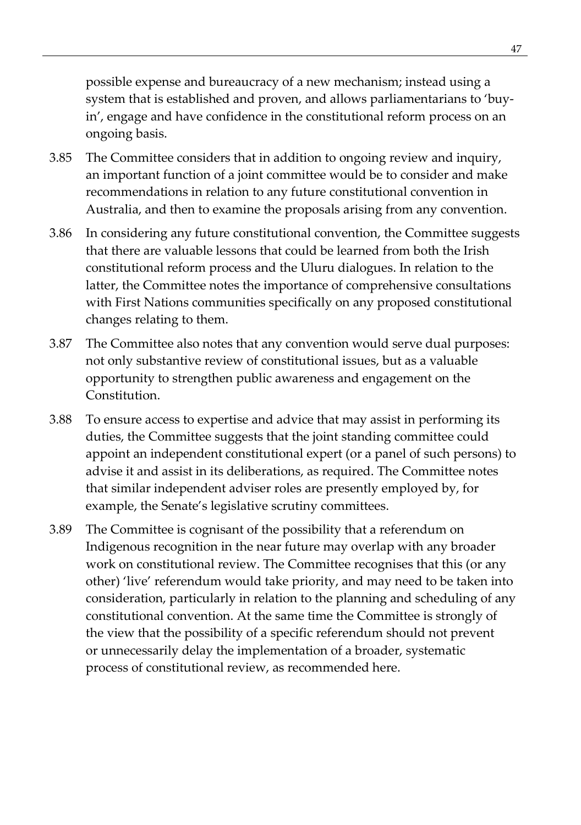possible expense and bureaucracy of a new mechanism; instead using a system that is established and proven, and allows parliamentarians to 'buyin', engage and have confidence in the constitutional reform process on an ongoing basis.

- 3.85 The Committee considers that in addition to ongoing review and inquiry, an important function of a joint committee would be to consider and make recommendations in relation to any future constitutional convention in Australia, and then to examine the proposals arising from any convention.
- 3.86 In considering any future constitutional convention, the Committee suggests that there are valuable lessons that could be learned from both the Irish constitutional reform process and the Uluru dialogues. In relation to the latter, the Committee notes the importance of comprehensive consultations with First Nations communities specifically on any proposed constitutional changes relating to them.
- 3.87 The Committee also notes that any convention would serve dual purposes: not only substantive review of constitutional issues, but as a valuable opportunity to strengthen public awareness and engagement on the Constitution.
- 3.88 To ensure access to expertise and advice that may assist in performing its duties, the Committee suggests that the joint standing committee could appoint an independent constitutional expert (or a panel of such persons) to advise it and assist in its deliberations, as required. The Committee notes that similar independent adviser roles are presently employed by, for example, the Senate's legislative scrutiny committees.
- 3.89 The Committee is cognisant of the possibility that a referendum on Indigenous recognition in the near future may overlap with any broader work on constitutional review. The Committee recognises that this (or any other) 'live' referendum would take priority, and may need to be taken into consideration, particularly in relation to the planning and scheduling of any constitutional convention. At the same time the Committee is strongly of the view that the possibility of a specific referendum should not prevent or unnecessarily delay the implementation of a broader, systematic process of constitutional review, as recommended here.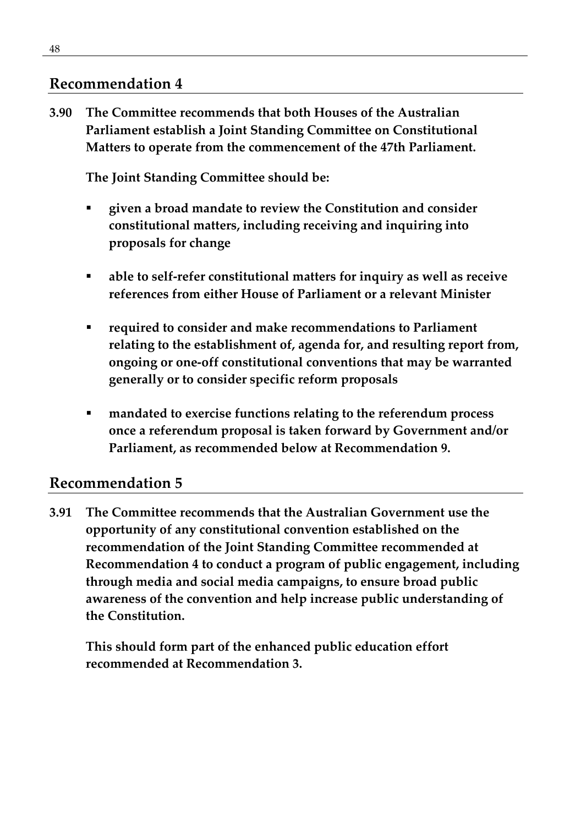#### **Recommendation 4**

**3.90 The Committee recommends that both Houses of the Australian Parliament establish a Joint Standing Committee on Constitutional Matters to operate from the commencement of the 47th Parliament.**

**The Joint Standing Committee should be:**

- **given a broad mandate to review the Constitution and consider constitutional matters, including receiving and inquiring into proposals for change**
- **able to self-refer constitutional matters for inquiry as well as receive references from either House of Parliament or a relevant Minister**
- **required to consider and make recommendations to Parliament relating to the establishment of, agenda for, and resulting report from, ongoing or one-off constitutional conventions that may be warranted generally or to consider specific reform proposals**
- **mandated to exercise functions relating to the referendum process once a referendum proposal is taken forward by Government and/or Parliament, as recommended below at Recommendation 9.**

#### **Recommendation 5**

**3.91 The Committee recommends that the Australian Government use the opportunity of any constitutional convention established on the recommendation of the Joint Standing Committee recommended at Recommendation 4 to conduct a program of public engagement, including through media and social media campaigns, to ensure broad public awareness of the convention and help increase public understanding of the Constitution.** 

**This should form part of the enhanced public education effort recommended at Recommendation 3.**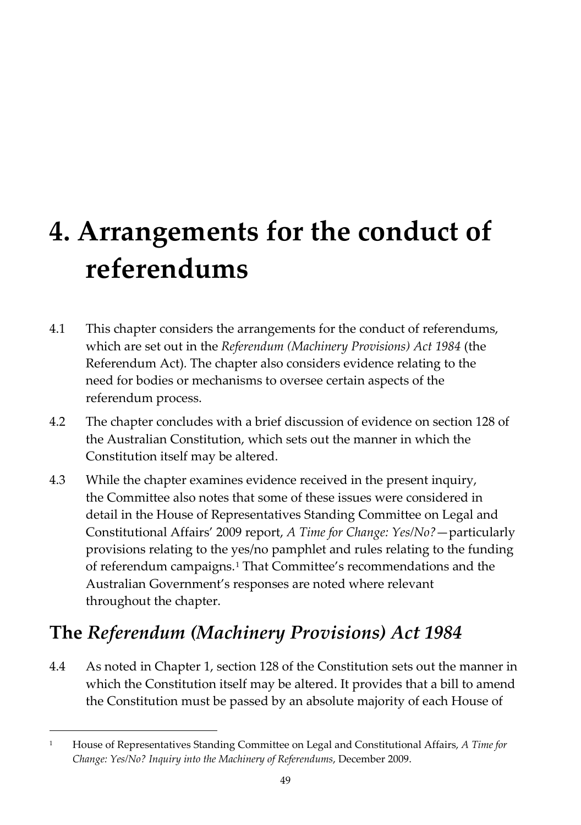# **4. Arrangements for the conduct of referendums**

- 4.1 This chapter considers the arrangements for the conduct of referendums, which are set out in the *Referendum (Machinery Provisions) Act 1984* (the Referendum Act)*.* The chapter also considers evidence relating to the need for bodies or mechanisms to oversee certain aspects of the referendum process.
- 4.2 The chapter concludes with a brief discussion of evidence on section 128 of the Australian Constitution, which sets out the manner in which the Constitution itself may be altered.
- 4.3 While the chapter examines evidence received in the present inquiry, the Committee also notes that some of these issues were considered in detail in the House of Representatives Standing Committee on Legal and Constitutional Affairs' 2009 report, *A Time for Change: Yes/No?*—particularly provisions relating to the yes/no pamphlet and rules relating to the funding of referendum campaigns.[1](#page-62-0) That Committee's recommendations and the Australian Government's responses are noted where relevant throughout the chapter.

# **The** *Referendum (Machinery Provisions) Act 1984*

4.4 As noted in Chapter 1, section 128 of the Constitution sets out the manner in which the Constitution itself may be altered. It provides that a bill to amend the Constitution must be passed by an absolute majority of each House of

<span id="page-62-0"></span><sup>1</sup> House of Representatives Standing Committee on Legal and Constitutional Affairs, *A Time for Change: Yes/No? Inquiry into the Machinery of Referendums*, December 2009.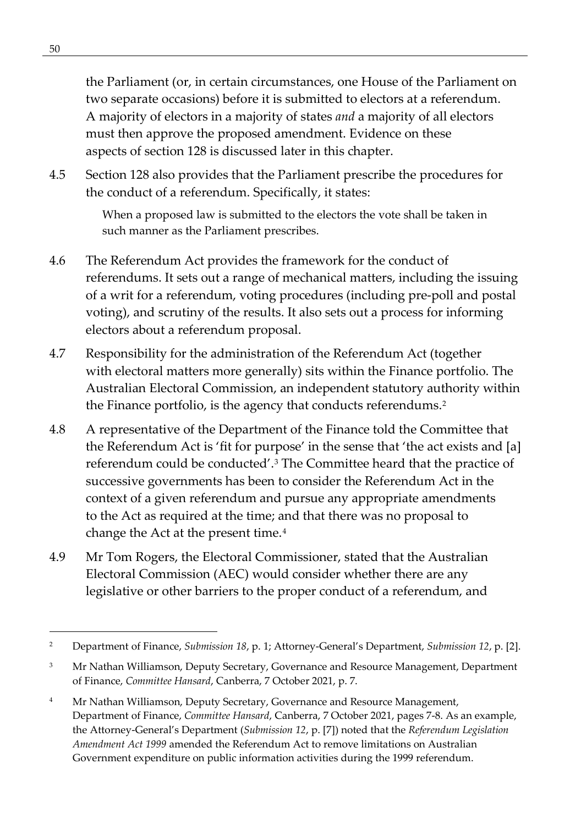the Parliament (or, in certain circumstances, one House of the Parliament on two separate occasions) before it is submitted to electors at a referendum. A majority of electors in a majority of states *and* a majority of all electors must then approve the proposed amendment. Evidence on these aspects of section 128 is discussed later in this chapter.

4.5 Section 128 also provides that the Parliament prescribe the procedures for the conduct of a referendum. Specifically, it states:

> When a proposed law is submitted to the electors the vote shall be taken in such manner as the Parliament prescribes.

- 4.6 The Referendum Act provides the framework for the conduct of referendums. It sets out a range of mechanical matters, including the issuing of a writ for a referendum, voting procedures (including pre-poll and postal voting), and scrutiny of the results. It also sets out a process for informing electors about a referendum proposal.
- 4.7 Responsibility for the administration of the Referendum Act (together with electoral matters more generally) sits within the Finance portfolio. The Australian Electoral Commission, an independent statutory authority within the Finance portfolio, is the agency that conducts referendums.<sup>[2](#page-63-0)</sup>
- 4.8 A representative of the Department of the Finance told the Committee that the Referendum Act is 'fit for purpose' in the sense that 'the act exists and [a] referendum could be conducted'.[3](#page-63-1) The Committee heard that the practice of successive governments has been to consider the Referendum Act in the context of a given referendum and pursue any appropriate amendments to the Act as required at the time; and that there was no proposal to change the Act at the present time.<sup>[4](#page-63-2)</sup>
- 4.9 Mr Tom Rogers, the Electoral Commissioner, stated that the Australian Electoral Commission (AEC) would consider whether there are any legislative or other barriers to the proper conduct of a referendum, and

<span id="page-63-0"></span><sup>2</sup> Department of Finance, *Submission 18*, p. 1; Attorney-General's Department, *Submission 12*, p. [2].

<span id="page-63-1"></span><sup>&</sup>lt;sup>3</sup> Mr Nathan Williamson, Deputy Secretary, Governance and Resource Management, Department of Finance, *Committee Hansard*, Canberra, 7 October 2021, p. 7.

<span id="page-63-2"></span><sup>&</sup>lt;sup>4</sup> Mr Nathan Williamson, Deputy Secretary, Governance and Resource Management, Department of Finance, *Committee Hansard*, Canberra, 7 October 2021, pages 7-8. As an example, the Attorney-General's Department (*Submission 12*, p. [7]) noted that the *Referendum Legislation Amendment Act 1999* amended the Referendum Act to remove limitations on Australian Government expenditure on public information activities during the 1999 referendum.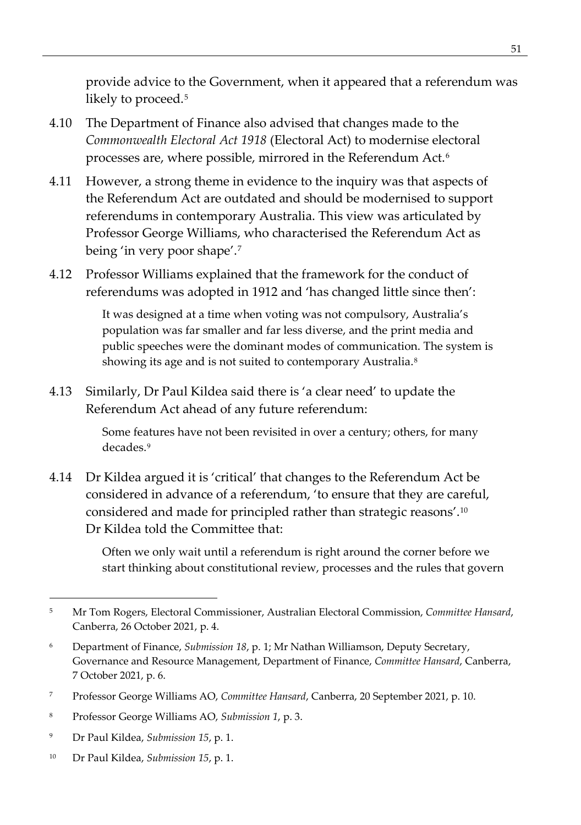provide advice to the Government, when it appeared that a referendum was likely to proceed.[5](#page-64-0)

- 4.10 The Department of Finance also advised that changes made to the *Commonwealth Electoral Act 1918* (Electoral Act) to modernise electoral processes are, where possible, mirrored in the Referendum Act.[6](#page-64-1)
- 4.11 However, a strong theme in evidence to the inquiry was that aspects of the Referendum Act are outdated and should be modernised to support referendums in contemporary Australia. This view was articulated by Professor George Williams, who characterised the Referendum Act as being 'in very poor shape'.[7](#page-64-2)
- 4.12 Professor Williams explained that the framework for the conduct of referendums was adopted in 1912 and 'has changed little since then':

It was designed at a time when voting was not compulsory, Australia's population was far smaller and far less diverse, and the print media and public speeches were the dominant modes of communication. The system is showing its age and is not suited to contemporary Australia.<sup>[8](#page-64-3)</sup>

4.13 Similarly, Dr Paul Kildea said there is 'a clear need' to update the Referendum Act ahead of any future referendum:

> Some features have not been revisited in over a century; others, for many decades.[9](#page-64-4)

4.14 Dr Kildea argued it is 'critical' that changes to the Referendum Act be considered in advance of a referendum, 'to ensure that they are careful, considered and made for principled rather than strategic reasons'.[10](#page-64-5) Dr Kildea told the Committee that:

> Often we only wait until a referendum is right around the corner before we start thinking about constitutional review, processes and the rules that govern

- <span id="page-64-4"></span><sup>9</sup> Dr Paul Kildea, *Submission 15*, p. 1.
- <span id="page-64-5"></span><sup>10</sup> Dr Paul Kildea, *Submission 15*, p. 1.

<span id="page-64-0"></span><sup>5</sup> Mr Tom Rogers, Electoral Commissioner, Australian Electoral Commission, *Committee Hansard*, Canberra, 26 October 2021, p. 4.

<span id="page-64-1"></span><sup>6</sup> Department of Finance, *Submission 18*, p. 1; Mr Nathan Williamson, Deputy Secretary, Governance and Resource Management, Department of Finance, *Committee Hansard*, Canberra, 7 October 2021, p. 6.

<span id="page-64-2"></span><sup>7</sup> Professor George Williams AO, *Committee Hansard*, Canberra, 20 September 2021, p. 10.

<span id="page-64-3"></span><sup>8</sup> Professor George Williams AO, *Submission 1*, p. 3.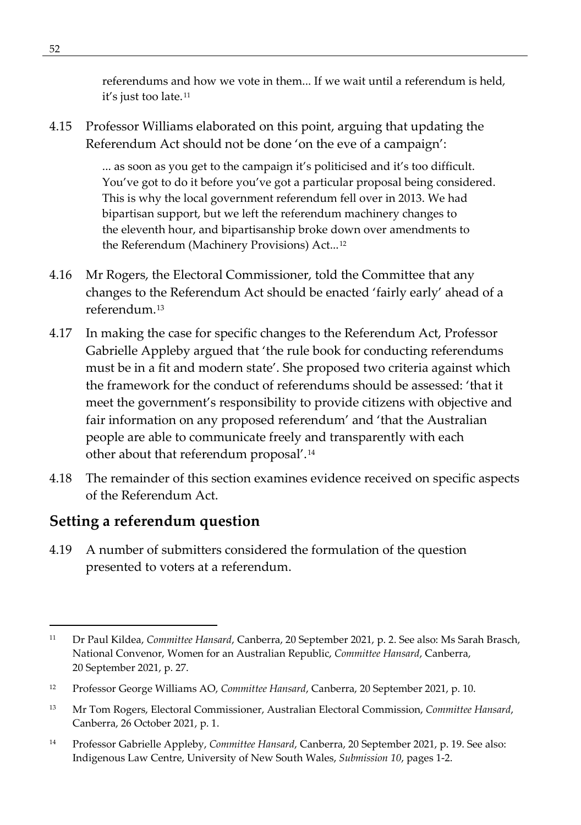referendums and how we vote in them... If we wait until a referendum is held, it's just too late.[11](#page-65-0)

4.15 Professor Williams elaborated on this point, arguing that updating the Referendum Act should not be done 'on the eve of a campaign':

> ... as soon as you get to the campaign it's politicised and it's too difficult. You've got to do it before you've got a particular proposal being considered. This is why the local government referendum fell over in 2013. We had bipartisan support, but we left the referendum machinery changes to the eleventh hour, and bipartisanship broke down over amendments to the Referendum (Machinery Provisions) Act...<sup>[12](#page-65-1)</sup>

- 4.16 Mr Rogers, the Electoral Commissioner, told the Committee that any changes to the Referendum Act should be enacted 'fairly early' ahead of a referendum.[13](#page-65-2)
- 4.17 In making the case for specific changes to the Referendum Act, Professor Gabrielle Appleby argued that 'the rule book for conducting referendums must be in a fit and modern state'. She proposed two criteria against which the framework for the conduct of referendums should be assessed: 'that it meet the government's responsibility to provide citizens with objective and fair information on any proposed referendum' and 'that the Australian people are able to communicate freely and transparently with each other about that referendum proposal'.[14](#page-65-3)
- 4.18 The remainder of this section examines evidence received on specific aspects of the Referendum Act.

#### **Setting a referendum question**

4.19 A number of submitters considered the formulation of the question presented to voters at a referendum.

<span id="page-65-0"></span><sup>11</sup> Dr Paul Kildea, *Committee Hansard*, Canberra, 20 September 2021, p. 2. See also: Ms Sarah Brasch, National Convenor, Women for an Australian Republic, *Committee Hansard*, Canberra, 20 September 2021, p. 27.

<span id="page-65-1"></span><sup>12</sup> Professor George Williams AO, *Committee Hansard*, Canberra, 20 September 2021, p. 10.

<span id="page-65-2"></span><sup>13</sup> Mr Tom Rogers, Electoral Commissioner, Australian Electoral Commission, *Committee Hansard*, Canberra, 26 October 2021, p. 1.

<span id="page-65-3"></span><sup>14</sup> Professor Gabrielle Appleby, *Committee Hansard*, Canberra, 20 September 2021, p. 19. See also: Indigenous Law Centre, University of New South Wales, *Submission 10*, pages 1-2.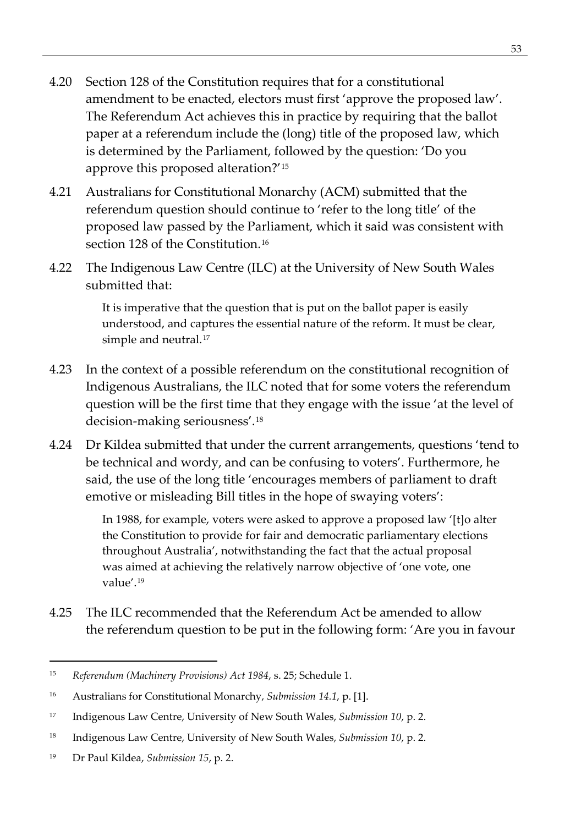- 4.20 Section 128 of the Constitution requires that for a constitutional amendment to be enacted, electors must first 'approve the proposed law'. The Referendum Act achieves this in practice by requiring that the ballot paper at a referendum include the (long) title of the proposed law, which is determined by the Parliament, followed by the question: 'Do you approve this proposed alteration?'[15](#page-66-0)
- 4.21 Australians for Constitutional Monarchy (ACM) submitted that the referendum question should continue to 'refer to the long title' of the proposed law passed by the Parliament, which it said was consistent with section 128 of the Constitution.<sup>16</sup>
- 4.22 The Indigenous Law Centre (ILC) at the University of New South Wales submitted that:

It is imperative that the question that is put on the ballot paper is easily understood, and captures the essential nature of the reform. It must be clear, simple and neutral.<sup>[17](#page-66-2)</sup>

- 4.23 In the context of a possible referendum on the constitutional recognition of Indigenous Australians, the ILC noted that for some voters the referendum question will be the first time that they engage with the issue 'at the level of decision-making seriousness'.[18](#page-66-3)
- 4.24 Dr Kildea submitted that under the current arrangements, questions 'tend to be technical and wordy, and can be confusing to voters'. Furthermore, he said, the use of the long title 'encourages members of parliament to draft emotive or misleading Bill titles in the hope of swaying voters':

In 1988, for example, voters were asked to approve a proposed law '[t]o alter the Constitution to provide for fair and democratic parliamentary elections throughout Australia', notwithstanding the fact that the actual proposal was aimed at achieving the relatively narrow objective of 'one vote, one value'.[19](#page-66-4)

4.25 The ILC recommended that the Referendum Act be amended to allow the referendum question to be put in the following form: 'Are you in favour

<span id="page-66-0"></span><sup>15</sup> *Referendum (Machinery Provisions) Act 1984*, s. 25; Schedule 1.

<span id="page-66-1"></span><sup>16</sup> Australians for Constitutional Monarchy, *Submission 14.1*, p. [1].

<span id="page-66-2"></span><sup>17</sup> Indigenous Law Centre, University of New South Wales, *Submission 10*, p. 2.

<span id="page-66-3"></span><sup>18</sup> Indigenous Law Centre, University of New South Wales, *Submission 10*, p. 2.

<span id="page-66-4"></span><sup>19</sup> Dr Paul Kildea, *Submission 15*, p. 2.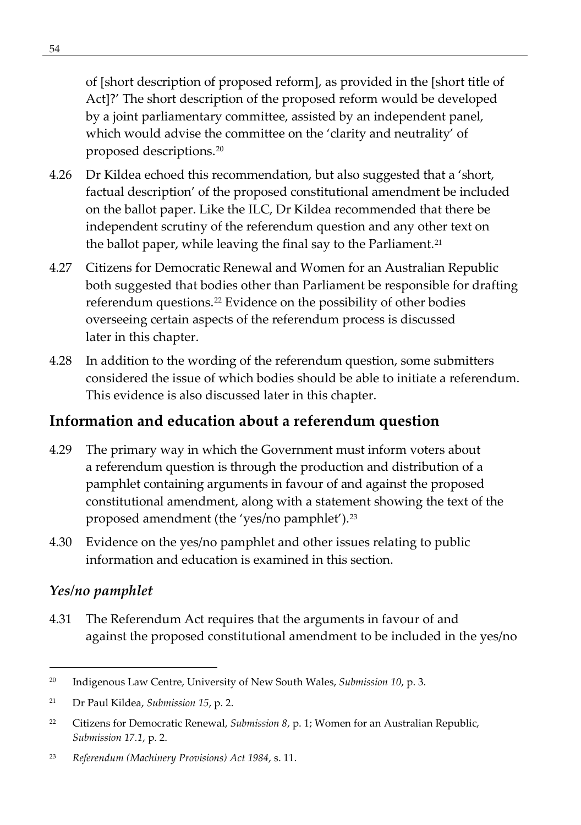of [short description of proposed reform], as provided in the [short title of Act]?' The short description of the proposed reform would be developed by a joint parliamentary committee, assisted by an independent panel, which would advise the committee on the 'clarity and neutrality' of proposed descriptions.[20](#page-67-0)

- 4.26 Dr Kildea echoed this recommendation, but also suggested that a 'short, factual description' of the proposed constitutional amendment be included on the ballot paper. Like the ILC, Dr Kildea recommended that there be independent scrutiny of the referendum question and any other text on the ballot paper, while leaving the final say to the Parliament.<sup>[21](#page-67-1)</sup>
- 4.27 Citizens for Democratic Renewal and Women for an Australian Republic both suggested that bodies other than Parliament be responsible for drafting referendum questions.<sup>[22](#page-67-2)</sup> Evidence on the possibility of other bodies overseeing certain aspects of the referendum process is discussed later in this chapter.
- 4.28 In addition to the wording of the referendum question, some submitters considered the issue of which bodies should be able to initiate a referendum. This evidence is also discussed later in this chapter.

## **Information and education about a referendum question**

- 4.29 The primary way in which the Government must inform voters about a referendum question is through the production and distribution of a pamphlet containing arguments in favour of and against the proposed constitutional amendment, along with a statement showing the text of the proposed amendment (the 'yes/no pamphlet')[.23](#page-67-3)
- 4.30 Evidence on the yes/no pamphlet and other issues relating to public information and education is examined in this section.

#### *Yes/no pamphlet*

4.31 The Referendum Act requires that the arguments in favour of and against the proposed constitutional amendment to be included in the yes/no

<span id="page-67-0"></span><sup>20</sup> Indigenous Law Centre, University of New South Wales, *Submission 10*, p. 3.

<span id="page-67-1"></span><sup>21</sup> Dr Paul Kildea, *Submission 15*, p. 2.

<span id="page-67-2"></span><sup>22</sup> Citizens for Democratic Renewal, *Submission 8*, p. 1; Women for an Australian Republic, *Submission 17.1*, p. 2.

<span id="page-67-3"></span><sup>23</sup> *Referendum (Machinery Provisions) Act 1984*, s. 11.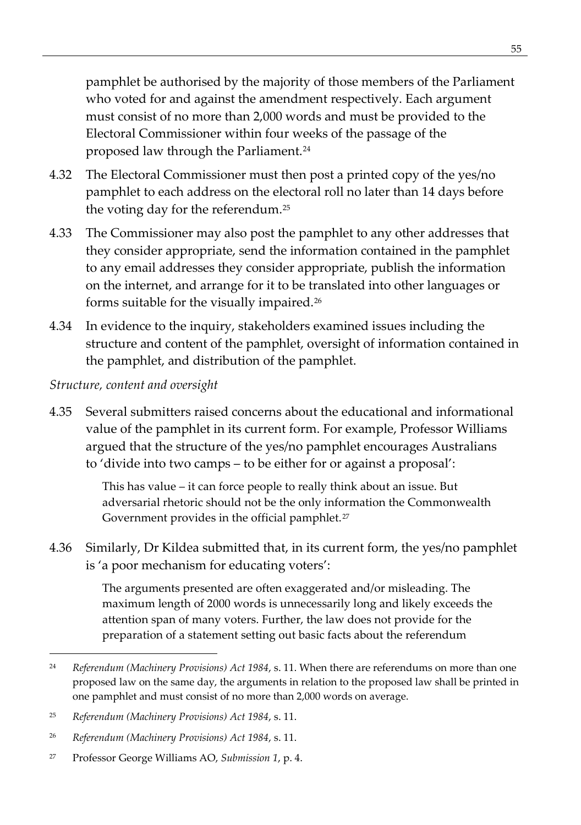pamphlet be authorised by the majority of those members of the Parliament who voted for and against the amendment respectively. Each argument must consist of no more than 2,000 words and must be provided to the Electoral Commissioner within four weeks of the passage of the proposed law through the Parliament.<sup>[24](#page-68-0)</sup>

- 4.32 The Electoral Commissioner must then post a printed copy of the yes/no pamphlet to each address on the electoral roll no later than 14 days before the voting day for the referendum.[25](#page-68-1)
- 4.33 The Commissioner may also post the pamphlet to any other addresses that they consider appropriate, send the information contained in the pamphlet to any email addresses they consider appropriate, publish the information on the internet, and arrange for it to be translated into other languages or forms suitable for the visually impaired.[26](#page-68-2)
- 4.34 In evidence to the inquiry, stakeholders examined issues including the structure and content of the pamphlet, oversight of information contained in the pamphlet, and distribution of the pamphlet.

#### *Structure, content and oversight*

4.35 Several submitters raised concerns about the educational and informational value of the pamphlet in its current form. For example, Professor Williams argued that the structure of the yes/no pamphlet encourages Australians to 'divide into two camps – to be either for or against a proposal':

> This has value – it can force people to really think about an issue. But adversarial rhetoric should not be the only information the Commonwealth Government provides in the official pamphlet.<sup>[27](#page-68-3)</sup>

4.36 Similarly, Dr Kildea submitted that, in its current form, the yes/no pamphlet is 'a poor mechanism for educating voters':

> The arguments presented are often exaggerated and/or misleading. The maximum length of 2000 words is unnecessarily long and likely exceeds the attention span of many voters. Further, the law does not provide for the preparation of a statement setting out basic facts about the referendum

<span id="page-68-0"></span><sup>24</sup> *Referendum (Machinery Provisions) Act 1984*, s. 11. When there are referendums on more than one proposed law on the same day, the arguments in relation to the proposed law shall be printed in one pamphlet and must consist of no more than 2,000 words on average.

<span id="page-68-1"></span><sup>25</sup> *Referendum (Machinery Provisions) Act 1984*, s. 11.

<span id="page-68-2"></span><sup>26</sup> *Referendum (Machinery Provisions) Act 1984*, s. 11.

<span id="page-68-3"></span><sup>27</sup> Professor George Williams AO, *Submission 1*, p. 4.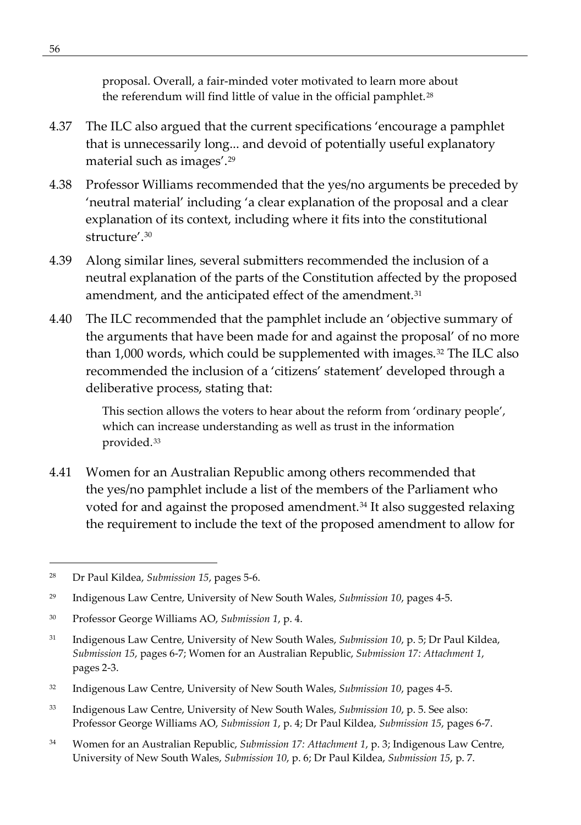proposal. Overall, a fair-minded voter motivated to learn more about the referendum will find little of value in the official pamphlet.<sup>[28](#page-69-0)</sup>

- 4.37 The ILC also argued that the current specifications 'encourage a pamphlet that is unnecessarily long... and devoid of potentially useful explanatory material such as images'.[29](#page-69-1)
- 4.38 Professor Williams recommended that the yes/no arguments be preceded by 'neutral material' including 'a clear explanation of the proposal and a clear explanation of its context, including where it fits into the constitutional structure'.[30](#page-69-2)
- 4.39 Along similar lines, several submitters recommended the inclusion of a neutral explanation of the parts of the Constitution affected by the proposed amendment, and the anticipated effect of the amendment.<sup>[31](#page-69-3)</sup>
- 4.40 The ILC recommended that the pamphlet include an 'objective summary of the arguments that have been made for and against the proposal' of no more than 1,000 words, which could be supplemented with images.<sup>[32](#page-69-4)</sup> The ILC also recommended the inclusion of a 'citizens' statement' developed through a deliberative process, stating that:

This section allows the voters to hear about the reform from 'ordinary people', which can increase understanding as well as trust in the information provided.[33](#page-69-5)

4.41 Women for an Australian Republic among others recommended that the yes/no pamphlet include a list of the members of the Parliament who voted for and against the proposed amendment.<sup>[34](#page-69-6)</sup> It also suggested relaxing the requirement to include the text of the proposed amendment to allow for

- <span id="page-69-4"></span><sup>32</sup> Indigenous Law Centre, University of New South Wales, *Submission 10*, pages 4-5.
- <span id="page-69-5"></span><sup>33</sup> Indigenous Law Centre, University of New South Wales, *Submission 10*, p. 5. See also: Professor George Williams AO, *Submission 1*, p. 4; Dr Paul Kildea, *Submission 15*, pages 6-7.
- <span id="page-69-6"></span><sup>34</sup> Women for an Australian Republic, *Submission 17: Attachment 1*, p. 3; Indigenous Law Centre, University of New South Wales, *Submission 10*, p. 6; Dr Paul Kildea, *Submission 15*, p. 7.

<span id="page-69-0"></span><sup>28</sup> Dr Paul Kildea, *Submission 15*, pages 5-6.

<span id="page-69-1"></span><sup>29</sup> Indigenous Law Centre, University of New South Wales, *Submission 10*, pages 4-5.

<span id="page-69-2"></span><sup>30</sup> Professor George Williams AO, *Submission 1*, p. 4.

<span id="page-69-3"></span><sup>31</sup> Indigenous Law Centre, University of New South Wales, *Submission 10*, p. 5; Dr Paul Kildea, *Submission 15*, pages 6-7; Women for an Australian Republic, *Submission 17: Attachment 1*, pages 2-3.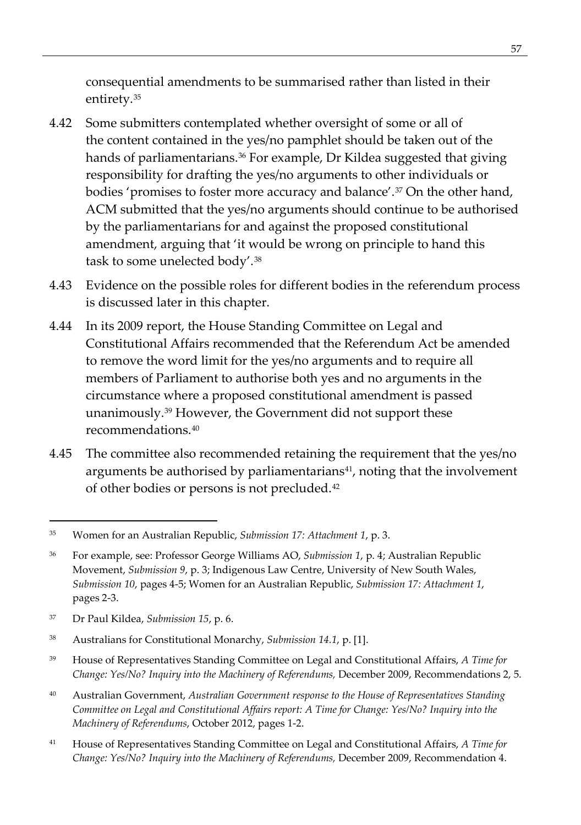consequential amendments to be summarised rather than listed in their entirety.[35](#page-70-0)

- 4.42 Some submitters contemplated whether oversight of some or all of the content contained in the yes/no pamphlet should be taken out of the hands of parliamentarians.<sup>[36](#page-70-1)</sup> For example, Dr Kildea suggested that giving responsibility for drafting the yes/no arguments to other individuals or bodies 'promises to foster more accuracy and balance'.[37](#page-70-2) On the other hand, ACM submitted that the yes/no arguments should continue to be authorised by the parliamentarians for and against the proposed constitutional amendment, arguing that 'it would be wrong on principle to hand this task to some unelected body'.[38](#page-70-3)
- 4.43 Evidence on the possible roles for different bodies in the referendum process is discussed later in this chapter.
- 4.44 In its 2009 report, the House Standing Committee on Legal and Constitutional Affairs recommended that the Referendum Act be amended to remove the word limit for the yes/no arguments and to require all members of Parliament to authorise both yes and no arguments in the circumstance where a proposed constitutional amendment is passed unanimously.[39](#page-70-4) However, the Government did not support these recommendations<sup>[40](#page-70-5)</sup>
- 4.45 The committee also recommended retaining the requirement that the yes/no arguments be authorised by parliamentarians<sup>41</sup>, noting that the involvement of other bodies or persons is not precluded.[42](#page-70-7)

- <span id="page-70-7"></span><span id="page-70-4"></span><sup>39</sup> House of Representatives Standing Committee on Legal and Constitutional Affairs, *A Time for Change: Yes/No? Inquiry into the Machinery of Referendums,* December 2009, Recommendations 2, 5.
- <span id="page-70-5"></span><sup>40</sup> Australian Government, *Australian Government response to the House of Representatives Standing Committee on Legal and Constitutional Affairs report: A Time for Change: Yes/No? Inquiry into the Machinery of Referendums*, October 2012, pages 1-2.
- <span id="page-70-6"></span><sup>41</sup> House of Representatives Standing Committee on Legal and Constitutional Affairs, *A Time for Change: Yes/No? Inquiry into the Machinery of Referendums,* December 2009, Recommendation 4.

<span id="page-70-0"></span><sup>35</sup> Women for an Australian Republic, *Submission 17: Attachment 1*, p. 3.

<span id="page-70-1"></span><sup>36</sup> For example, see: Professor George Williams AO, *Submission 1*, p. 4; Australian Republic Movement, *Submission 9*, p. 3; Indigenous Law Centre, University of New South Wales, *Submission 10*, pages 4-5; Women for an Australian Republic, *Submission 17: Attachment 1*, pages 2-3.

<span id="page-70-2"></span><sup>37</sup> Dr Paul Kildea, *Submission 15*, p. 6.

<span id="page-70-3"></span><sup>38</sup> Australians for Constitutional Monarchy, *Submission 14.1*, p. [1].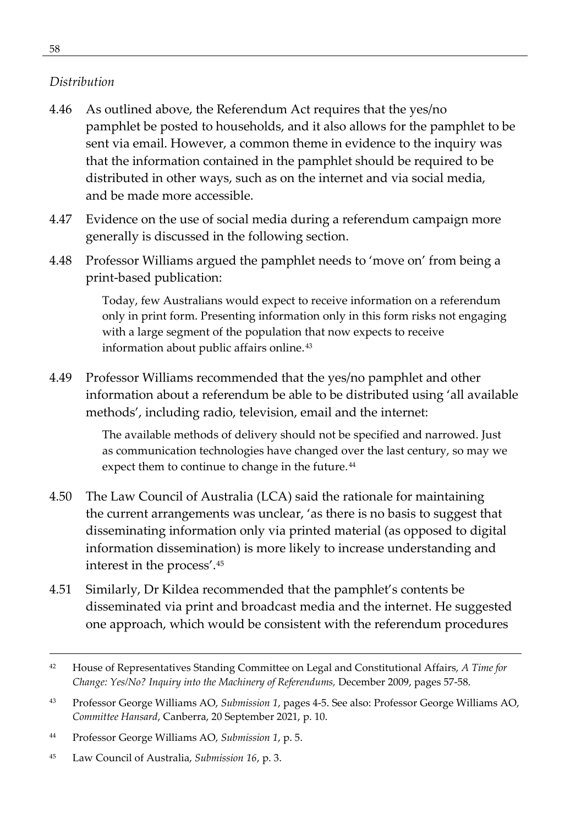#### *Distribution*

- 4.46 As outlined above, the Referendum Act requires that the yes/no pamphlet be posted to households, and it also allows for the pamphlet to be sent via email. However, a common theme in evidence to the inquiry was that the information contained in the pamphlet should be required to be distributed in other ways, such as on the internet and via social media, and be made more accessible.
- 4.47 Evidence on the use of social media during a referendum campaign more generally is discussed in the following section.
- 4.48 Professor Williams argued the pamphlet needs to 'move on' from being a print-based publication:

Today, few Australians would expect to receive information on a referendum only in print form. Presenting information only in this form risks not engaging with a large segment of the population that now expects to receive information about public affairs online.[43](#page-71-0)

4.49 Professor Williams recommended that the yes/no pamphlet and other information about a referendum be able to be distributed using 'all available methods', including radio, television, email and the internet:

> The available methods of delivery should not be specified and narrowed. Just as communication technologies have changed over the last century, so may we expect them to continue to change in the future.<sup>[44](#page-71-1)</sup>

- 4.50 The Law Council of Australia (LCA) said the rationale for maintaining the current arrangements was unclear, 'as there is no basis to suggest that disseminating information only via printed material (as opposed to digital information dissemination) is more likely to increase understanding and interest in the process'.[45](#page-71-2)
- 4.51 Similarly, Dr Kildea recommended that the pamphlet's contents be disseminated via print and broadcast media and the internet. He suggested one approach, which would be consistent with the referendum procedures

<sup>42</sup> House of Representatives Standing Committee on Legal and Constitutional Affairs, *A Time for Change: Yes/No? Inquiry into the Machinery of Referendums,* December 2009, pages 57-58.

<span id="page-71-0"></span><sup>43</sup> Professor George Williams AO, *Submission 1*, pages 4-5. See also: Professor George Williams AO, *Committee Hansard*, Canberra, 20 September 2021, p. 10.

<span id="page-71-1"></span><sup>44</sup> Professor George Williams AO, *Submission 1*, p. 5.

<span id="page-71-2"></span><sup>45</sup> Law Council of Australia, *Submission 16*, p. 3.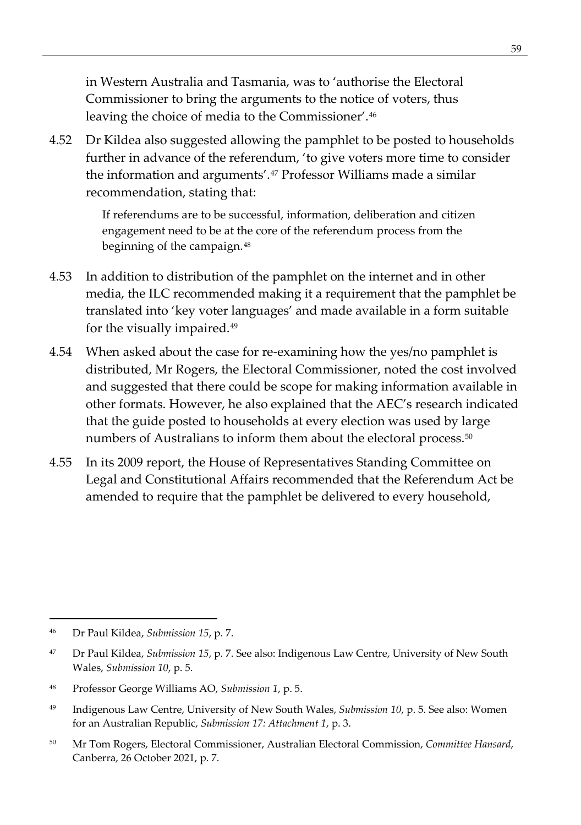in Western Australia and Tasmania, was to 'authorise the Electoral Commissioner to bring the arguments to the notice of voters, thus leaving the choice of media to the Commissioner'.[46](#page-72-0)

4.52 Dr Kildea also suggested allowing the pamphlet to be posted to households further in advance of the referendum, 'to give voters more time to consider the information and arguments'.[47](#page-72-1) Professor Williams made a similar recommendation, stating that:

> If referendums are to be successful, information, deliberation and citizen engagement need to be at the core of the referendum process from the beginning of the campaign.[48](#page-72-2)

- 4.53 In addition to distribution of the pamphlet on the internet and in other media, the ILC recommended making it a requirement that the pamphlet be translated into 'key voter languages' and made available in a form suitable for the visually impaired.[49](#page-72-3)
- 4.54 When asked about the case for re-examining how the yes/no pamphlet is distributed, Mr Rogers, the Electoral Commissioner, noted the cost involved and suggested that there could be scope for making information available in other formats. However, he also explained that the AEC's research indicated that the guide posted to households at every election was used by large numbers of Australians to inform them about the electoral process.<sup>[50](#page-72-4)</sup>
- 4.55 In its 2009 report, the House of Representatives Standing Committee on Legal and Constitutional Affairs recommended that the Referendum Act be amended to require that the pamphlet be delivered to every household,

<span id="page-72-0"></span><sup>46</sup> Dr Paul Kildea, *Submission 15*, p. 7.

<span id="page-72-1"></span><sup>47</sup> Dr Paul Kildea, *Submission 15*, p. 7. See also: Indigenous Law Centre, University of New South Wales, *Submission 10*, p. 5.

<span id="page-72-2"></span><sup>48</sup> Professor George Williams AO, *Submission 1*, p. 5.

<span id="page-72-3"></span><sup>49</sup> Indigenous Law Centre, University of New South Wales, *Submission 10*, p. 5. See also: Women for an Australian Republic, *Submission 17: Attachment 1*, p. 3.

<span id="page-72-4"></span><sup>50</sup> Mr Tom Rogers, Electoral Commissioner, Australian Electoral Commission, *Committee Hansard*, Canberra, 26 October 2021, p. 7.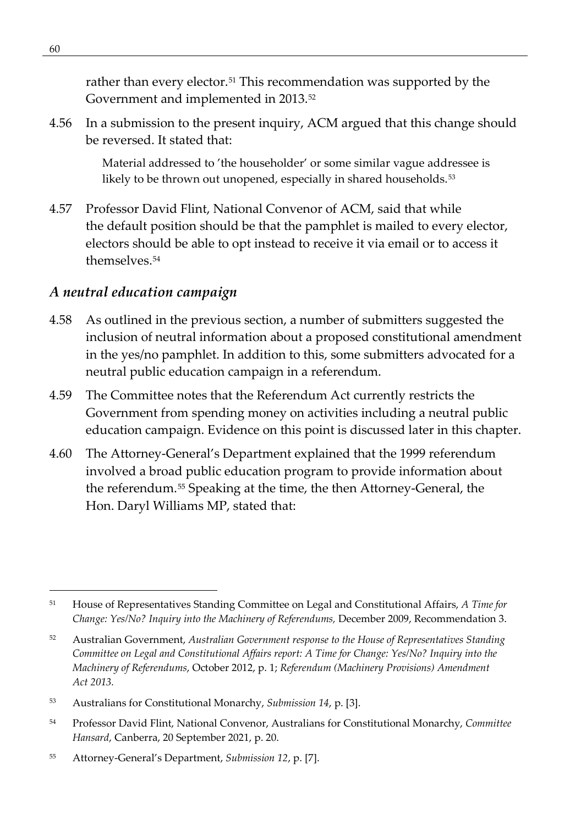rather than every elector.<sup>[51](#page-73-0)</sup> This recommendation was supported by the Government and implemented in 2013.<sup>[52](#page-73-1)</sup>

4.56 In a submission to the present inquiry, ACM argued that this change should be reversed. It stated that:

> Material addressed to 'the householder' or some similar vague addressee is likely to be thrown out unopened, especially in shared households.<sup>[53](#page-73-2)</sup>

4.57 Professor David Flint, National Convenor of ACM, said that while the default position should be that the pamphlet is mailed to every elector, electors should be able to opt instead to receive it via email or to access it themselves.[54](#page-73-3)

#### *A neutral education campaign*

- 4.58 As outlined in the previous section, a number of submitters suggested the inclusion of neutral information about a proposed constitutional amendment in the yes/no pamphlet. In addition to this, some submitters advocated for a neutral public education campaign in a referendum.
- 4.59 The Committee notes that the Referendum Act currently restricts the Government from spending money on activities including a neutral public education campaign. Evidence on this point is discussed later in this chapter.
- 4.60 The Attorney-General's Department explained that the 1999 referendum involved a broad public education program to provide information about the referendum.[55](#page-73-4) Speaking at the time, the then Attorney-General, the Hon. Daryl Williams MP, stated that:

<span id="page-73-0"></span><sup>51</sup> House of Representatives Standing Committee on Legal and Constitutional Affairs, *A Time for Change: Yes/No? Inquiry into the Machinery of Referendums,* December 2009, Recommendation 3.

<span id="page-73-1"></span><sup>52</sup> Australian Government, *Australian Government response to the House of Representatives Standing Committee on Legal and Constitutional Affairs report: A Time for Change: Yes/No? Inquiry into the Machinery of Referendums*, October 2012, p. 1; *Referendum (Machinery Provisions) Amendment Act 2013.*

<span id="page-73-2"></span><sup>53</sup> Australians for Constitutional Monarchy, *Submission 14*, p. [3].

<span id="page-73-3"></span><sup>54</sup> Professor David Flint, National Convenor, Australians for Constitutional Monarchy, *Committee Hansard*, Canberra, 20 September 2021, p. 20.

<span id="page-73-4"></span><sup>55</sup> Attorney-General's Department, *Submission 12*, p. [7].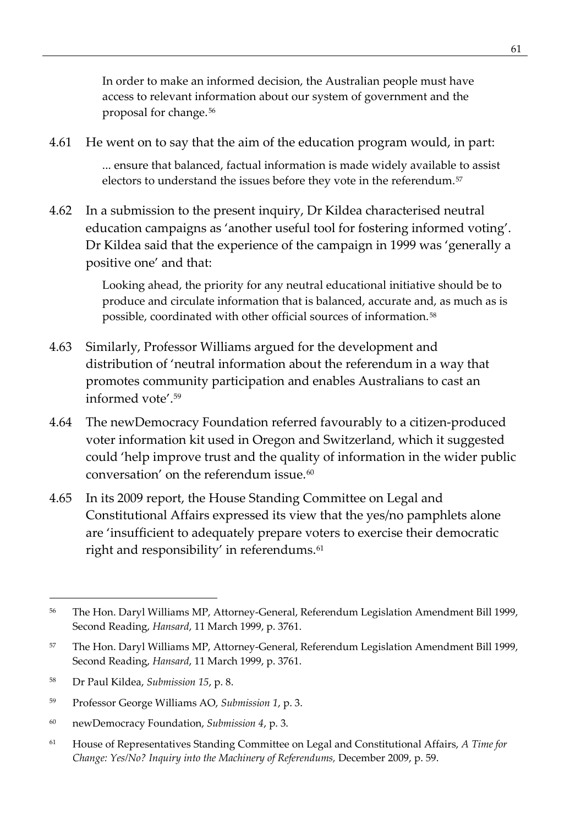In order to make an informed decision, the Australian people must have access to relevant information about our system of government and the proposal for change.[56](#page-74-0)

- 4.61 He went on to say that the aim of the education program would, in part: ... ensure that balanced, factual information is made widely available to assist electors to understand the issues before they vote in the referendum.<sup>[57](#page-74-1)</sup>
- 4.62 In a submission to the present inquiry, Dr Kildea characterised neutral education campaigns as 'another useful tool for fostering informed voting'. Dr Kildea said that the experience of the campaign in 1999 was 'generally a positive one' and that:

Looking ahead, the priority for any neutral educational initiative should be to produce and circulate information that is balanced, accurate and, as much as is possible, coordinated with other official sources of information.[58](#page-74-2)

- 4.63 Similarly, Professor Williams argued for the development and distribution of 'neutral information about the referendum in a way that promotes community participation and enables Australians to cast an informed vote'.[59](#page-74-3)
- 4.64 The newDemocracy Foundation referred favourably to a citizen-produced voter information kit used in Oregon and Switzerland, which it suggested could 'help improve trust and the quality of information in the wider public conversation' on the referendum issue.<sup>[60](#page-74-4)</sup>
- 4.65 In its 2009 report, the House Standing Committee on Legal and Constitutional Affairs expressed its view that the yes/no pamphlets alone are 'insufficient to adequately prepare voters to exercise their democratic right and responsibility' in referendums.<sup>[61](#page-74-5)</sup>

<span id="page-74-0"></span><sup>&</sup>lt;sup>56</sup> The Hon. Daryl Williams MP, Attorney-General, Referendum Legislation Amendment Bill 1999, Second Reading, *Hansard*, 11 March 1999, p. 3761.

<span id="page-74-1"></span><sup>57</sup> The Hon. Daryl Williams MP, Attorney-General, Referendum Legislation Amendment Bill 1999, Second Reading, *Hansard*, 11 March 1999, p. 3761.

<span id="page-74-2"></span><sup>58</sup> Dr Paul Kildea, *Submission 15*, p. 8.

<span id="page-74-3"></span><sup>59</sup> Professor George Williams AO, *Submission 1*, p. 3.

<span id="page-74-4"></span><sup>60</sup> newDemocracy Foundation, *Submission 4*, p. 3.

<span id="page-74-5"></span><sup>61</sup> House of Representatives Standing Committee on Legal and Constitutional Affairs, *A Time for Change: Yes/No? Inquiry into the Machinery of Referendums,* December 2009, p. 59.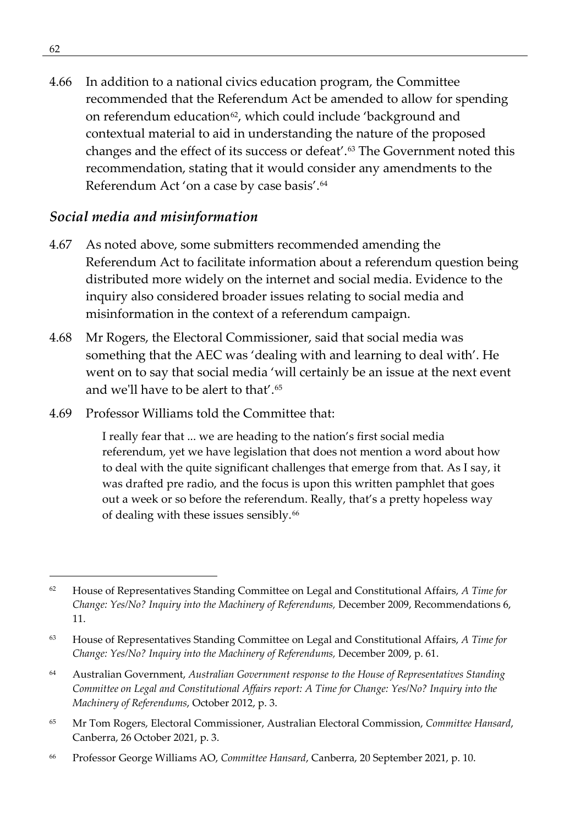4.66 In addition to a national civics education program, the Committee recommended that the Referendum Act be amended to allow for spending on referendum education<sup>[62](#page-75-0)</sup>, which could include 'background and contextual material to aid in understanding the nature of the proposed changes and the effect of its success or defeat'.[63](#page-75-1) The Government noted this recommendation, stating that it would consider any amendments to the Referendum Act 'on a case by case basis'.[64](#page-75-2)

#### *Social media and misinformation*

- 4.67 As noted above, some submitters recommended amending the Referendum Act to facilitate information about a referendum question being distributed more widely on the internet and social media. Evidence to the inquiry also considered broader issues relating to social media and misinformation in the context of a referendum campaign.
- 4.68 Mr Rogers, the Electoral Commissioner, said that social media was something that the AEC was 'dealing with and learning to deal with'. He went on to say that social media 'will certainly be an issue at the next event and we'll have to be alert to that'.[65](#page-75-3)
- 4.69 Professor Williams told the Committee that:

I really fear that ... we are heading to the nation's first social media referendum, yet we have legislation that does not mention a word about how to deal with the quite significant challenges that emerge from that. As I say, it was drafted pre radio, and the focus is upon this written pamphlet that goes out a week or so before the referendum. Really, that's a pretty hopeless way of dealing with these issues sensibly.[66](#page-75-4)

- <span id="page-75-3"></span><sup>65</sup> Mr Tom Rogers, Electoral Commissioner, Australian Electoral Commission, *Committee Hansard*, Canberra, 26 October 2021, p. 3.
- <span id="page-75-4"></span><sup>66</sup> Professor George Williams AO, *Committee Hansard*, Canberra, 20 September 2021, p. 10.

<span id="page-75-0"></span><sup>62</sup> House of Representatives Standing Committee on Legal and Constitutional Affairs, *A Time for Change: Yes/No? Inquiry into the Machinery of Referendums,* December 2009, Recommendations 6, 11.

<span id="page-75-1"></span><sup>63</sup> House of Representatives Standing Committee on Legal and Constitutional Affairs, *A Time for Change: Yes/No? Inquiry into the Machinery of Referendums,* December 2009, p. 61.

<span id="page-75-2"></span><sup>64</sup> Australian Government, *Australian Government response to the House of Representatives Standing Committee on Legal and Constitutional Affairs report: A Time for Change: Yes/No? Inquiry into the Machinery of Referendums*, October 2012, p. 3.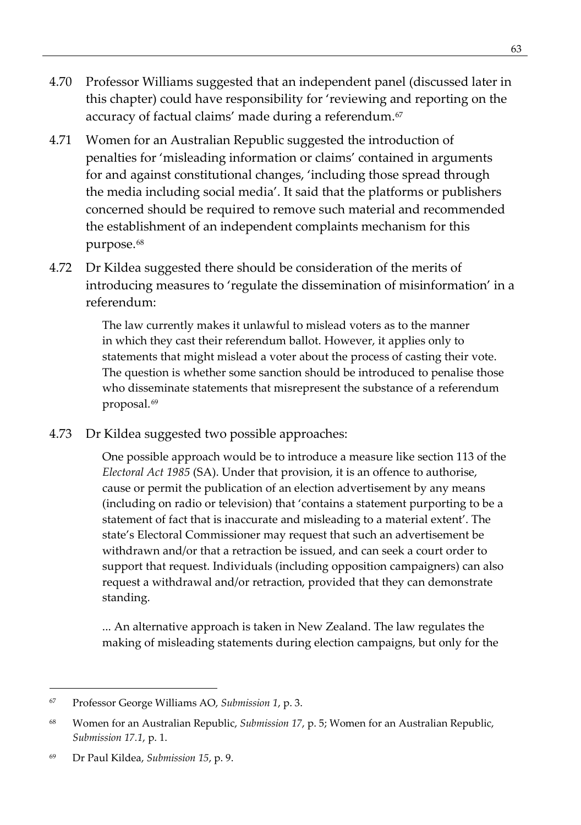- 4.70 Professor Williams suggested that an independent panel (discussed later in this chapter) could have responsibility for 'reviewing and reporting on the accuracy of factual claims' made during a referendum.<sup>67</sup>
- 4.71 Women for an Australian Republic suggested the introduction of penalties for 'misleading information or claims' contained in arguments for and against constitutional changes, 'including those spread through the media including social media'. It said that the platforms or publishers concerned should be required to remove such material and recommended the establishment of an independent complaints mechanism for this purpose.<sup>[68](#page-76-1)</sup>
- 4.72 Dr Kildea suggested there should be consideration of the merits of introducing measures to 'regulate the dissemination of misinformation' in a referendum:

The law currently makes it unlawful to mislead voters as to the manner in which they cast their referendum ballot. However, it applies only to statements that might mislead a voter about the process of casting their vote. The question is whether some sanction should be introduced to penalise those who disseminate statements that misrepresent the substance of a referendum proposal.[69](#page-76-2)

4.73 Dr Kildea suggested two possible approaches:

One possible approach would be to introduce a measure like section 113 of the *Electoral Act 1985* (SA). Under that provision, it is an offence to authorise, cause or permit the publication of an election advertisement by any means (including on radio or television) that 'contains a statement purporting to be a statement of fact that is inaccurate and misleading to a material extent'. The state's Electoral Commissioner may request that such an advertisement be withdrawn and/or that a retraction be issued, and can seek a court order to support that request. Individuals (including opposition campaigners) can also request a withdrawal and/or retraction, provided that they can demonstrate standing.

... An alternative approach is taken in New Zealand. The law regulates the making of misleading statements during election campaigns, but only for the

<span id="page-76-0"></span><sup>67</sup> Professor George Williams AO, *Submission 1*, p. 3.

<span id="page-76-1"></span><sup>68</sup> Women for an Australian Republic, *Submission 17*, p. 5; Women for an Australian Republic, *Submission 17.1*, p. 1.

<span id="page-76-2"></span><sup>69</sup> Dr Paul Kildea, *Submission 15*, p. 9.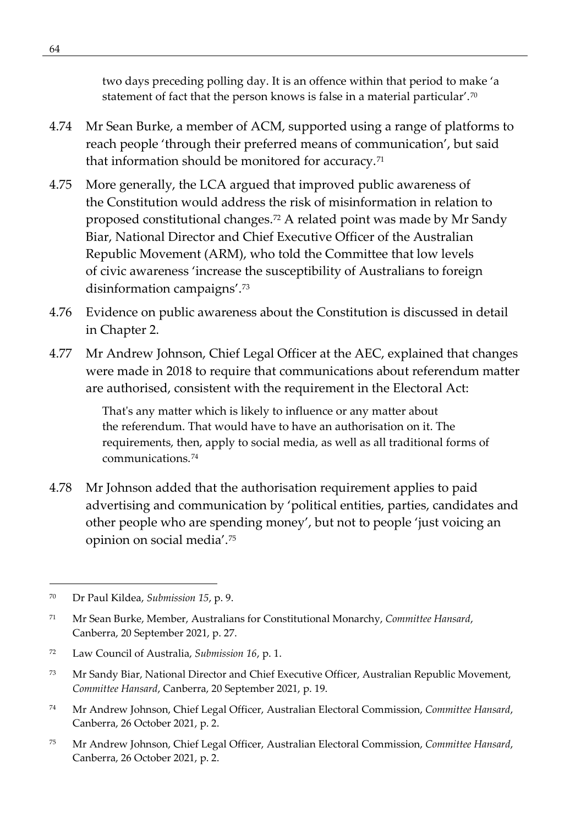two days preceding polling day. It is an offence within that period to make 'a statement of fact that the person knows is false in a material particular'.<sup>[70](#page-77-0)</sup>

- 4.74 Mr Sean Burke, a member of ACM, supported using a range of platforms to reach people 'through their preferred means of communication', but said that information should be monitored for accuracy.<sup>[71](#page-77-1)</sup>
- 4.75 More generally, the LCA argued that improved public awareness of the Constitution would address the risk of misinformation in relation to proposed constitutional changes.[72](#page-77-2) A related point was made by Mr Sandy Biar, National Director and Chief Executive Officer of the Australian Republic Movement (ARM), who told the Committee that low levels of civic awareness 'increase the susceptibility of Australians to foreign disinformation campaigns'.[73](#page-77-3)
- 4.76 Evidence on public awareness about the Constitution is discussed in detail in Chapter 2.
- 4.77 Mr Andrew Johnson, Chief Legal Officer at the AEC, explained that changes were made in 2018 to require that communications about referendum matter are authorised, consistent with the requirement in the Electoral Act:

That's any matter which is likely to influence or any matter about the referendum. That would have to have an authorisation on it. The requirements, then, apply to social media, as well as all traditional forms of communications.[74](#page-77-4)

4.78 Mr Johnson added that the authorisation requirement applies to paid advertising and communication by 'political entities, parties, candidates and other people who are spending money', but not to people 'just voicing an opinion on social media'.[75](#page-77-5)

- <span id="page-77-4"></span><sup>74</sup> Mr Andrew Johnson, Chief Legal Officer, Australian Electoral Commission, *Committee Hansard*, Canberra, 26 October 2021, p. 2.
- <span id="page-77-5"></span><sup>75</sup> Mr Andrew Johnson, Chief Legal Officer, Australian Electoral Commission, *Committee Hansard*, Canberra, 26 October 2021, p. 2.

<span id="page-77-0"></span><sup>70</sup> Dr Paul Kildea, *Submission 15*, p. 9.

<span id="page-77-1"></span><sup>71</sup> Mr Sean Burke, Member, Australians for Constitutional Monarchy, *Committee Hansard*, Canberra, 20 September 2021, p. 27.

<span id="page-77-2"></span><sup>72</sup> Law Council of Australia, *Submission 16*, p. 1.

<span id="page-77-3"></span><sup>73</sup> Mr Sandy Biar, National Director and Chief Executive Officer, Australian Republic Movement, *Committee Hansard*, Canberra, 20 September 2021, p. 19.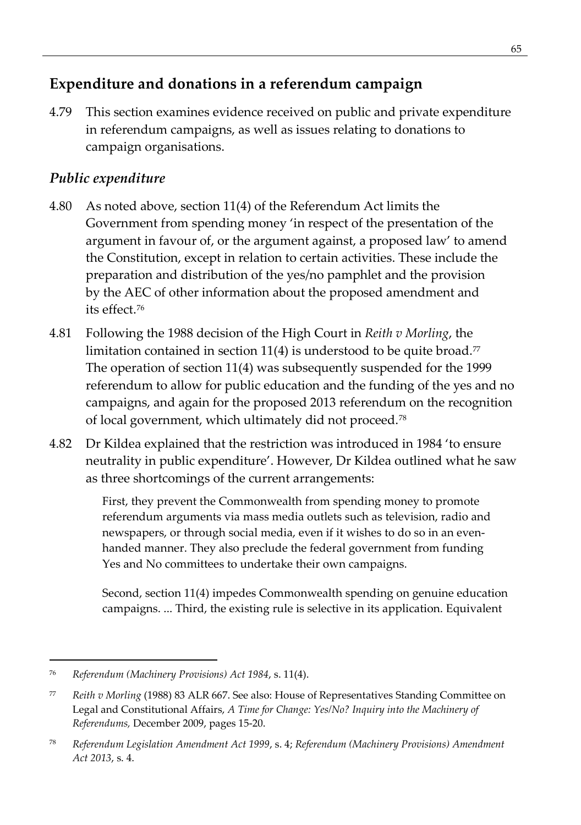# **Expenditure and donations in a referendum campaign**

4.79 This section examines evidence received on public and private expenditure in referendum campaigns, as well as issues relating to donations to campaign organisations.

## *Public expenditure*

- 4.80 As noted above, section 11(4) of the Referendum Act limits the Government from spending money 'in respect of the presentation of the argument in favour of, or the argument against, a proposed law' to amend the Constitution, except in relation to certain activities. These include the preparation and distribution of the yes/no pamphlet and the provision by the AEC of other information about the proposed amendment and its effect[.76](#page-78-0)
- 4.81 Following the 1988 decision of the High Court in *Reith v Morling*, the limitation contained in section 11(4) is understood to be quite broad.<sup>[77](#page-78-1)</sup> The operation of section 11(4) was subsequently suspended for the 1999 referendum to allow for public education and the funding of the yes and no campaigns, and again for the proposed 2013 referendum on the recognition of local government, which ultimately did not proceed.[78](#page-78-2)
- 4.82 Dr Kildea explained that the restriction was introduced in 1984 'to ensure neutrality in public expenditure'. However, Dr Kildea outlined what he saw as three shortcomings of the current arrangements:

First, they prevent the Commonwealth from spending money to promote referendum arguments via mass media outlets such as television, radio and newspapers, or through social media, even if it wishes to do so in an evenhanded manner. They also preclude the federal government from funding Yes and No committees to undertake their own campaigns.

Second, section 11(4) impedes Commonwealth spending on genuine education campaigns. ... Third, the existing rule is selective in its application. Equivalent

<span id="page-78-0"></span><sup>76</sup> *Referendum (Machinery Provisions) Act 1984*, s. 11(4).

<span id="page-78-1"></span><sup>77</sup> *Reith v Morling* (1988) 83 ALR 667. See also: House of Representatives Standing Committee on Legal and Constitutional Affairs, *A Time for Change: Yes/No? Inquiry into the Machinery of Referendums,* December 2009, pages 15-20.

<span id="page-78-2"></span><sup>78</sup> *Referendum Legislation Amendment Act 1999*, s. 4; *Referendum (Machinery Provisions) Amendment Act 2013*, s. 4.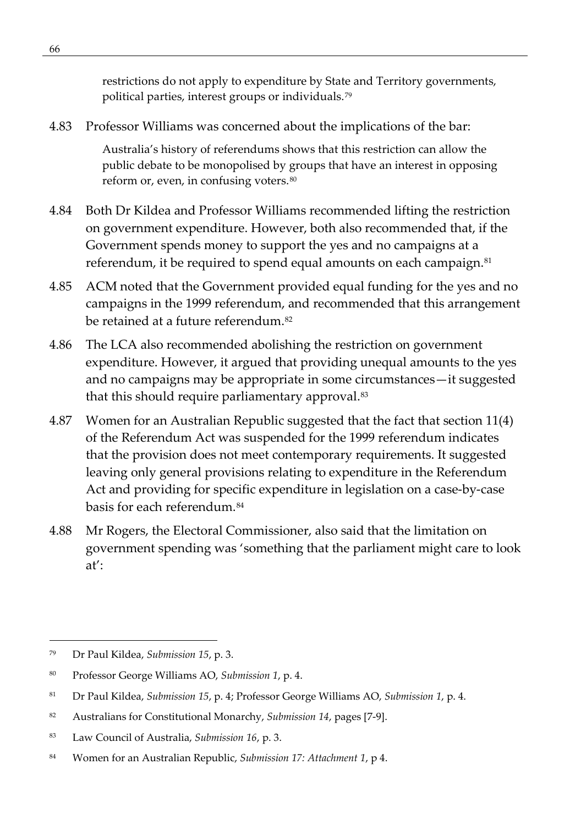restrictions do not apply to expenditure by State and Territory governments, political parties, interest groups or individuals.[79](#page-79-0)

4.83 Professor Williams was concerned about the implications of the bar:

Australia's history of referendums shows that this restriction can allow the public debate to be monopolised by groups that have an interest in opposing reform or, even, in confusing voters.[80](#page-79-1)

- 4.84 Both Dr Kildea and Professor Williams recommended lifting the restriction on government expenditure. However, both also recommended that, if the Government spends money to support the yes and no campaigns at a referendum, it be required to spend equal amounts on each campaign.<sup>[81](#page-79-2)</sup>
- 4.85 ACM noted that the Government provided equal funding for the yes and no campaigns in the 1999 referendum, and recommended that this arrangement be retained at a future referendum.<sup>[82](#page-79-3)</sup>
- 4.86 The LCA also recommended abolishing the restriction on government expenditure. However, it argued that providing unequal amounts to the yes and no campaigns may be appropriate in some circumstances—it suggested that this should require parliamentary approval.<sup>[83](#page-79-4)</sup>
- 4.87 Women for an Australian Republic suggested that the fact that section 11(4) of the Referendum Act was suspended for the 1999 referendum indicates that the provision does not meet contemporary requirements. It suggested leaving only general provisions relating to expenditure in the Referendum Act and providing for specific expenditure in legislation on a case-by-case basis for each referendum.<sup>[84](#page-79-5)</sup>
- 4.88 Mr Rogers, the Electoral Commissioner, also said that the limitation on government spending was 'something that the parliament might care to look at':

<span id="page-79-0"></span><sup>79</sup> Dr Paul Kildea, *Submission 15*, p. 3.

<span id="page-79-1"></span><sup>80</sup> Professor George Williams AO, *Submission 1*, p. 4.

<span id="page-79-2"></span><sup>81</sup> Dr Paul Kildea, *Submission 15*, p. 4; Professor George Williams AO, *Submission 1*, p. 4.

<span id="page-79-3"></span><sup>82</sup> Australians for Constitutional Monarchy, *Submission 14*, pages [7-9].

<span id="page-79-4"></span><sup>83</sup> Law Council of Australia, *Submission 16*, p. 3.

<span id="page-79-5"></span><sup>84</sup> Women for an Australian Republic, *Submission 17: Attachment 1*, p 4.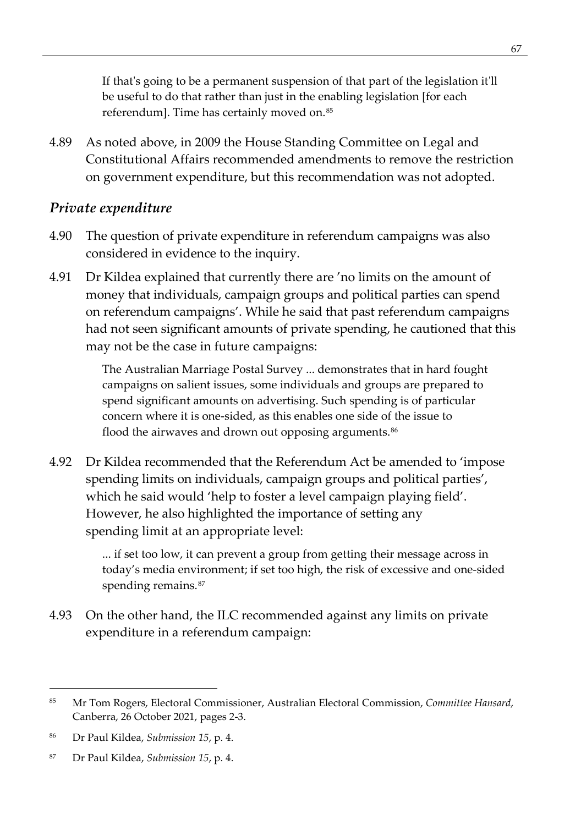If that's going to be a permanent suspension of that part of the legislation it'll be useful to do that rather than just in the enabling legislation [for each referendum]. Time has certainly moved on.<sup>[85](#page-80-0)</sup>

4.89 As noted above, in 2009 the House Standing Committee on Legal and Constitutional Affairs recommended amendments to remove the restriction on government expenditure, but this recommendation was not adopted.

#### *Private expenditure*

- 4.90 The question of private expenditure in referendum campaigns was also considered in evidence to the inquiry.
- 4.91 Dr Kildea explained that currently there are 'no limits on the amount of money that individuals, campaign groups and political parties can spend on referendum campaigns'. While he said that past referendum campaigns had not seen significant amounts of private spending, he cautioned that this may not be the case in future campaigns:

The Australian Marriage Postal Survey ... demonstrates that in hard fought campaigns on salient issues, some individuals and groups are prepared to spend significant amounts on advertising. Such spending is of particular concern where it is one-sided, as this enables one side of the issue to flood the airwaves and drown out opposing arguments.<sup>[86](#page-80-1)</sup>

4.92 Dr Kildea recommended that the Referendum Act be amended to 'impose spending limits on individuals, campaign groups and political parties', which he said would 'help to foster a level campaign playing field'. However, he also highlighted the importance of setting any spending limit at an appropriate level:

> ... if set too low, it can prevent a group from getting their message across in today's media environment; if set too high, the risk of excessive and one-sided spending remains.<sup>[87](#page-80-2)</sup>

4.93 On the other hand, the ILC recommended against any limits on private expenditure in a referendum campaign:

<span id="page-80-0"></span><sup>85</sup> Mr Tom Rogers, Electoral Commissioner, Australian Electoral Commission, *Committee Hansard*, Canberra, 26 October 2021, pages 2-3.

<span id="page-80-1"></span><sup>86</sup> Dr Paul Kildea, *Submission 15*, p. 4.

<span id="page-80-2"></span><sup>87</sup> Dr Paul Kildea, *Submission 15*, p. 4.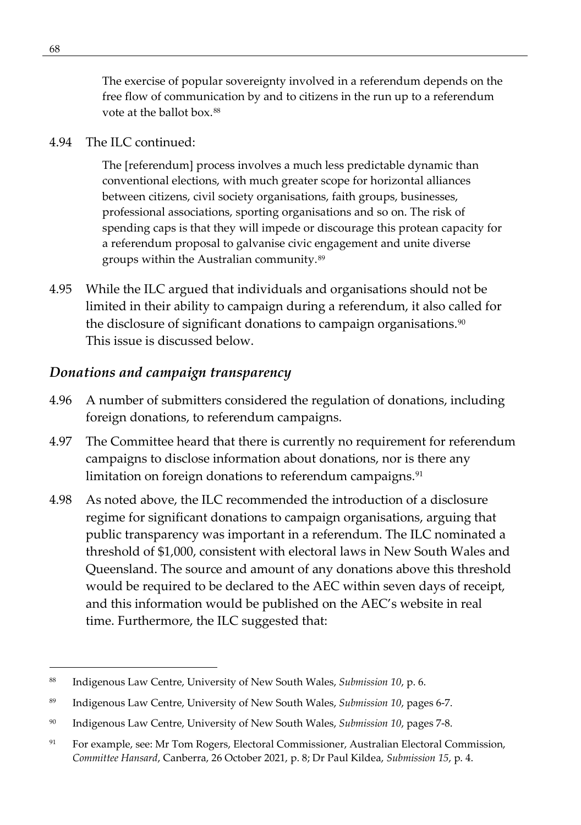The exercise of popular sovereignty involved in a referendum depends on the free flow of communication by and to citizens in the run up to a referendum vote at the ballot box.<sup>[88](#page-81-0)</sup>

#### 4.94 The ILC continued:

The [referendum] process involves a much less predictable dynamic than conventional elections, with much greater scope for horizontal alliances between citizens, civil society organisations, faith groups, businesses, professional associations, sporting organisations and so on. The risk of spending caps is that they will impede or discourage this protean capacity for a referendum proposal to galvanise civic engagement and unite diverse groups within the Australian community.[89](#page-81-1)

4.95 While the ILC argued that individuals and organisations should not be limited in their ability to campaign during a referendum, it also called for the disclosure of significant donations to campaign organisations.<sup>[90](#page-81-2)</sup> This issue is discussed below.

#### *Donations and campaign transparency*

- 4.96 A number of submitters considered the regulation of donations, including foreign donations, to referendum campaigns.
- 4.97 The Committee heard that there is currently no requirement for referendum campaigns to disclose information about donations, nor is there any limitation on foreign donations to referendum campaigns.<sup>[91](#page-81-3)</sup>
- 4.98 As noted above, the ILC recommended the introduction of a disclosure regime for significant donations to campaign organisations, arguing that public transparency was important in a referendum. The ILC nominated a threshold of \$1,000, consistent with electoral laws in New South Wales and Queensland. The source and amount of any donations above this threshold would be required to be declared to the AEC within seven days of receipt, and this information would be published on the AEC's website in real time. Furthermore, the ILC suggested that:

<span id="page-81-0"></span><sup>88</sup> Indigenous Law Centre, University of New South Wales, *Submission 10*, p. 6.

<span id="page-81-1"></span><sup>89</sup> Indigenous Law Centre, University of New South Wales, *Submission 10*, pages 6-7.

<span id="page-81-2"></span><sup>90</sup> Indigenous Law Centre, University of New South Wales, *Submission 10*, pages 7-8.

<span id="page-81-3"></span><sup>91</sup> For example, see: Mr Tom Rogers, Electoral Commissioner, Australian Electoral Commission, *Committee Hansard*, Canberra, 26 October 2021, p. 8; Dr Paul Kildea, *Submission 15*, p. 4.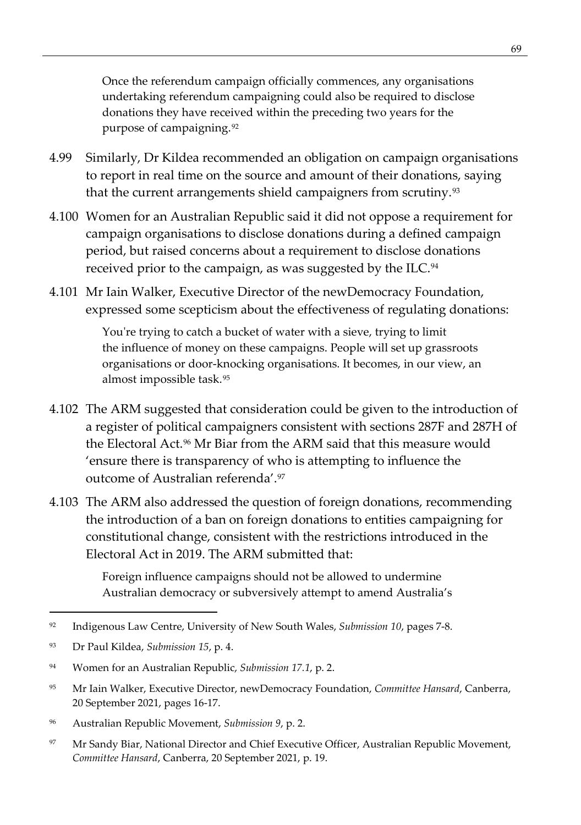Once the referendum campaign officially commences, any organisations undertaking referendum campaigning could also be required to disclose donations they have received within the preceding two years for the purpose of campaigning.[92](#page-82-0)

- 4.99 Similarly, Dr Kildea recommended an obligation on campaign organisations to report in real time on the source and amount of their donations, saying that the current arrangements shield campaigners from scrutiny.<sup>[93](#page-82-1)</sup>
- 4.100 Women for an Australian Republic said it did not oppose a requirement for campaign organisations to disclose donations during a defined campaign period, but raised concerns about a requirement to disclose donations received prior to the campaign, as was suggested by the ILC.<sup>[94](#page-82-2)</sup>
- 4.101 Mr Iain Walker, Executive Director of the newDemocracy Foundation, expressed some scepticism about the effectiveness of regulating donations:

You're trying to catch a bucket of water with a sieve, trying to limit the influence of money on these campaigns. People will set up grassroots organisations or door-knocking organisations. It becomes, in our view, an almost impossible task.[95](#page-82-3)

- 4.102 The ARM suggested that consideration could be given to the introduction of a register of political campaigners consistent with sections 287F and 287H of the Electoral Act.<sup>96</sup> Mr Biar from the ARM said that this measure would 'ensure there is transparency of who is attempting to influence the outcome of Australian referenda'.[97](#page-82-5)
- 4.103 The ARM also addressed the question of foreign donations, recommending the introduction of a ban on foreign donations to entities campaigning for constitutional change, consistent with the restrictions introduced in the Electoral Act in 2019. The ARM submitted that:

Foreign influence campaigns should not be allowed to undermine Australian democracy or subversively attempt to amend Australia's

- <span id="page-82-3"></span><sup>95</sup> Mr Iain Walker, Executive Director, newDemocracy Foundation, *Committee Hansard*, Canberra, 20 September 2021, pages 16-17.
- <span id="page-82-4"></span><sup>96</sup> Australian Republic Movement, *Submission 9*, p. 2.
- <span id="page-82-5"></span>97 Mr Sandy Biar, National Director and Chief Executive Officer, Australian Republic Movement, *Committee Hansard*, Canberra, 20 September 2021, p. 19.

<span id="page-82-0"></span><sup>92</sup> Indigenous Law Centre, University of New South Wales, *Submission 10*, pages 7-8.

<span id="page-82-1"></span><sup>93</sup> Dr Paul Kildea, *Submission 15*, p. 4.

<span id="page-82-2"></span><sup>94</sup> Women for an Australian Republic, *Submission 17.1*, p. 2.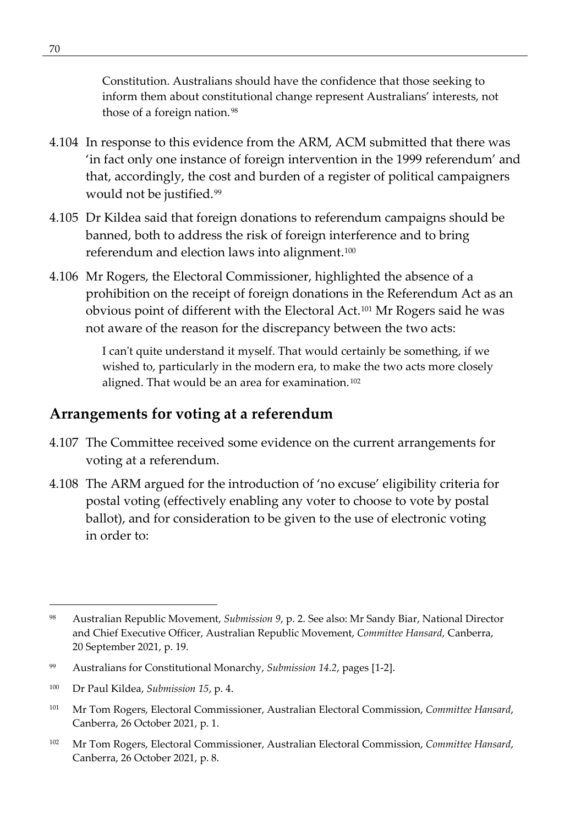Constitution. Australians should have the confidence that those seeking to inform them about constitutional change represent Australians' interests, not those of a foreign nation. [98](#page-83-0)

- 4.104 In response to this evidence from the ARM, ACM submitted that there was 'in fact only one instance of foreign intervention in the 1999 referendum' and that, accordingly, the cost and burden of a register of political campaigners would not be justified.[99](#page-83-1)
- 4.105 Dr Kildea said that foreign donations to referendum campaigns should be banned, both to address the risk of foreign interference and to bring referendum and election laws into alignment.[100](#page-83-2)
- 4.106 Mr Rogers, the Electoral Commissioner, highlighted the absence of a prohibition on the receipt of foreign donations in the Referendum Act as an obvious point of different with the Electoral Act.[101](#page-83-3) Mr Rogers said he was not aware of the reason for the discrepancy between the two acts:

I can't quite understand it myself. That would certainly be something, if we wished to, particularly in the modern era, to make the two acts more closely aligned. That would be an area for examination.<sup>[102](#page-83-4)</sup>

# **Arrangements for voting at a referendum**

- 4.107 The Committee received some evidence on the current arrangements for voting at a referendum.
- 4.108 The ARM argued for the introduction of 'no excuse' eligibility criteria for postal voting (effectively enabling any voter to choose to vote by postal ballot), and for consideration to be given to the use of electronic voting in order to:

<span id="page-83-0"></span><sup>98</sup> Australian Republic Movement, *Submission 9*, p. 2. See also: Mr Sandy Biar, National Director and Chief Executive Officer, Australian Republic Movement, *Committee Hansard*, Canberra, 20 September 2021, p. 19.

<span id="page-83-1"></span><sup>99</sup> Australians for Constitutional Monarchy, *Submission 14.2*, pages [1-2].

<span id="page-83-2"></span><sup>100</sup> Dr Paul Kildea, *Submission 15*, p. 4.

<span id="page-83-3"></span><sup>101</sup> Mr Tom Rogers, Electoral Commissioner, Australian Electoral Commission, *Committee Hansard*, Canberra, 26 October 2021, p. 1.

<span id="page-83-4"></span><sup>102</sup> Mr Tom Rogers, Electoral Commissioner, Australian Electoral Commission, *Committee Hansard*, Canberra, 26 October 2021, p. 8.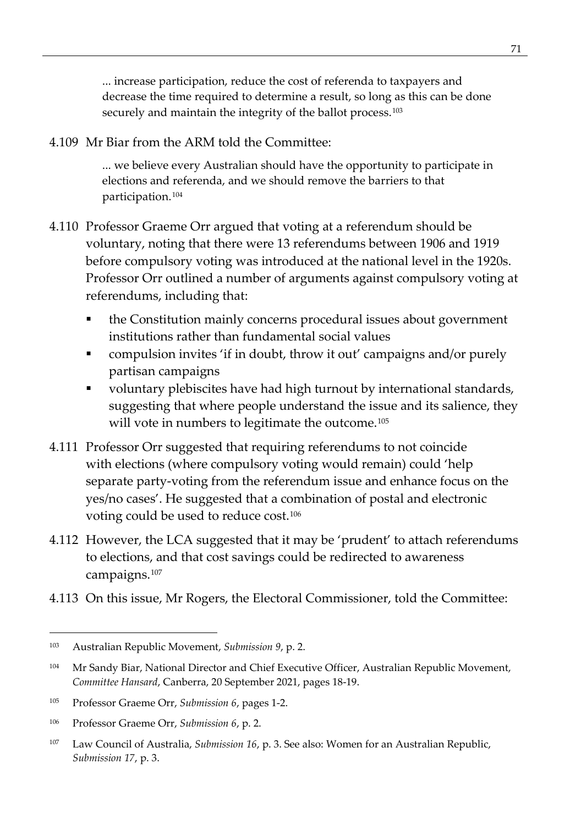... increase participation, reduce the cost of referenda to taxpayers and decrease the time required to determine a result, so long as this can be done securely and maintain the integrity of the ballot process.<sup>[103](#page-84-0)</sup>

4.109 Mr Biar from the ARM told the Committee:

... we believe every Australian should have the opportunity to participate in elections and referenda, and we should remove the barriers to that participation.[104](#page-84-1)

- 4.110 Professor Graeme Orr argued that voting at a referendum should be voluntary, noting that there were 13 referendums between 1906 and 1919 before compulsory voting was introduced at the national level in the 1920s. Professor Orr outlined a number of arguments against compulsory voting at referendums, including that:
	- the Constitution mainly concerns procedural issues about government institutions rather than fundamental social values
	- compulsion invites 'if in doubt, throw it out' campaigns and/or purely partisan campaigns
	- voluntary plebiscites have had high turnout by international standards, suggesting that where people understand the issue and its salience, they will vote in numbers to legitimate the outcome.<sup>[105](#page-84-2)</sup>
- 4.111 Professor Orr suggested that requiring referendums to not coincide with elections (where compulsory voting would remain) could 'help separate party-voting from the referendum issue and enhance focus on the yes/no cases'. He suggested that a combination of postal and electronic voting could be used to reduce cost.[106](#page-84-3)
- 4.112 However, the LCA suggested that it may be 'prudent' to attach referendums to elections, and that cost savings could be redirected to awareness campaigns[.107](#page-84-4)
- 4.113 On this issue, Mr Rogers, the Electoral Commissioner, told the Committee:

<span id="page-84-0"></span><sup>103</sup> Australian Republic Movement, *Submission 9*, p. 2.

<span id="page-84-1"></span><sup>104</sup> Mr Sandy Biar, National Director and Chief Executive Officer, Australian Republic Movement, *Committee Hansard*, Canberra, 20 September 2021, pages 18-19.

<span id="page-84-2"></span><sup>105</sup> Professor Graeme Orr, *Submission 6*, pages 1-2.

<span id="page-84-3"></span><sup>106</sup> Professor Graeme Orr, *Submission 6*, p. 2.

<span id="page-84-4"></span><sup>107</sup> Law Council of Australia, *Submission 16*, p. 3. See also: Women for an Australian Republic, *Submission 17*, p. 3.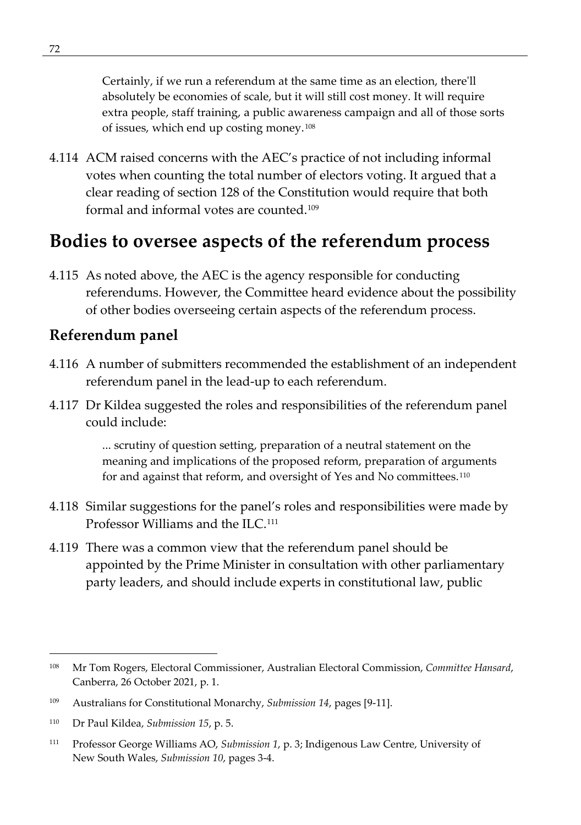Certainly, if we run a referendum at the same time as an election, there'll absolutely be economies of scale, but it will still cost money. It will require extra people, staff training, a public awareness campaign and all of those sorts of issues, which end up costing money.[108](#page-85-0)

4.114 ACM raised concerns with the AEC's practice of not including informal votes when counting the total number of electors voting. It argued that a clear reading of section 128 of the Constitution would require that both formal and informal votes are counted.[109](#page-85-1)

# **Bodies to oversee aspects of the referendum process**

4.115 As noted above, the AEC is the agency responsible for conducting referendums. However, the Committee heard evidence about the possibility of other bodies overseeing certain aspects of the referendum process.

### **Referendum panel**

- 4.116 A number of submitters recommended the establishment of an independent referendum panel in the lead-up to each referendum.
- 4.117 Dr Kildea suggested the roles and responsibilities of the referendum panel could include:

... scrutiny of question setting, preparation of a neutral statement on the meaning and implications of the proposed reform, preparation of arguments for and against that reform, and oversight of Yes and No committees.<sup>[110](#page-85-2)</sup>

- 4.118 Similar suggestions for the panel's roles and responsibilities were made by Professor Williams and the ILC.<sup>[111](#page-85-3)</sup>
- 4.119 There was a common view that the referendum panel should be appointed by the Prime Minister in consultation with other parliamentary party leaders, and should include experts in constitutional law, public

<span id="page-85-0"></span><sup>108</sup> Mr Tom Rogers, Electoral Commissioner, Australian Electoral Commission, *Committee Hansard*, Canberra, 26 October 2021, p. 1.

<span id="page-85-1"></span><sup>109</sup> Australians for Constitutional Monarchy, *Submission 14*, pages [9-11].

<span id="page-85-2"></span><sup>110</sup> Dr Paul Kildea, *Submission 15*, p. 5.

<span id="page-85-3"></span><sup>111</sup> Professor George Williams AO, *Submission 1*, p. 3; Indigenous Law Centre, University of New South Wales, *Submission 10*, pages 3-4.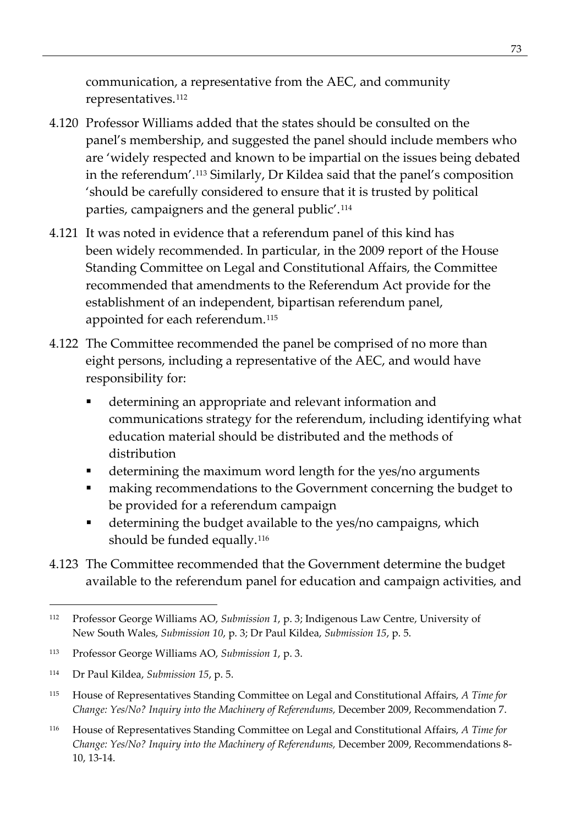communication, a representative from the AEC, and community representatives.<sup>[112](#page-86-0)</sup>

- 4.120 Professor Williams added that the states should be consulted on the panel's membership, and suggested the panel should include members who are 'widely respected and known to be impartial on the issues being debated in the referendum'.[113](#page-86-1) Similarly, Dr Kildea said that the panel's composition 'should be carefully considered to ensure that it is trusted by political parties, campaigners and the general public'.<sup>[114](#page-86-2)</sup>
- 4.121 It was noted in evidence that a referendum panel of this kind has been widely recommended. In particular, in the 2009 report of the House Standing Committee on Legal and Constitutional Affairs, the Committee recommended that amendments to the Referendum Act provide for the establishment of an independent, bipartisan referendum panel, appointed for each referendum.[115](#page-86-3)
- 4.122 The Committee recommended the panel be comprised of no more than eight persons, including a representative of the AEC, and would have responsibility for:
	- determining an appropriate and relevant information and communications strategy for the referendum, including identifying what education material should be distributed and the methods of distribution
	- determining the maximum word length for the yes/no arguments
	- **naking recommendations to the Government concerning the budget to** be provided for a referendum campaign
	- determining the budget available to the yes/no campaigns, which should be funded equally.<sup>[116](#page-86-4)</sup>
- 4.123 The Committee recommended that the Government determine the budget available to the referendum panel for education and campaign activities, and

<span id="page-86-0"></span><sup>112</sup> Professor George Williams AO, *Submission 1*, p. 3; Indigenous Law Centre, University of New South Wales, *Submission 10*, p. 3; Dr Paul Kildea, *Submission 15*, p. 5.

<span id="page-86-1"></span><sup>113</sup> Professor George Williams AO, *Submission 1*, p. 3.

<span id="page-86-2"></span><sup>114</sup> Dr Paul Kildea, *Submission 15*, p. 5.

<span id="page-86-3"></span><sup>115</sup> House of Representatives Standing Committee on Legal and Constitutional Affairs, *A Time for Change: Yes/No? Inquiry into the Machinery of Referendums,* December 2009, Recommendation 7.

<span id="page-86-4"></span><sup>116</sup> House of Representatives Standing Committee on Legal and Constitutional Affairs, *A Time for Change: Yes/No? Inquiry into the Machinery of Referendums, December 2009, Recommendations 8-*10, 13-14.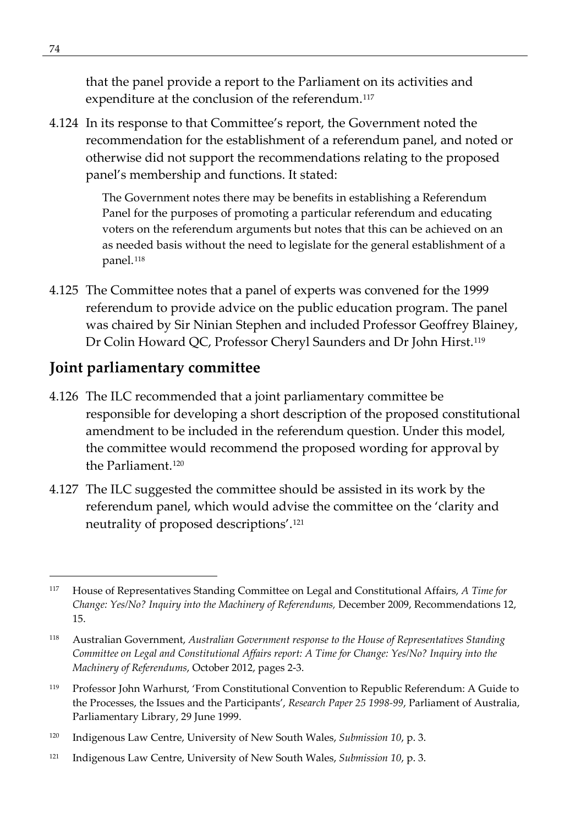that the panel provide a report to the Parliament on its activities and expenditure at the conclusion of the referendum.<sup>[117](#page-87-0)</sup>

4.124 In its response to that Committee's report, the Government noted the recommendation for the establishment of a referendum panel, and noted or otherwise did not support the recommendations relating to the proposed panel's membership and functions. It stated:

> The Government notes there may be benefits in establishing a Referendum Panel for the purposes of promoting a particular referendum and educating voters on the referendum arguments but notes that this can be achieved on an as needed basis without the need to legislate for the general establishment of a panel.<sup>[118](#page-87-1)</sup>

4.125 The Committee notes that a panel of experts was convened for the 1999 referendum to provide advice on the public education program. The panel was chaired by Sir Ninian Stephen and included Professor Geoffrey Blainey, Dr Colin Howard QC, Professor Cheryl Saunders and Dr John Hirst.[119](#page-87-2)

### **Joint parliamentary committee**

- 4.126 The ILC recommended that a joint parliamentary committee be responsible for developing a short description of the proposed constitutional amendment to be included in the referendum question. Under this model, the committee would recommend the proposed wording for approval by the Parliament.[120](#page-87-3)
- 4.127 The ILC suggested the committee should be assisted in its work by the referendum panel, which would advise the committee on the 'clarity and neutrality of proposed descriptions'.[121](#page-87-4)

- <span id="page-87-2"></span><sup>119</sup> Professor John Warhurst, 'From Constitutional Convention to Republic Referendum: A Guide to the Processes, the Issues and the Participants', *Research Paper 25 1998-99*, Parliament of Australia, Parliamentary Library, 29 June 1999.
- <span id="page-87-3"></span><sup>120</sup> Indigenous Law Centre, University of New South Wales, *Submission 10*, p. 3.
- <span id="page-87-4"></span><sup>121</sup> Indigenous Law Centre, University of New South Wales, *Submission 10*, p. 3.

<span id="page-87-0"></span><sup>117</sup> House of Representatives Standing Committee on Legal and Constitutional Affairs, *A Time for Change: Yes/No? Inquiry into the Machinery of Referendums,* December 2009, Recommendations 12, 15.

<span id="page-87-1"></span><sup>118</sup> Australian Government, *Australian Government response to the House of Representatives Standing Committee on Legal and Constitutional Affairs report: A Time for Change: Yes/No? Inquiry into the Machinery of Referendums*, October 2012, pages 2-3.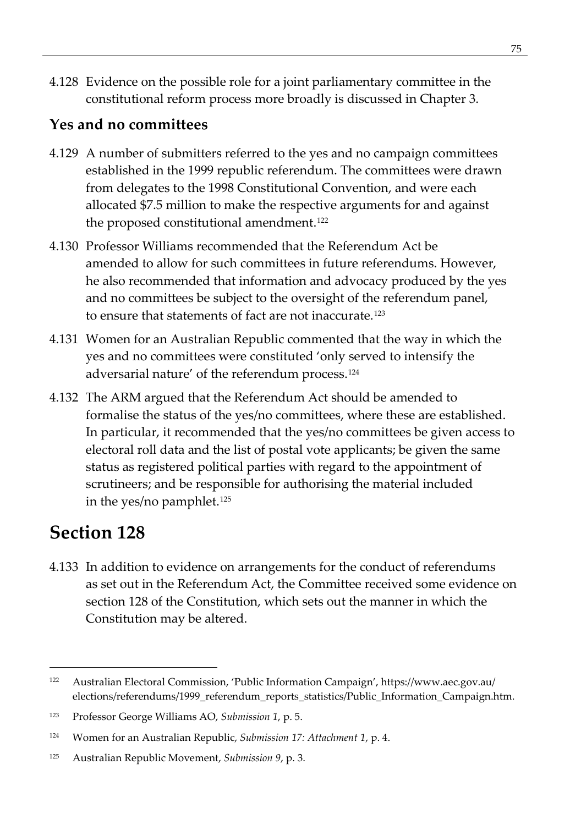4.128 Evidence on the possible role for a joint parliamentary committee in the constitutional reform process more broadly is discussed in Chapter 3.

## **Yes and no committees**

- 4.129 A number of submitters referred to the yes and no campaign committees established in the 1999 republic referendum. The committees were drawn from delegates to the 1998 Constitutional Convention, and were each allocated \$7.5 million to make the respective arguments for and against the proposed constitutional amendment.[122](#page-88-0)
- 4.130 Professor Williams recommended that the Referendum Act be amended to allow for such committees in future referendums. However, he also recommended that information and advocacy produced by the yes and no committees be subject to the oversight of the referendum panel, to ensure that statements of fact are not inaccurate.[123](#page-88-1)
- 4.131 Women for an Australian Republic commented that the way in which the yes and no committees were constituted 'only served to intensify the adversarial nature' of the referendum process.[124](#page-88-2)
- 4.132 The ARM argued that the Referendum Act should be amended to formalise the status of the yes/no committees, where these are established. In particular, it recommended that the yes/no committees be given access to electoral roll data and the list of postal vote applicants; be given the same status as registered political parties with regard to the appointment of scrutineers; and be responsible for authorising the material included in the yes/no pamphlet.[125](#page-88-3)

# **Section 128**

4.133 In addition to evidence on arrangements for the conduct of referendums as set out in the Referendum Act, the Committee received some evidence on section 128 of the Constitution, which sets out the manner in which the Constitution may be altered.

<span id="page-88-0"></span><sup>122</sup> Australian Electoral Commission, 'Public Information Campaign', https://www.aec.gov.au/ elections/referendums/1999\_referendum\_reports\_statistics/Public\_Information\_Campaign.htm.

<span id="page-88-1"></span><sup>123</sup> Professor George Williams AO, *Submission 1*, p. 5.

<span id="page-88-2"></span><sup>124</sup> Women for an Australian Republic, *Submission 17: Attachment 1*, p. 4.

<span id="page-88-3"></span><sup>125</sup> Australian Republic Movement, *Submission 9*, p. 3.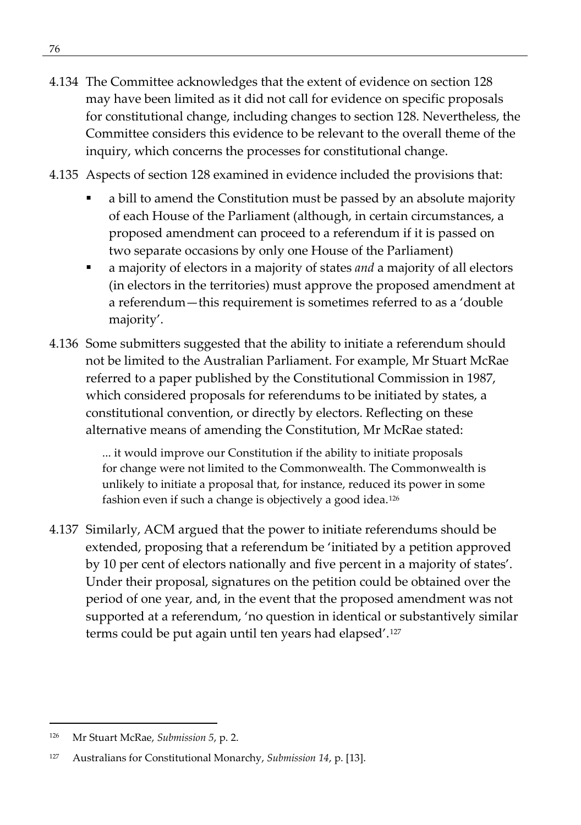- 4.134 The Committee acknowledges that the extent of evidence on section 128 may have been limited as it did not call for evidence on specific proposals for constitutional change, including changes to section 128. Nevertheless, the Committee considers this evidence to be relevant to the overall theme of the inquiry, which concerns the processes for constitutional change.
- 4.135 Aspects of section 128 examined in evidence included the provisions that:
	- a bill to amend the Constitution must be passed by an absolute majority of each House of the Parliament (although, in certain circumstances, a proposed amendment can proceed to a referendum if it is passed on two separate occasions by only one House of the Parliament)
	- a majority of electors in a majority of states *and* a majority of all electors (in electors in the territories) must approve the proposed amendment at a referendum—this requirement is sometimes referred to as a 'double majority'.
- 4.136 Some submitters suggested that the ability to initiate a referendum should not be limited to the Australian Parliament. For example, Mr Stuart McRae referred to a paper published by the Constitutional Commission in 1987, which considered proposals for referendums to be initiated by states, a constitutional convention, or directly by electors. Reflecting on these alternative means of amending the Constitution, Mr McRae stated:

... it would improve our Constitution if the ability to initiate proposals for change were not limited to the Commonwealth. The Commonwealth is unlikely to initiate a proposal that, for instance, reduced its power in some fashion even if such a change is objectively a good idea.[126](#page-89-0)

4.137 Similarly, ACM argued that the power to initiate referendums should be extended, proposing that a referendum be 'initiated by a petition approved by 10 per cent of electors nationally and five percent in a majority of states'. Under their proposal, signatures on the petition could be obtained over the period of one year, and, in the event that the proposed amendment was not supported at a referendum, 'no question in identical or substantively similar terms could be put again until ten years had elapsed'.[127](#page-89-1)

<span id="page-89-0"></span><sup>126</sup> Mr Stuart McRae, *Submission 5*, p. 2.

<span id="page-89-1"></span><sup>127</sup> Australians for Constitutional Monarchy, *Submission 14*, p. [13].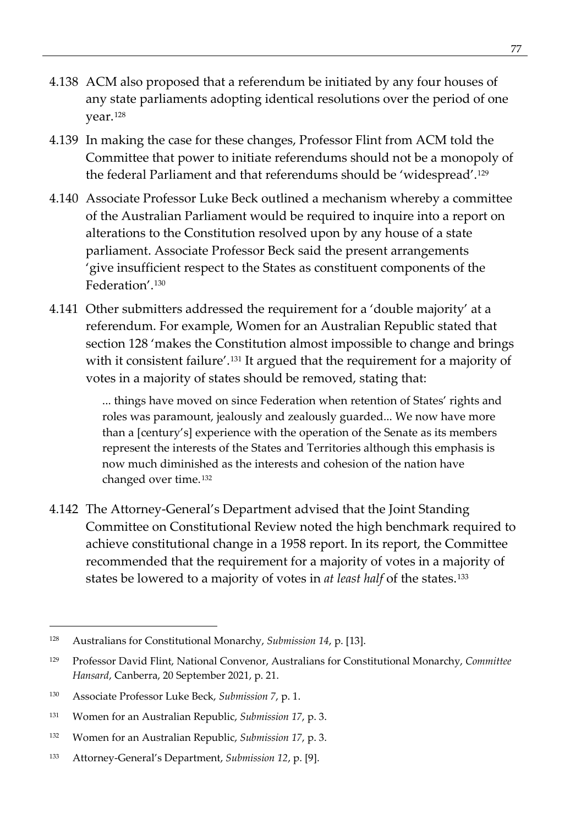- 4.138 ACM also proposed that a referendum be initiated by any four houses of any state parliaments adopting identical resolutions over the period of one year.[128](#page-90-0)
- 4.139 In making the case for these changes, Professor Flint from ACM told the Committee that power to initiate referendums should not be a monopoly of the federal Parliament and that referendums should be 'widespread'.[129](#page-90-1)
- 4.140 Associate Professor Luke Beck outlined a mechanism whereby a committee of the Australian Parliament would be required to inquire into a report on alterations to the Constitution resolved upon by any house of a state parliament. Associate Professor Beck said the present arrangements 'give insufficient respect to the States as constituent components of the Federation'.[130](#page-90-2)
- 4.141 Other submitters addressed the requirement for a 'double majority' at a referendum. For example, Women for an Australian Republic stated that section 128 'makes the Constitution almost impossible to change and brings with it consistent failure'.<sup>[131](#page-90-3)</sup> It argued that the requirement for a majority of votes in a majority of states should be removed, stating that:

... things have moved on since Federation when retention of States' rights and roles was paramount, jealously and zealously guarded... We now have more than a [century's] experience with the operation of the Senate as its members represent the interests of the States and Territories although this emphasis is now much diminished as the interests and cohesion of the nation have changed over time.[132](#page-90-4)

4.142 The Attorney-General's Department advised that the Joint Standing Committee on Constitutional Review noted the high benchmark required to achieve constitutional change in a 1958 report. In its report, the Committee recommended that the requirement for a majority of votes in a majority of states be lowered to a majority of votes in *at least half* of the states.[133](#page-90-5)

<span id="page-90-0"></span><sup>128</sup> Australians for Constitutional Monarchy, *Submission 14*, p. [13].

<span id="page-90-1"></span><sup>129</sup> Professor David Flint, National Convenor, Australians for Constitutional Monarchy, *Committee Hansard*, Canberra, 20 September 2021, p. 21.

<span id="page-90-2"></span><sup>130</sup> Associate Professor Luke Beck, *Submission 7*, p. 1.

<span id="page-90-3"></span><sup>131</sup> Women for an Australian Republic, *Submission 17*, p. 3.

<span id="page-90-4"></span><sup>132</sup> Women for an Australian Republic, *Submission 17*, p. 3.

<span id="page-90-5"></span><sup>133</sup> Attorney-General's Department, *Submission 12*, p. [9].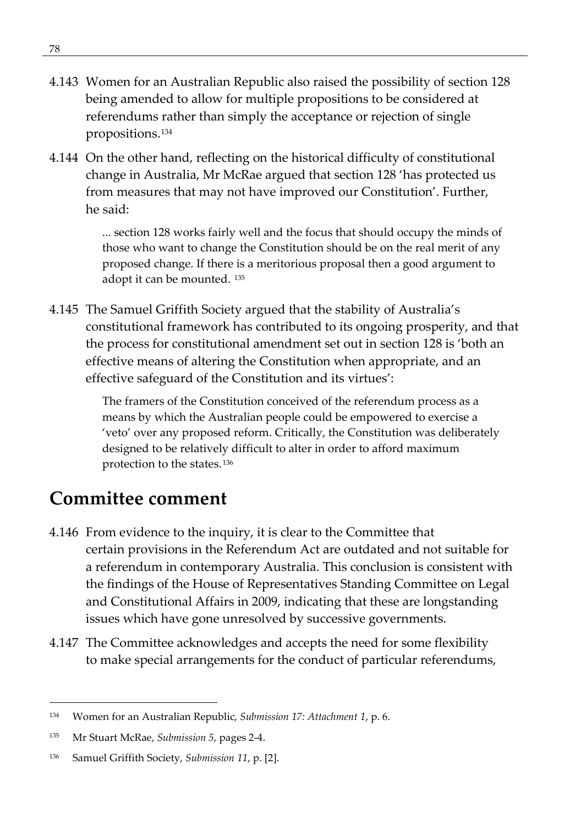- 4.143 Women for an Australian Republic also raised the possibility of section 128 being amended to allow for multiple propositions to be considered at referendums rather than simply the acceptance or rejection of single propositions.[134](#page-91-0)
- 4.144 On the other hand, reflecting on the historical difficulty of constitutional change in Australia, Mr McRae argued that section 128 'has protected us from measures that may not have improved our Constitution'. Further, he said:

... section 128 works fairly well and the focus that should occupy the minds of those who want to change the Constitution should be on the real merit of any proposed change. If there is a meritorious proposal then a good argument to adopt it can be mounted. [135](#page-91-1)

4.145 The Samuel Griffith Society argued that the stability of Australia's constitutional framework has contributed to its ongoing prosperity, and that the process for constitutional amendment set out in section 128 is 'both an effective means of altering the Constitution when appropriate, and an effective safeguard of the Constitution and its virtues':

> The framers of the Constitution conceived of the referendum process as a means by which the Australian people could be empowered to exercise a 'veto' over any proposed reform. Critically, the Constitution was deliberately designed to be relatively difficult to alter in order to afford maximum protection to the states. [136](#page-91-2)

# **Committee comment**

- 4.146 From evidence to the inquiry, it is clear to the Committee that certain provisions in the Referendum Act are outdated and not suitable for a referendum in contemporary Australia. This conclusion is consistent with the findings of the House of Representatives Standing Committee on Legal and Constitutional Affairs in 2009, indicating that these are longstanding issues which have gone unresolved by successive governments.
- 4.147 The Committee acknowledges and accepts the need for some flexibility to make special arrangements for the conduct of particular referendums,

<span id="page-91-0"></span><sup>134</sup> Women for an Australian Republic, *Submission 17: Attachment 1*, p. 6.

<span id="page-91-1"></span><sup>135</sup> Mr Stuart McRae, *Submission 5*, pages 2-4.

<span id="page-91-2"></span><sup>136</sup> Samuel Griffith Society, *Submission 11*, p. [2].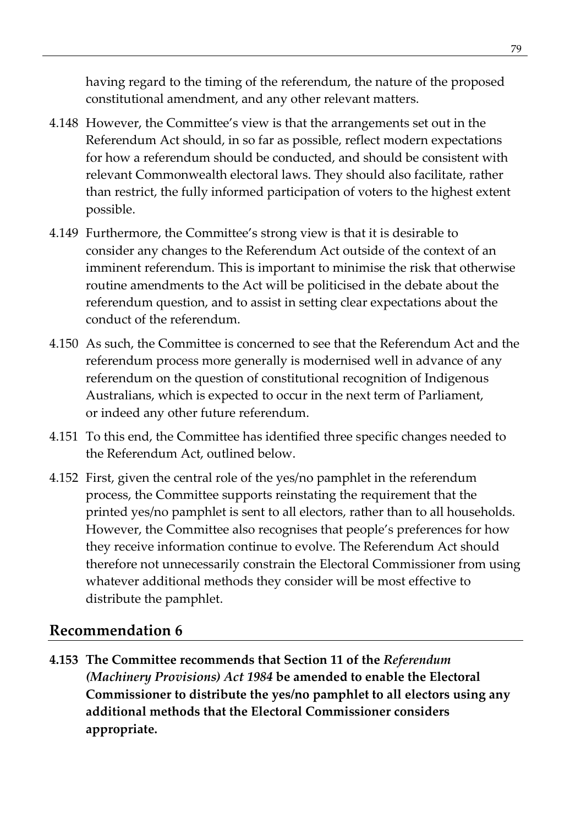having regard to the timing of the referendum, the nature of the proposed constitutional amendment, and any other relevant matters.

- 4.148 However, the Committee's view is that the arrangements set out in the Referendum Act should, in so far as possible, reflect modern expectations for how a referendum should be conducted, and should be consistent with relevant Commonwealth electoral laws. They should also facilitate, rather than restrict, the fully informed participation of voters to the highest extent possible.
- 4.149 Furthermore, the Committee's strong view is that it is desirable to consider any changes to the Referendum Act outside of the context of an imminent referendum. This is important to minimise the risk that otherwise routine amendments to the Act will be politicised in the debate about the referendum question, and to assist in setting clear expectations about the conduct of the referendum.
- 4.150 As such, the Committee is concerned to see that the Referendum Act and the referendum process more generally is modernised well in advance of any referendum on the question of constitutional recognition of Indigenous Australians, which is expected to occur in the next term of Parliament, or indeed any other future referendum.
- 4.151 To this end, the Committee has identified three specific changes needed to the Referendum Act, outlined below.
- 4.152 First, given the central role of the yes/no pamphlet in the referendum process, the Committee supports reinstating the requirement that the printed yes/no pamphlet is sent to all electors, rather than to all households. However, the Committee also recognises that people's preferences for how they receive information continue to evolve. The Referendum Act should therefore not unnecessarily constrain the Electoral Commissioner from using whatever additional methods they consider will be most effective to distribute the pamphlet.

### **Recommendation 6**

**4.153 The Committee recommends that Section 11 of the** *Referendum (Machinery Provisions) Act 1984* **be amended to enable the Electoral Commissioner to distribute the yes/no pamphlet to all electors using any additional methods that the Electoral Commissioner considers appropriate.**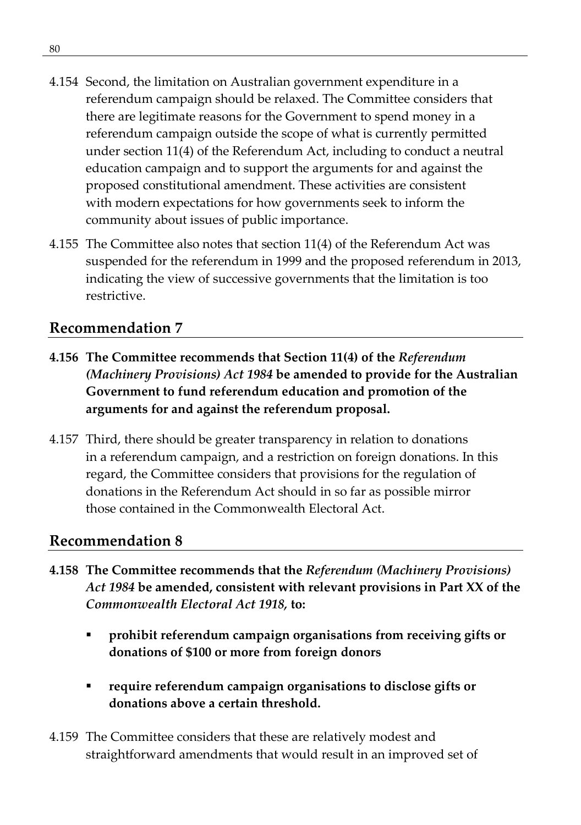- 4.154 Second, the limitation on Australian government expenditure in a referendum campaign should be relaxed. The Committee considers that there are legitimate reasons for the Government to spend money in a referendum campaign outside the scope of what is currently permitted under section 11(4) of the Referendum Act, including to conduct a neutral education campaign and to support the arguments for and against the proposed constitutional amendment. These activities are consistent with modern expectations for how governments seek to inform the community about issues of public importance.
- 4.155 The Committee also notes that section 11(4) of the Referendum Act was suspended for the referendum in 1999 and the proposed referendum in 2013, indicating the view of successive governments that the limitation is too restrictive.

### **Recommendation 7**

- **4.156 The Committee recommends that Section 11(4) of the** *Referendum (Machinery Provisions) Act 1984* **be amended to provide for the Australian Government to fund referendum education and promotion of the arguments for and against the referendum proposal.**
- 4.157 Third, there should be greater transparency in relation to donations in a referendum campaign, and a restriction on foreign donations. In this regard, the Committee considers that provisions for the regulation of donations in the Referendum Act should in so far as possible mirror those contained in the Commonwealth Electoral Act.

#### **Recommendation 8**

- **4.158 The Committee recommends that the** *Referendum (Machinery Provisions) Act 1984* **be amended, consistent with relevant provisions in Part XX of the**  *Commonwealth Electoral Act 1918,* **to:**
	- **prohibit referendum campaign organisations from receiving gifts or donations of \$100 or more from foreign donors**
	- **require referendum campaign organisations to disclose gifts or donations above a certain threshold.**
- 4.159 The Committee considers that these are relatively modest and straightforward amendments that would result in an improved set of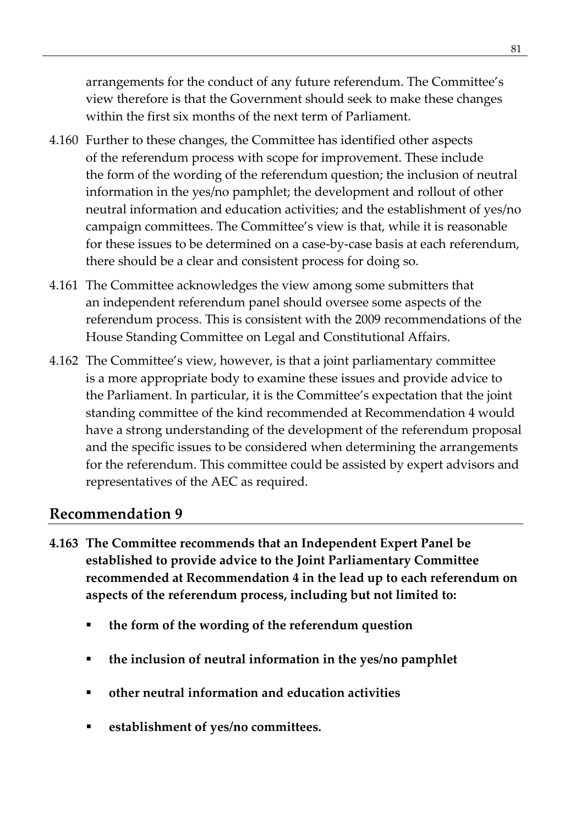arrangements for the conduct of any future referendum. The Committee's view therefore is that the Government should seek to make these changes within the first six months of the next term of Parliament.

- 4.160 Further to these changes, the Committee has identified other aspects of the referendum process with scope for improvement. These include the form of the wording of the referendum question; the inclusion of neutral information in the yes/no pamphlet; the development and rollout of other neutral information and education activities; and the establishment of yes/no campaign committees. The Committee's view is that, while it is reasonable for these issues to be determined on a case-by-case basis at each referendum, there should be a clear and consistent process for doing so.
- 4.161 The Committee acknowledges the view among some submitters that an independent referendum panel should oversee some aspects of the referendum process. This is consistent with the 2009 recommendations of the House Standing Committee on Legal and Constitutional Affairs.
- 4.162 The Committee's view, however, is that a joint parliamentary committee is a more appropriate body to examine these issues and provide advice to the Parliament. In particular, it is the Committee's expectation that the joint standing committee of the kind recommended at Recommendation 4 would have a strong understanding of the development of the referendum proposal and the specific issues to be considered when determining the arrangements for the referendum. This committee could be assisted by expert advisors and representatives of the AEC as required.

### **Recommendation 9**

- **4.163 The Committee recommends that an Independent Expert Panel be established to provide advice to the Joint Parliamentary Committee recommended at Recommendation 4 in the lead up to each referendum on aspects of the referendum process, including but not limited to:**
	- **the form of the wording of the referendum question**
	- **the inclusion of neutral information in the yes/no pamphlet**
	- **other neutral information and education activities**
	- **establishment of yes/no committees.**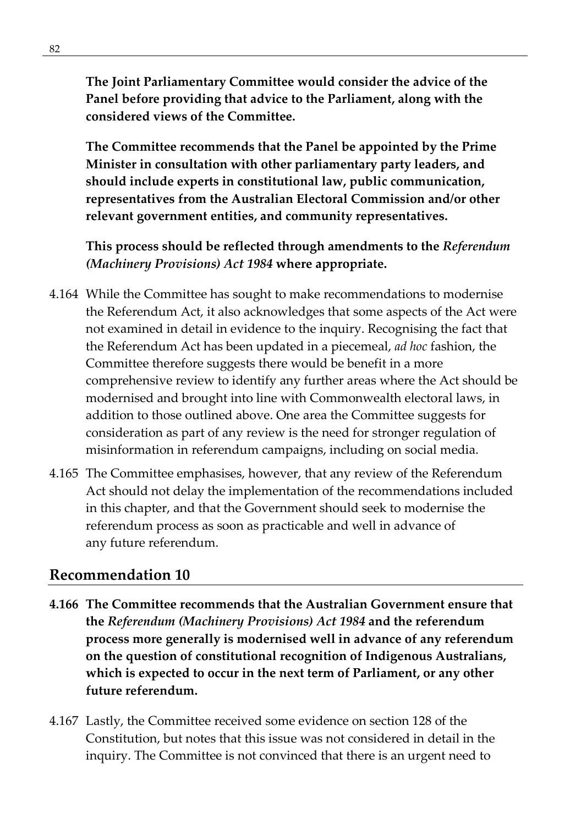**The Joint Parliamentary Committee would consider the advice of the Panel before providing that advice to the Parliament, along with the considered views of the Committee.**

**The Committee recommends that the Panel be appointed by the Prime Minister in consultation with other parliamentary party leaders, and should include experts in constitutional law, public communication, representatives from the Australian Electoral Commission and/or other relevant government entities, and community representatives.**

**This process should be reflected through amendments to the** *Referendum (Machinery Provisions) Act 1984* **where appropriate.**

- 4.164 While the Committee has sought to make recommendations to modernise the Referendum Act, it also acknowledges that some aspects of the Act were not examined in detail in evidence to the inquiry. Recognising the fact that the Referendum Act has been updated in a piecemeal, *ad hoc* fashion, the Committee therefore suggests there would be benefit in a more comprehensive review to identify any further areas where the Act should be modernised and brought into line with Commonwealth electoral laws, in addition to those outlined above. One area the Committee suggests for consideration as part of any review is the need for stronger regulation of misinformation in referendum campaigns, including on social media.
- 4.165 The Committee emphasises, however, that any review of the Referendum Act should not delay the implementation of the recommendations included in this chapter, and that the Government should seek to modernise the referendum process as soon as practicable and well in advance of any future referendum.

#### **Recommendation 10**

- **4.166 The Committee recommends that the Australian Government ensure that the** *Referendum (Machinery Provisions) Act 1984* **and the referendum process more generally is modernised well in advance of any referendum on the question of constitutional recognition of Indigenous Australians, which is expected to occur in the next term of Parliament, or any other future referendum.**
- 4.167 Lastly, the Committee received some evidence on section 128 of the Constitution, but notes that this issue was not considered in detail in the inquiry. The Committee is not convinced that there is an urgent need to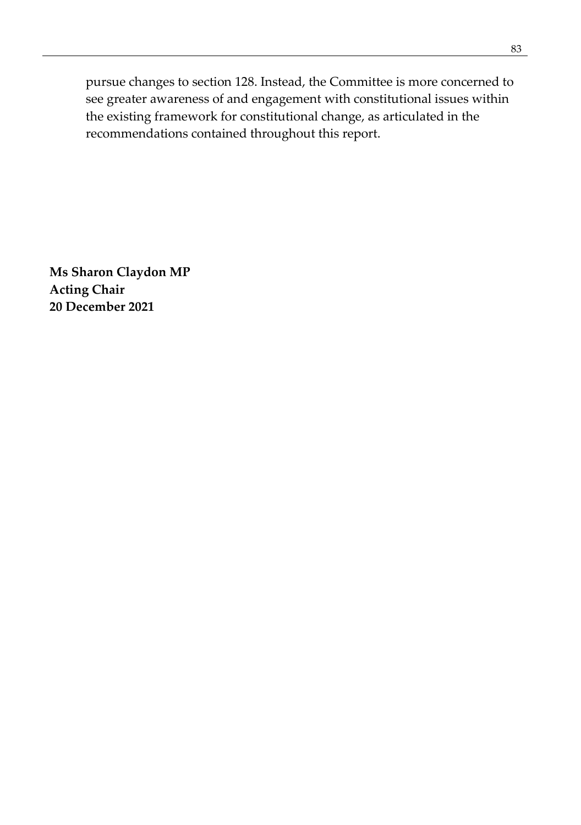pursue changes to section 128. Instead, the Committee is more concerned to see greater awareness of and engagement with constitutional issues within the existing framework for constitutional change, as articulated in the recommendations contained throughout this report.

**Ms Sharon Claydon MP Acting Chair 20 December 2021**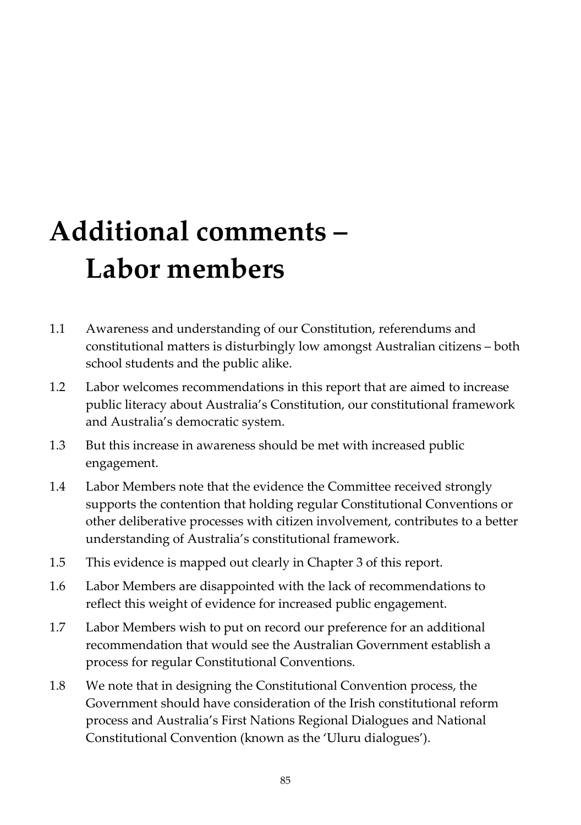# **Additional comments – Labor members**

- 1.1 Awareness and understanding of our Constitution, referendums and constitutional matters is disturbingly low amongst Australian citizens – both school students and the public alike.
- 1.2 Labor welcomes recommendations in this report that are aimed to increase public literacy about Australia's Constitution, our constitutional framework and Australia's democratic system.
- 1.3 But this increase in awareness should be met with increased public engagement.
- 1.4 Labor Members note that the evidence the Committee received strongly supports the contention that holding regular Constitutional Conventions or other deliberative processes with citizen involvement, contributes to a better understanding of Australia's constitutional framework.
- 1.5 This evidence is mapped out clearly in Chapter 3 of this report.
- 1.6 Labor Members are disappointed with the lack of recommendations to reflect this weight of evidence for increased public engagement.
- 1.7 Labor Members wish to put on record our preference for an additional recommendation that would see the Australian Government establish a process for regular Constitutional Conventions.
- 1.8 We note that in designing the Constitutional Convention process, the Government should have consideration of the Irish constitutional reform process and Australia's First Nations Regional Dialogues and National Constitutional Convention (known as the 'Uluru dialogues').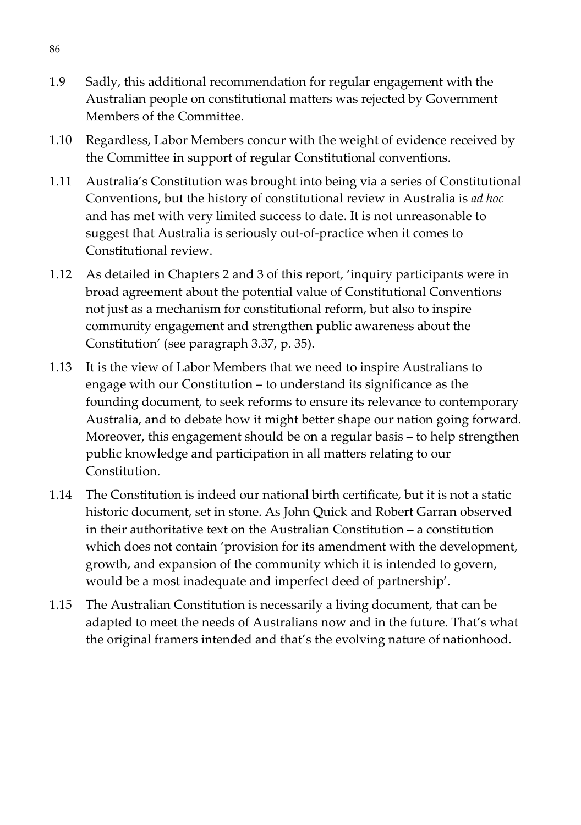- 1.9 Sadly, this additional recommendation for regular engagement with the Australian people on constitutional matters was rejected by Government Members of the Committee.
- 1.10 Regardless, Labor Members concur with the weight of evidence received by the Committee in support of regular Constitutional conventions.
- 1.11 Australia's Constitution was brought into being via a series of Constitutional Conventions, but the history of constitutional review in Australia is *ad hoc* and has met with very limited success to date. It is not unreasonable to suggest that Australia is seriously out-of-practice when it comes to Constitutional review.
- 1.12 As detailed in Chapters 2 and 3 of this report, 'inquiry participants were in broad agreement about the potential value of Constitutional Conventions not just as a mechanism for constitutional reform, but also to inspire community engagement and strengthen public awareness about the Constitution' (see paragraph 3.37, p. 35).
- 1.13 It is the view of Labor Members that we need to inspire Australians to engage with our Constitution – to understand its significance as the founding document, to seek reforms to ensure its relevance to contemporary Australia, and to debate how it might better shape our nation going forward. Moreover, this engagement should be on a regular basis – to help strengthen public knowledge and participation in all matters relating to our Constitution.
- 1.14 The Constitution is indeed our national birth certificate, but it is not a static historic document, set in stone. As John Quick and Robert Garran observed in their authoritative text on the Australian Constitution – a constitution which does not contain 'provision for its amendment with the development, growth, and expansion of the community which it is intended to govern, would be a most inadequate and imperfect deed of partnership'.
- 1.15 The Australian Constitution is necessarily a living document, that can be adapted to meet the needs of Australians now and in the future. That's what the original framers intended and that's the evolving nature of nationhood.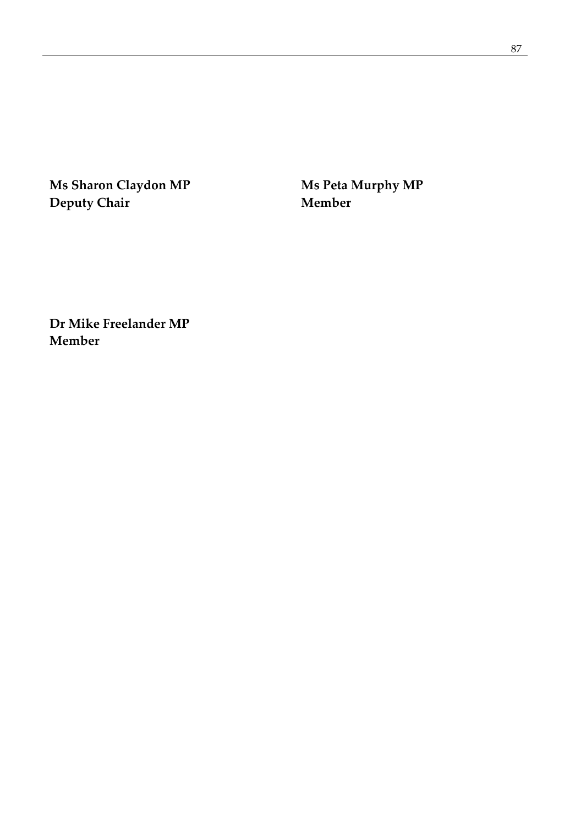**Ms Sharon Claydon MP Ms Peta Murphy MP Deputy Chair Member**

**Dr Mike Freelander MP Member**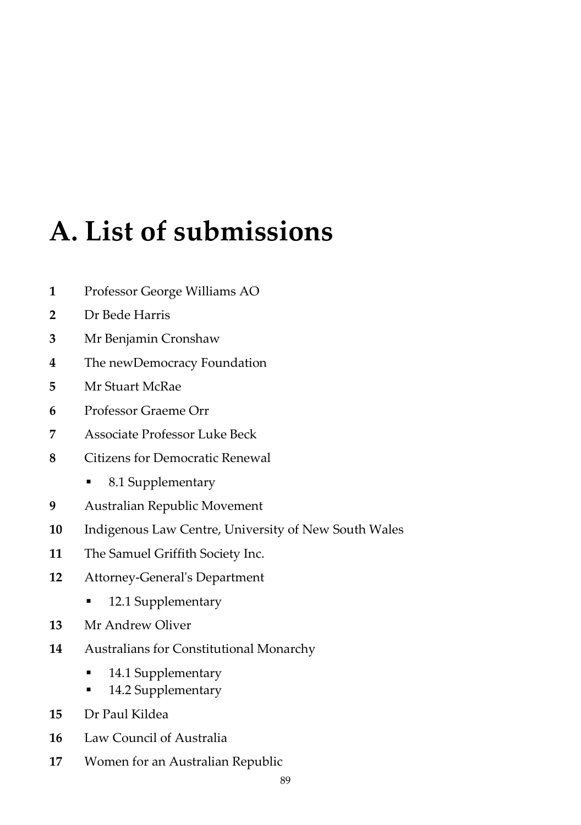# **A. List of submissions**

- Professor George Williams AO
- Dr Bede Harris
- Mr Benjamin Cronshaw
- The newDemocracy Foundation
- Mr Stuart McRae
- Professor Graeme Orr
- Associate Professor Luke Beck
- Citizens for Democratic Renewal
	- 8.1 Supplementary
- Australian Republic Movement
- Indigenous Law Centre, University of New South Wales
- The Samuel Griffith Society Inc.
- Attorney-General's Department
	- 12.1 Supplementary
- Mr Andrew Oliver
- Australians for Constitutional Monarchy
	- **14.1 Supplementary**
	- 14.2 Supplementary
- Dr Paul Kildea
- Law Council of Australia
- Women for an Australian Republic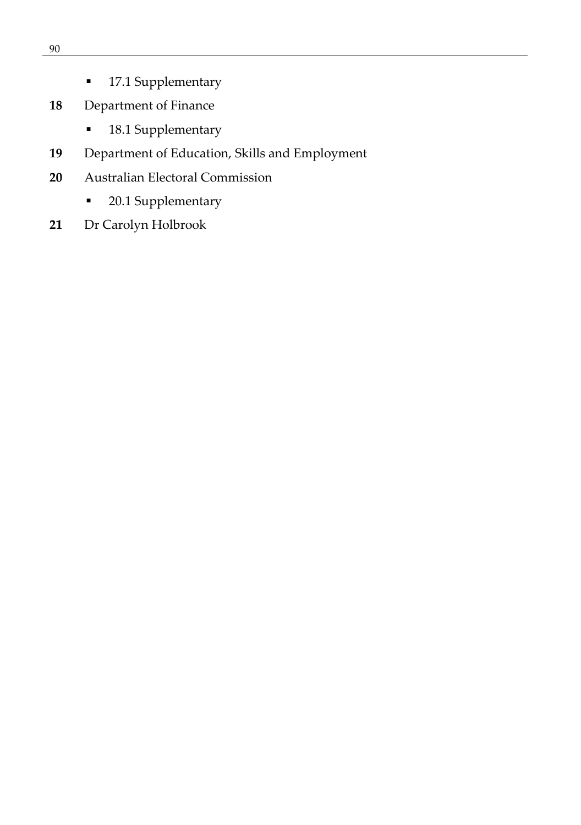- **17.1 Supplementary**
- Department of Finance
	- **18.1 Supplementary**
- Department of Education, Skills and Employment
- Australian Electoral Commission
	- 20.1 Supplementary
- Dr Carolyn Holbrook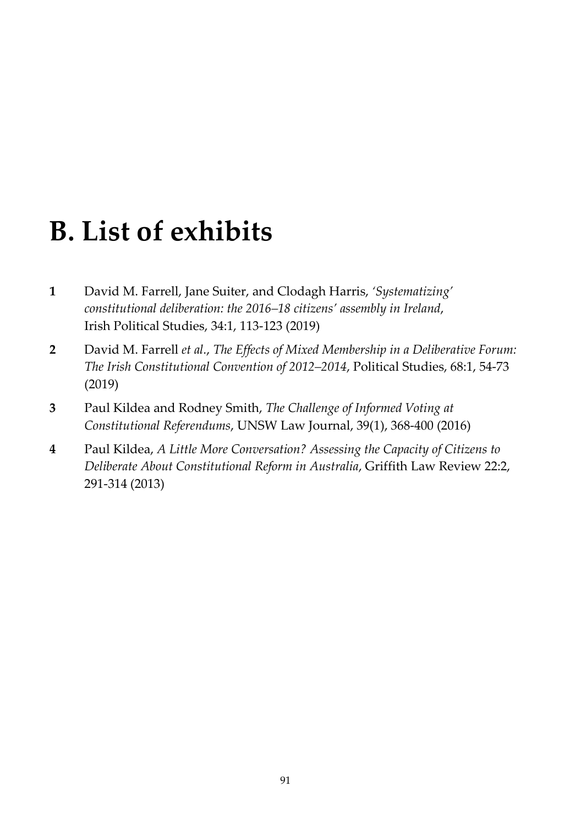# **B. List of exhibits**

- **1** David M. Farrell, Jane Suiter, and Clodagh Harris, *'Systematizing' constitutional deliberation: the 2016–18 citizens' assembly in Ireland*, Irish Political Studies, 34:1, 113-123 (2019)
- **2** David M. Farrell *et al.*, *The Effects of Mixed Membership in a Deliberative Forum: The Irish Constitutional Convention of 2012–2014*, Political Studies, 68:1, 54-73 (2019)
- **3** Paul Kildea and Rodney Smith, *The Challenge of Informed Voting at Constitutional Referendums*, UNSW Law Journal, 39(1), 368-400 (2016)
- **4** Paul Kildea, *A Little More Conversation? Assessing the Capacity of Citizens to Deliberate About Constitutional Reform in Australia*, Griffith Law Review 22:2, 291-314 (2013)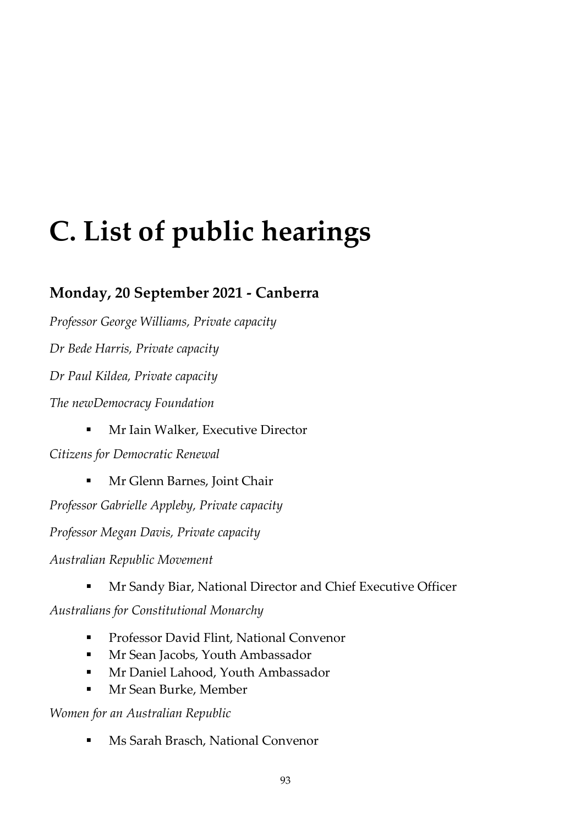# **C. List of public hearings**

## **Monday, 20 September 2021 - Canberra**

*Professor George Williams, Private capacity*

*Dr Bede Harris, Private capacity*

*Dr Paul Kildea, Private capacity*

*The newDemocracy Foundation*

Mr Iain Walker, Executive Director

*Citizens for Democratic Renewal*

**Mr Glenn Barnes, Joint Chair** 

*Professor Gabrielle Appleby, Private capacity*

*Professor Megan Davis, Private capacity*

*Australian Republic Movement*

Mr Sandy Biar, National Director and Chief Executive Officer

*Australians for Constitutional Monarchy*

- **Professor David Flint, National Convenor**
- Mr Sean Jacobs, Youth Ambassador
- **Mr Daniel Lahood, Youth Ambassador**
- **Mr Sean Burke, Member**

*Women for an Australian Republic*

Ms Sarah Brasch, National Convenor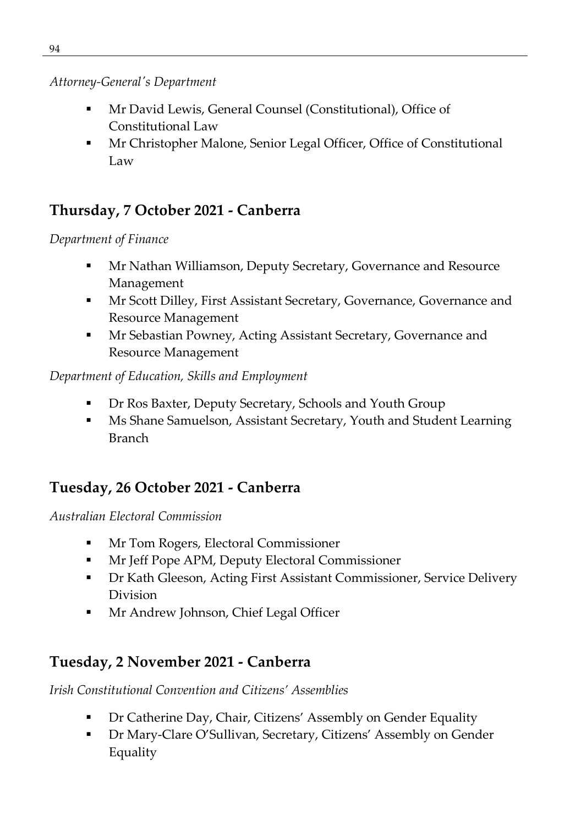#### *Attorney-General's Department*

- Mr David Lewis, General Counsel (Constitutional), Office of Constitutional Law
- Mr Christopher Malone, Senior Legal Officer, Office of Constitutional Law

### **Thursday, 7 October 2021 - Canberra**

#### *Department of Finance*

- Mr Nathan Williamson, Deputy Secretary, Governance and Resource Management
- Mr Scott Dilley, First Assistant Secretary, Governance, Governance and Resource Management
- Mr Sebastian Powney, Acting Assistant Secretary, Governance and Resource Management

#### *Department of Education, Skills and Employment*

- Dr Ros Baxter, Deputy Secretary, Schools and Youth Group
- Ms Shane Samuelson, Assistant Secretary, Youth and Student Learning Branch

# **Tuesday, 26 October 2021 - Canberra**

#### *Australian Electoral Commission*

- **Mr Tom Rogers, Electoral Commissioner**
- Mr Jeff Pope APM, Deputy Electoral Commissioner
- Dr Kath Gleeson, Acting First Assistant Commissioner, Service Delivery Division
- **Mr Andrew Johnson, Chief Legal Officer**

# **Tuesday, 2 November 2021 - Canberra**

*Irish Constitutional Convention and Citizens' Assemblies* 

- Dr Catherine Day, Chair, Citizens' Assembly on Gender Equality
- Dr Mary-Clare O'Sullivan, Secretary, Citizens' Assembly on Gender Equality